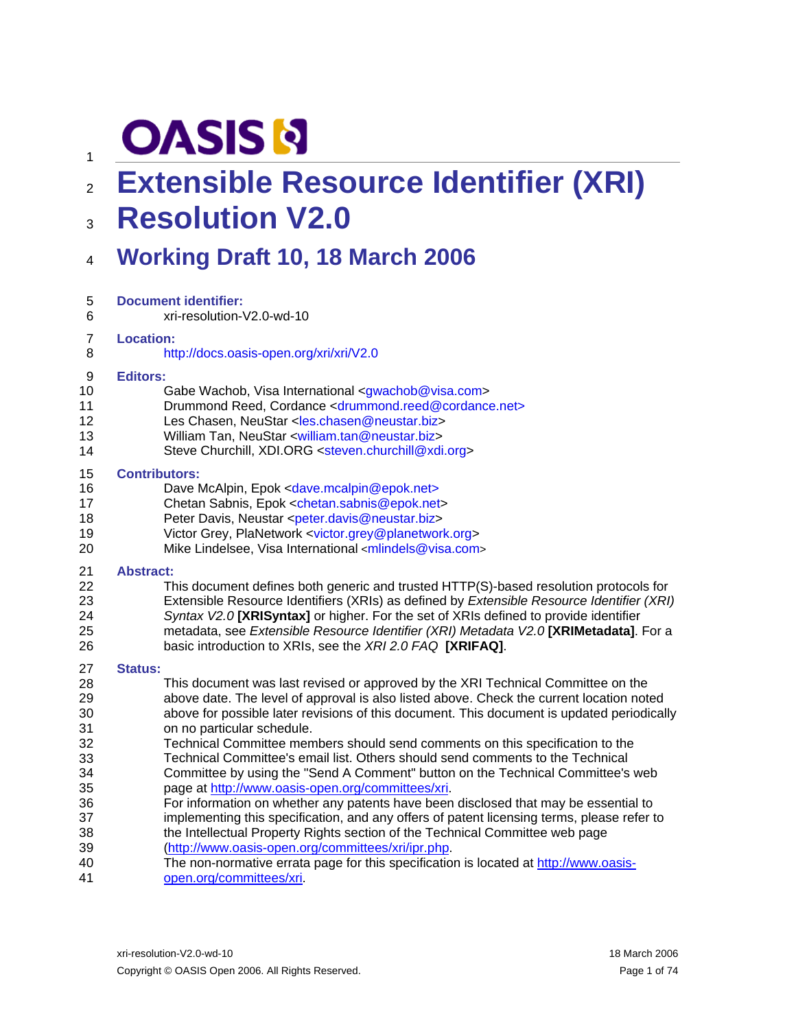# **OASIS N**

1

## <sup>2</sup>**Extensible Resource Identifier (XRI)**

### 3 **Resolution V2.0**

### 4 **Working Draft 10, 18 March 2006**

| 5              | <b>Document identifier:</b>                                                                |
|----------------|--------------------------------------------------------------------------------------------|
| 6              | xri-resolution-V2.0-wd-10                                                                  |
| $\overline{7}$ | <b>Location:</b>                                                                           |
| 8              | http://docs.oasis-open.org/xri/xri/V2.0                                                    |
| 9              | <b>Editors:</b>                                                                            |
| 10             | Gabe Wachob, Visa International <gwachob@visa.com></gwachob@visa.com>                      |
| 11             | Drummond Reed, Cordance <drummond.reed@cordance.net></drummond.reed@cordance.net>          |
| 12             | Les Chasen, NeuStar <les.chasen@neustar.biz></les.chasen@neustar.biz>                      |
| 13             | William Tan, NeuStar <william.tan@neustar.biz></william.tan@neustar.biz>                   |
| 14             | Steve Churchill, XDI.ORG <steven.churchill@xdi.org></steven.churchill@xdi.org>             |
| 15             | <b>Contributors:</b>                                                                       |
| 16             | Dave McAlpin, Epok <dave.mcalpin@epok.net></dave.mcalpin@epok.net>                         |
| 17             | Chetan Sabnis, Epok <chetan.sabnis@epok.net></chetan.sabnis@epok.net>                      |
| 18             | Peter Davis, Neustar <peter.davis@neustar.biz></peter.davis@neustar.biz>                   |
| 19             | Victor Grey, PlaNetwork <victor.grey@planetwork.org></victor.grey@planetwork.org>          |
| 20             | Mike Lindelsee, Visa International <mlindels@visa.com></mlindels@visa.com>                 |
| 21             | <b>Abstract:</b>                                                                           |
| 22             | This document defines both generic and trusted HTTP(S)-based resolution protocols for      |
| 23             | Extensible Resource Identifiers (XRIs) as defined by Extensible Resource Identifier (XRI)  |
| 24             | Syntax V2.0 [XRISyntax] or higher. For the set of XRIs defined to provide identifier       |
| 25             | metadata, see Extensible Resource Identifier (XRI) Metadata V2.0 [XRIMetadata]. For a      |
| 26             | basic introduction to XRIs, see the XRI 2.0 FAQ [XRIFAQ].                                  |
| 27             | <b>Status:</b>                                                                             |
| 28             | This document was last revised or approved by the XRI Technical Committee on the           |
| 29             | above date. The level of approval is also listed above. Check the current location noted   |
| 30             | above for possible later revisions of this document. This document is updated periodically |
| 31             | on no particular schedule.                                                                 |
| 32             | Technical Committee members should send comments on this specification to the              |
| 33             | Technical Committee's email list. Others should send comments to the Technical             |
| 34             | Committee by using the "Send A Comment" button on the Technical Committee's web            |
| 35             | page at http://www.oasis-open.org/committees/xri.                                          |
| 36             | For information on whether any patents have been disclosed that may be essential to        |
| 37             | implementing this specification, and any offers of patent licensing terms, please refer to |
| 38             | the Intellectual Property Rights section of the Technical Committee web page               |
| 39             | (http://www.oasis-open.org/committees/xri/ipr.php.                                         |
| 40             | The non-normative errata page for this specification is located at http://www.oasis-       |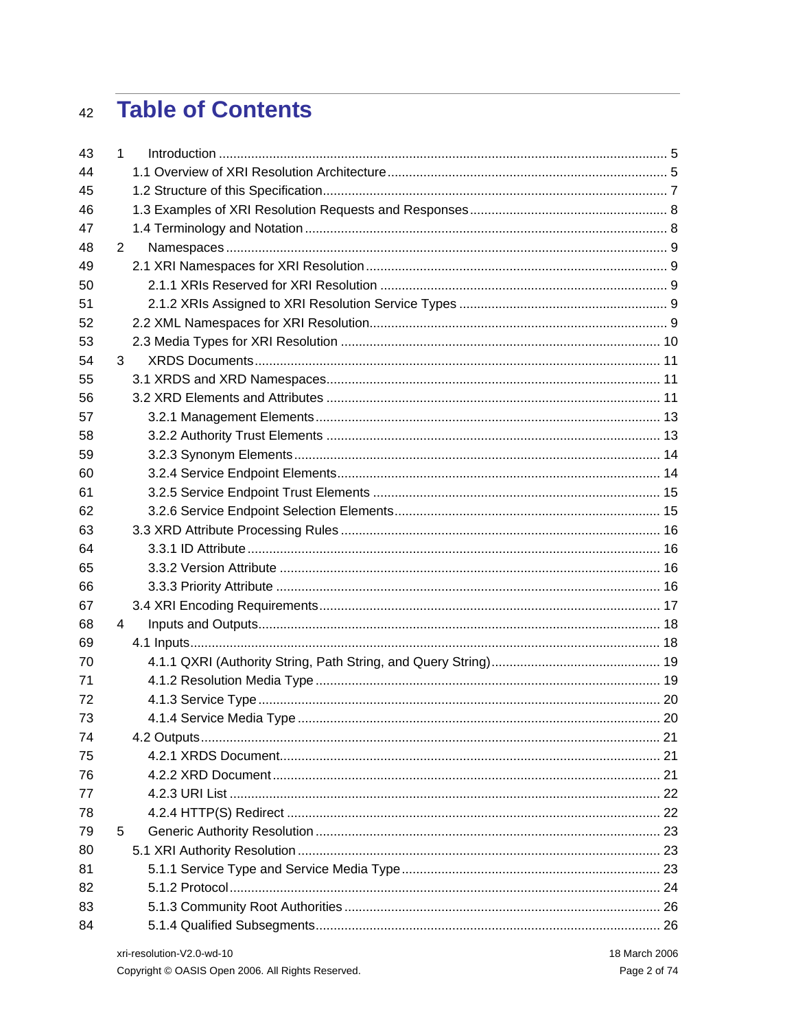### **Table of Contents**  $42$

| 43 | 1              |  |
|----|----------------|--|
| 44 |                |  |
| 45 |                |  |
| 46 |                |  |
| 47 |                |  |
| 48 | $\overline{2}$ |  |
| 49 |                |  |
| 50 |                |  |
| 51 |                |  |
| 52 |                |  |
| 53 |                |  |
| 54 | 3              |  |
| 55 |                |  |
| 56 |                |  |
| 57 |                |  |
| 58 |                |  |
| 59 |                |  |
| 60 |                |  |
| 61 |                |  |
| 62 |                |  |
| 63 |                |  |
| 64 |                |  |
| 65 |                |  |
| 66 |                |  |
| 67 |                |  |
| 68 | 4              |  |
| 69 |                |  |
| 70 |                |  |
| 71 |                |  |
| 72 |                |  |
| 73 |                |  |
| 74 |                |  |
| 75 |                |  |
| 76 |                |  |
| 77 |                |  |
| 78 |                |  |
| 79 | 5              |  |
| 80 |                |  |
| 81 |                |  |
| 82 |                |  |
| 83 |                |  |
| 84 |                |  |
|    |                |  |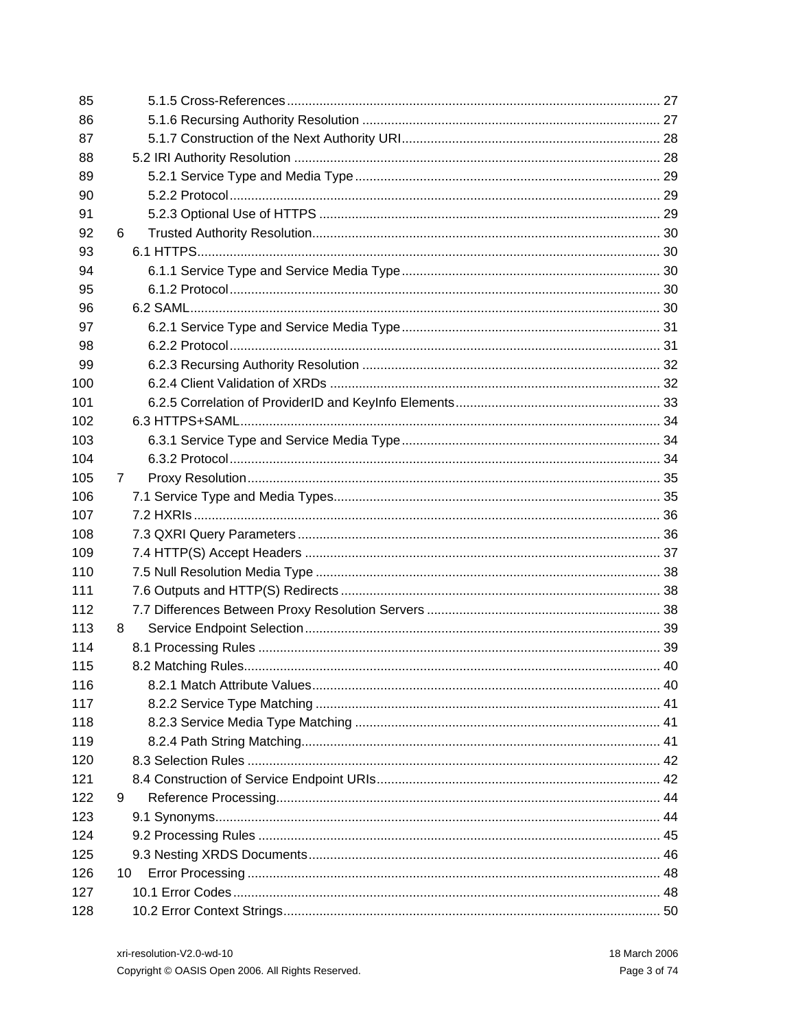| 85  |     |  |
|-----|-----|--|
| 86  |     |  |
| 87  |     |  |
| 88  |     |  |
| 89  |     |  |
| 90  |     |  |
| 91  |     |  |
| 92  | 6.  |  |
| 93  |     |  |
| 94  |     |  |
| 95  |     |  |
| 96  |     |  |
| 97  |     |  |
| 98  |     |  |
| 99  |     |  |
| 100 |     |  |
| 101 |     |  |
| 102 |     |  |
| 103 |     |  |
| 104 |     |  |
| 105 | 7   |  |
| 106 |     |  |
| 107 |     |  |
| 108 |     |  |
| 109 |     |  |
| 110 |     |  |
| 111 |     |  |
| 112 |     |  |
| 113 | 8.  |  |
| 114 |     |  |
| 115 |     |  |
| 116 |     |  |
| 117 |     |  |
| 118 |     |  |
| 119 |     |  |
| 120 |     |  |
| 121 |     |  |
| 122 | 9   |  |
| 123 |     |  |
| 124 |     |  |
| 125 |     |  |
| 126 | 10. |  |
| 127 |     |  |
| 128 |     |  |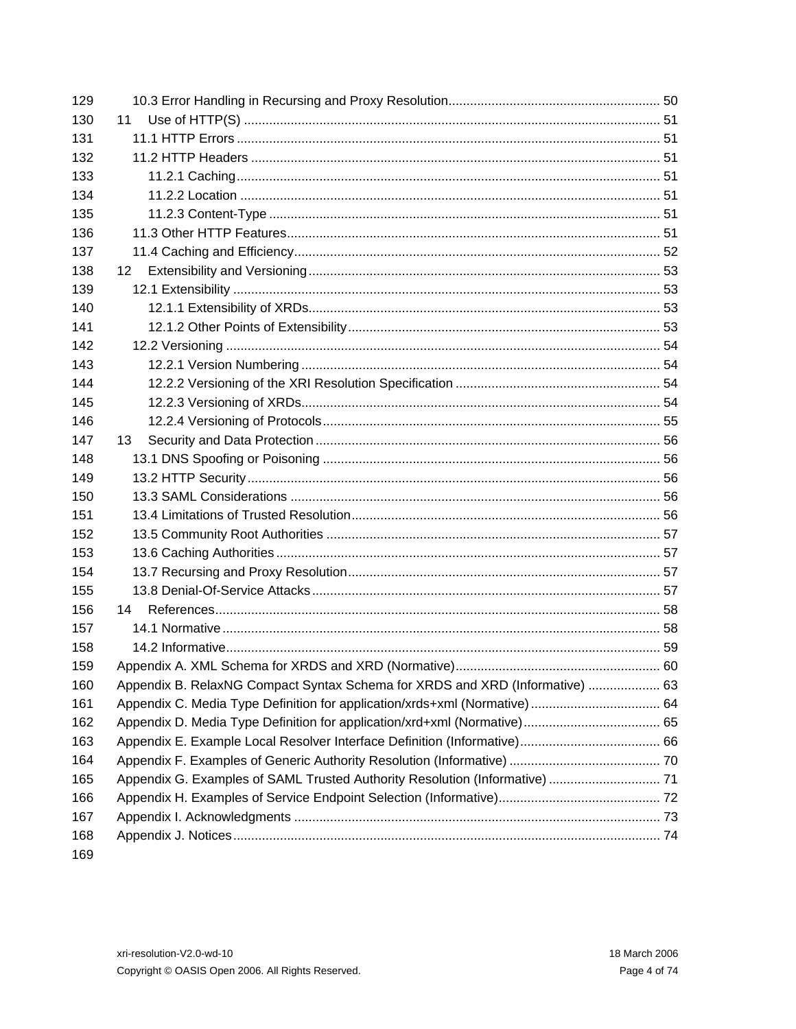| 129 |                                                                              |  |
|-----|------------------------------------------------------------------------------|--|
| 130 | 11                                                                           |  |
| 131 |                                                                              |  |
| 132 |                                                                              |  |
| 133 |                                                                              |  |
| 134 |                                                                              |  |
| 135 |                                                                              |  |
| 136 |                                                                              |  |
| 137 |                                                                              |  |
| 138 | 12.                                                                          |  |
| 139 |                                                                              |  |
| 140 |                                                                              |  |
| 141 |                                                                              |  |
| 142 |                                                                              |  |
| 143 |                                                                              |  |
| 144 |                                                                              |  |
| 145 |                                                                              |  |
| 146 |                                                                              |  |
| 147 | 13                                                                           |  |
| 148 |                                                                              |  |
| 149 |                                                                              |  |
| 150 |                                                                              |  |
| 151 |                                                                              |  |
| 152 |                                                                              |  |
| 153 |                                                                              |  |
| 154 |                                                                              |  |
| 155 |                                                                              |  |
| 156 | 14                                                                           |  |
| 157 |                                                                              |  |
| 158 |                                                                              |  |
| 159 |                                                                              |  |
| 160 | Appendix B. RelaxNG Compact Syntax Schema for XRDS and XRD (Informative)  63 |  |
| 161 | Appendix C. Media Type Definition for application/xrds+xml (Normative)  64   |  |
| 162 |                                                                              |  |
| 163 |                                                                              |  |
| 164 |                                                                              |  |
| 165 | Appendix G. Examples of SAML Trusted Authority Resolution (Informative)  71  |  |
| 166 |                                                                              |  |
| 167 |                                                                              |  |
| 168 |                                                                              |  |
| 169 |                                                                              |  |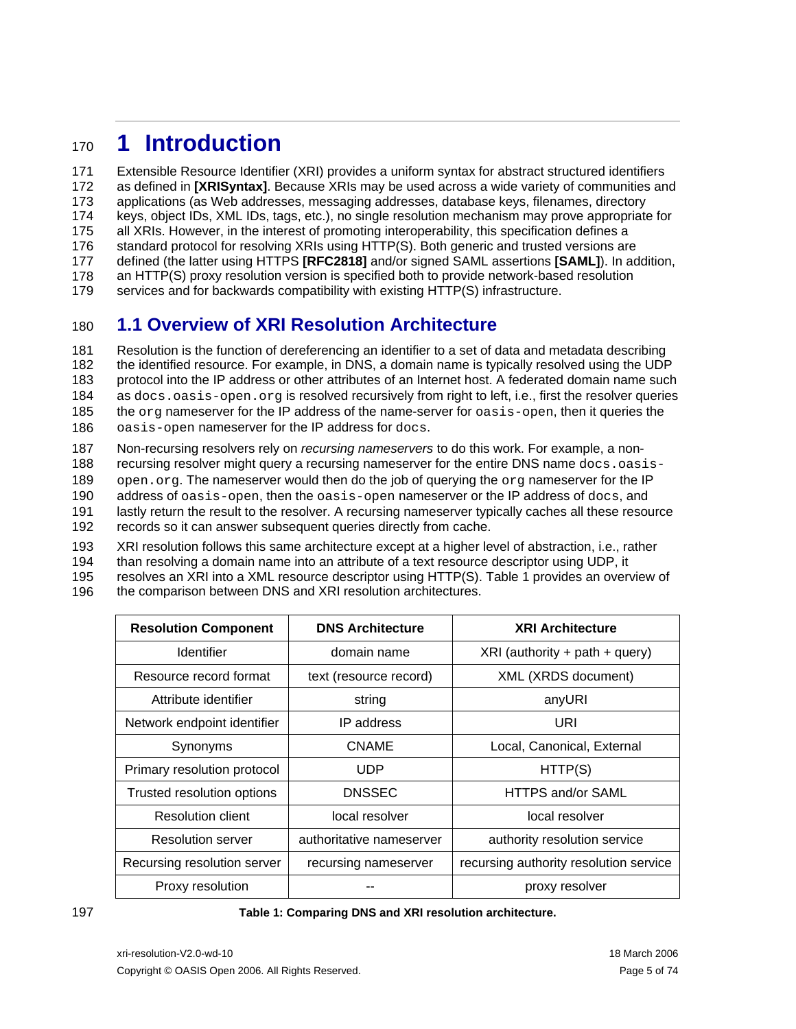## <span id="page-4-0"></span><sup>170</sup>**1 Introduction**

171 172 173 174 175 176 Extensible Resource Identifier (XRI) provides a uniform syntax for abstract structured identifiers as defined in **[\[XRISyntax\]](#page-58-0)**. Because XRIs may be used across a wide variety of communities and applications (as Web addresses, messaging addresses, database keys, filenames, directory keys, object IDs, XML IDs, tags, etc.), no single resolution mechanism may prove appropriate for all XRIs. However, in the interest of promoting interoperability, this specification defines a standard protocol for resolving XRIs using HTTP(S). Both generic and trusted versions are

177 defined (the latter using HTTPS **[\[RFC2818\]](#page-57-1)** and/or signed SAML assertions **[\[SAML\]](#page-57-2)**). In addition,

178 an HTTP(S) proxy resolution version is specified both to provide network-based resolution

179 services and for backwards compatibility with existing HTTP(S) infrastructure.

### <span id="page-4-2"></span>180 **1.1 Overview of XRI Resolution Architecture**

181 182 183 184 185 186 Resolution is the function of dereferencing an identifier to a set of data and metadata describing the identified resource. For example, in DNS, a domain name is typically resolved using the UDP protocol into the IP address or other attributes of an Internet host. A federated domain name such as docs.oasis-open.org is resolved recursively from right to left, i.e., first the resolver queries the org nameserver for the IP address of the name-server for oasis-open, then it queries the oasis-open nameserver for the IP address for docs.

187 Non-recursing resolvers rely on *recursing nameservers* to do this work. For example, a non-

188 recursing resolver might query a recursing nameserver for the entire DNS name docs.oasis-

189 open.org. The nameserver would then do the job of querying the org nameserver for the IP

190 address of oasis-open, then the oasis-open nameserver or the IP address of docs, and

191 192 lastly return the result to the resolver. A recursing nameserver typically caches all these resource records so it can answer subsequent queries directly from cache.

193 194 195 196 XRI resolution follows this same architecture except at a higher level of abstraction, i.e., rather than resolving a domain name into an attribute of a text resource descriptor using UDP, it resolves an XRI into a XML resource descriptor using HTTP(S). [Table 1](#page-4-1) provides an overview of the comparison between DNS and XRI resolution architectures.

| <b>Resolution Component</b> | <b>DNS Architecture</b>  | <b>XRI Architecture</b>                |
|-----------------------------|--------------------------|----------------------------------------|
| <b>Identifier</b>           | domain name              | $XRI$ (authority + path + query)       |
| Resource record format      | text (resource record)   | XML (XRDS document)                    |
| Attribute identifier        | string                   | anyURI                                 |
| Network endpoint identifier | IP address               | URI                                    |
| Synonyms                    | <b>CNAME</b>             | Local, Canonical, External             |
| Primary resolution protocol | UDP                      | HTTP(S)                                |
| Trusted resolution options  | <b>DNSSEC</b>            | HTTPS and/or SAML                      |
| Resolution client           | local resolver           | local resolver                         |
| Resolution server           | authoritative nameserver | authority resolution service           |
| Recursing resolution server | recursing nameserver     | recursing authority resolution service |
| Proxy resolution            |                          | proxy resolver                         |

### <span id="page-4-1"></span>197 **Table 1: Comparing DNS and XRI resolution architecture.**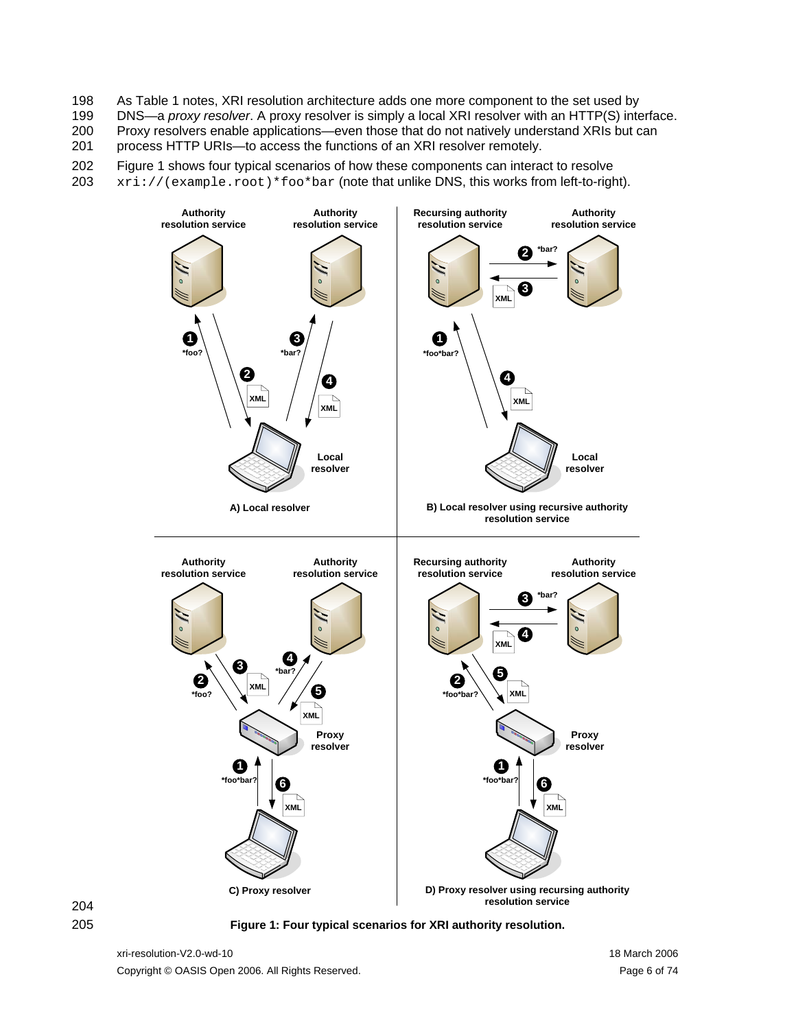As [Table 1](#page-4-1) notes, XRI resolution architecture adds one more component to the set used by 198

DNS—a *proxy resolver*. A proxy resolver is simply a local XRI resolver with an HTTP(S) interface. Proxy resolvers enable applications—even those that do not natively understand XRIs but can 199 200

process HTTP URIs—to access the functions of an XRI resolver remotely. 201

202 [Figure 1](#page-5-0) shows four typical scenarios of how these components can interact to resolve

203  $xri://(example(root)*foo*bar (note that unlike DNS, this works from left-to-right).$ 





<span id="page-5-0"></span>205 **Figure 1: Four typical scenarios for XRI authority resolution.** 

xri-resolution-V2.0-wd-10 2006 2006 2007 2012 18 March 2006 Copyright © OASIS Open 2006. All Rights Reserved. Page 6 of 74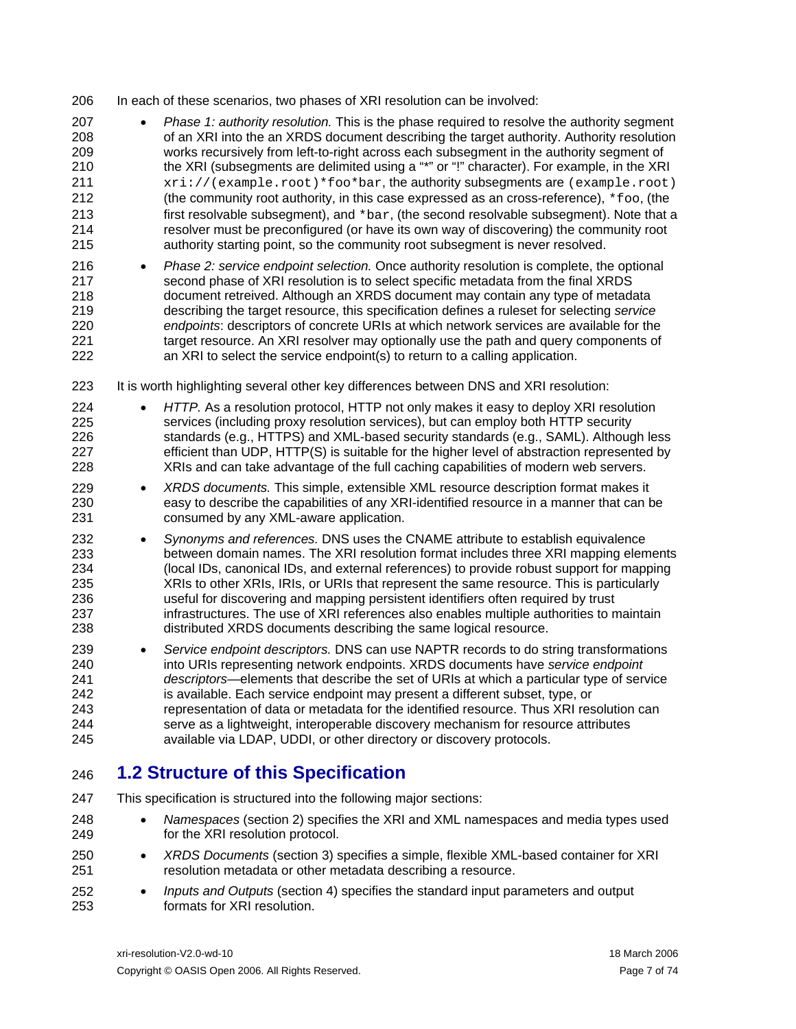<span id="page-6-0"></span> $0<sup>0</sup>$ In each of these scenarios, two phases of XRI resolution can be involved:

| ∠∪o                                                         |           | IN Bach of these scenarios, two phases of ART resolution can be involved.                                                                                                                                                                                                                                                                                                                                                                                                                                                                                                                                                                                                                                                                                                                                                                    |
|-------------------------------------------------------------|-----------|----------------------------------------------------------------------------------------------------------------------------------------------------------------------------------------------------------------------------------------------------------------------------------------------------------------------------------------------------------------------------------------------------------------------------------------------------------------------------------------------------------------------------------------------------------------------------------------------------------------------------------------------------------------------------------------------------------------------------------------------------------------------------------------------------------------------------------------------|
| 207<br>208<br>209<br>210<br>211<br>212<br>213<br>214<br>215 |           | Phase 1: authority resolution. This is the phase required to resolve the authority segment<br>of an XRI into the an XRDS document describing the target authority. Authority resolution<br>works recursively from left-to-right across each subsegment in the authority segment of<br>the XRI (subsegments are delimited using a "*" or "!" character). For example, in the XRI<br>xri://(example.root)*foo*bar, the authority subsegments are (example.root)<br>(the community root authority, in this case expressed as an cross-reference), $*f \circ \circ$ , (the<br>first resolvable subsegment), and *bar, (the second resolvable subsegment). Note that a<br>resolver must be preconfigured (or have its own way of discovering) the community root<br>authority starting point, so the community root subsegment is never resolved. |
| 216<br>217<br>218<br>219<br>220<br>221<br>222               |           | Phase 2: service endpoint selection. Once authority resolution is complete, the optional<br>second phase of XRI resolution is to select specific metadata from the final XRDS<br>document retreived. Although an XRDS document may contain any type of metadata<br>describing the target resource, this specification defines a ruleset for selecting service<br>endpoints: descriptors of concrete URIs at which network services are available for the<br>target resource. An XRI resolver may optionally use the path and query components of<br>an XRI to select the service endpoint(s) to return to a calling application.                                                                                                                                                                                                             |
| 223                                                         |           | It is worth highlighting several other key differences between DNS and XRI resolution:                                                                                                                                                                                                                                                                                                                                                                                                                                                                                                                                                                                                                                                                                                                                                       |
| 224<br>225<br>226<br>227<br>228                             |           | HTTP. As a resolution protocol, HTTP not only makes it easy to deploy XRI resolution<br>services (including proxy resolution services), but can employ both HTTP security<br>standards (e.g., HTTPS) and XML-based security standards (e.g., SAML). Although less<br>efficient than UDP, HTTP(S) is suitable for the higher level of abstraction represented by<br>XRIs and can take advantage of the full caching capabilities of modern web servers.                                                                                                                                                                                                                                                                                                                                                                                       |
| 229<br>230<br>231                                           | $\bullet$ | XRDS documents. This simple, extensible XML resource description format makes it<br>easy to describe the capabilities of any XRI-identified resource in a manner that can be<br>consumed by any XML-aware application.                                                                                                                                                                                                                                                                                                                                                                                                                                                                                                                                                                                                                       |
| 232<br>233<br>234<br>235<br>236<br>237<br>238               |           | Synonyms and references. DNS uses the CNAME attribute to establish equivalence<br>between domain names. The XRI resolution format includes three XRI mapping elements<br>(local IDs, canonical IDs, and external references) to provide robust support for mapping<br>XRIs to other XRIs, IRIs, or URIs that represent the same resource. This is particularly<br>useful for discovering and mapping persistent identifiers often required by trust<br>infrastructures. The use of XRI references also enables multiple authorities to maintain<br>distributed XRDS documents describing the same logical resource.                                                                                                                                                                                                                          |
| 239<br>240<br>241<br>242<br>243<br>244<br>245               |           | Service endpoint descriptors. DNS can use NAPTR records to do string transformations<br>into URIs representing network endpoints. XRDS documents have service endpoint<br>descriptors—elements that describe the set of URIs at which a particular type of service<br>is available. Each service endpoint may present a different subset, type, or<br>representation of data or metadata for the identified resource. Thus XRI resolution can<br>serve as a lightweight, interoperable discovery mechanism for resource attributes<br>available via LDAP, UDDI, or other directory or discovery protocols.                                                                                                                                                                                                                                   |
|                                                             |           |                                                                                                                                                                                                                                                                                                                                                                                                                                                                                                                                                                                                                                                                                                                                                                                                                                              |

### 246 **1.2 Structure of this Specification**

247 248 249 250 251 252 253 This specification is structured into the following major sections: • *Namespaces* (section [2\)](#page-8-1) specifies the XRI and XML namespaces and media types used for the XRI resolution protocol. • *XRDS Documents* (section [3](#page-10-1)) specifies a simple, flexible XML-based container for XRI resolution metadata or other metadata describing a resource. • *Inputs and Outputs* (section [4\)](#page-17-1) specifies the standard input parameters and output formats for XRI resolution.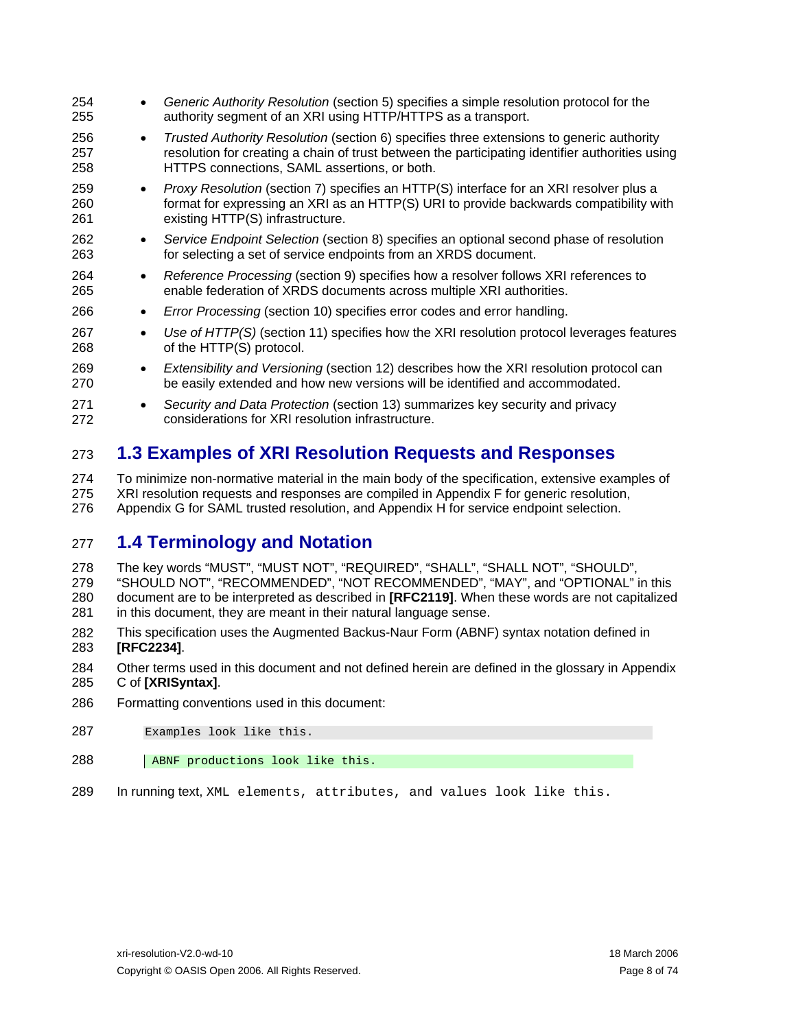<span id="page-7-0"></span>254 255 256 257 258 259 260 261 262 263 264 265 266 267 268 269 270 271 272 • *Generic Authority Resolution* (section [5](#page-22-1)) specifies a simple resolution protocol for the authority segment of an XRI using HTTP/HTTPS as a transport. • *Trusted Authority Resolution* (section [6](#page-29-1)) specifies three extensions to generic authority resolution for creating a chain of trust between the participating identifier authorities using HTTPS connections, SAML assertions, or both. • *Proxy Resolution* (section [7\)](#page-34-1) specifies an HTTP(S) interface for an XRI resolver plus a format for expressing an XRI as an HTTP(S) URI to provide backwards compatibility with existing HTTP(S) infrastructure. • *Service Endpoint Selection* (section [8\)](#page-38-1) specifies an optional second phase of resolution for selecting a set of service endpoints from an XRDS document. • *Reference Processing* (section [9\)](#page-43-1) specifies how a resolver follows XRI references to enable federation of XRDS documents across multiple XRI authorities. • *Error Processing* (section [10](#page-47-1)) specifies error codes and error handling. • *Use of HTTP(S)* (section [11\)](#page-50-1) specifies how the XRI resolution protocol leverages features of the HTTP(S) protocol. • *Extensibility and Versioning* (section [12](#page-52-1)) describes how the XRI resolution protocol can be easily extended and how new versions will be identified and accommodated. • *Security and Data Protection* (section [13\)](#page-55-1) summarizes key security and privacy considerations for XRI resolution infrastructure.

### 273 **1.3 Examples of XRI Resolution Requests and Responses**

274 275 276 To minimize non-normative material in the main body of the specification, extensive examples of XRI resolution requests and responses are compiled in Appendix F for generic resolution, Appendix G for SAML trusted resolution, and Appendix H for service endpoint selection.

### 277 **1.4 Terminology and Notation**

- 278 The key words "MUST", "MUST NOT", "REQUIRED", "SHALL", "SHALL NOT", "SHOULD",
- 279 280 281 "SHOULD NOT", "RECOMMENDED", "NOT RECOMMENDED", "MAY", and "OPTIONAL" in this document are to be interpreted as described in **[\[RFC2119\]](#page-57-3)**. When these words are not capitalized in this document, they are meant in their natural language sense.
- 282 283 This specification uses the Augmented Backus-Naur Form (ABNF) syntax notation defined in **[\[RFC2234\]](#page-57-4)**.
- 284 285 Other terms used in this document and not defined herein are defined in the glossary in Appendix C of **[\[XRISyntax\]](#page-58-0)**.
- 286 Formatting conventions used in this document:
- 287 Examples look like this.
- 288 ABNF productions look like this.
- 289 In running text, XML elements, attributes, and values look like this.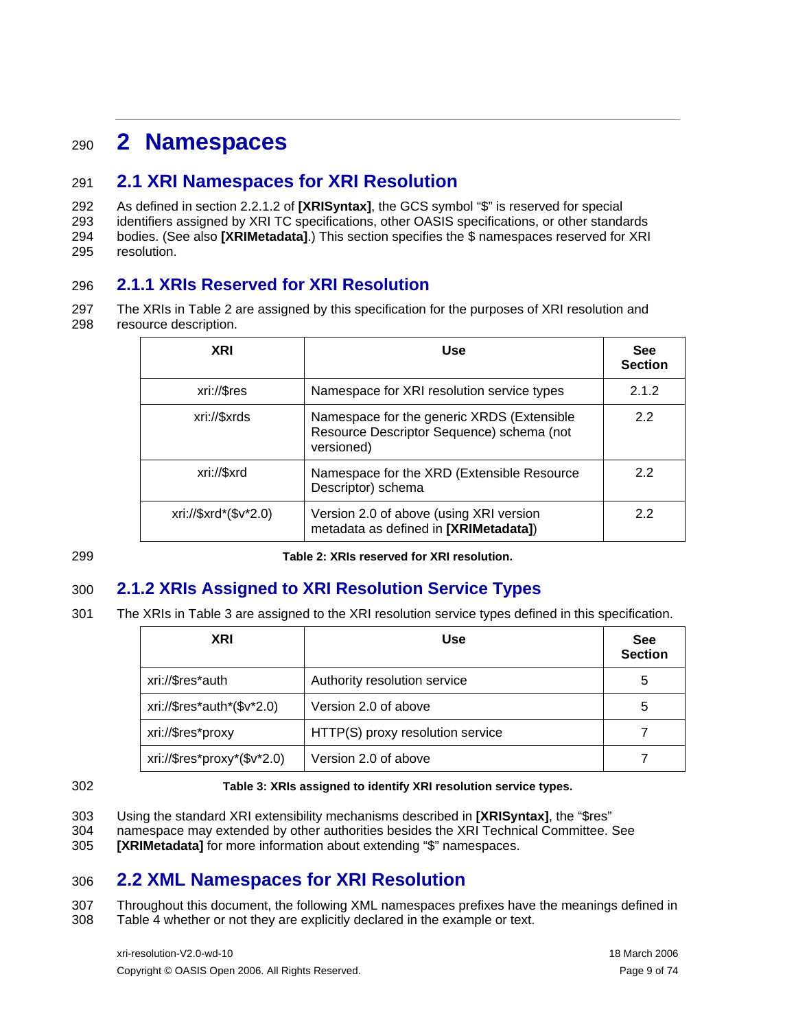## <span id="page-8-1"></span><span id="page-8-0"></span><sup>290</sup>**2 Namespaces**

### 291 **2.1 XRI Namespaces for XRI Resolution**

292 293 294 295 As defined in section 2.2.1.2 of **[\[XRISyntax\]](#page-58-0)**, the GCS symbol "\$" is reserved for special identifiers assigned by XRI TC specifications, other OASIS specifications, or other standards bodies. (See also **[\[XRIMetadata\]](#page-58-1)**.) This section specifies the \$ namespaces reserved for XRI resolution.

### <span id="page-8-5"></span>296 **2.1.1 XRIs Reserved for XRI Resolution**

297 298 The XRIs in [Table 2](#page-8-2) are assigned by this specification for the purposes of XRI resolution and resource description.

| <b>XRI</b>            | Use                                                                                                   | <b>See</b><br><b>Section</b> |
|-----------------------|-------------------------------------------------------------------------------------------------------|------------------------------|
| xri://\$res           | Namespace for XRI resolution service types                                                            | 2.1.2                        |
| xri://\$xrds          | Namespace for the generic XRDS (Extensible<br>Resource Descriptor Sequence) schema (not<br>versioned) | 2.2                          |
| xri://\$xrd           | Namespace for the XRD (Extensible Resource<br>Descriptor) schema                                      | 2.2                          |
| xri://\$xrd*(\$v*2.0) | Version 2.0 of above (using XRI version<br>metadata as defined in [XRIMetadata])                      | 2.2                          |

<span id="page-8-2"></span>299

**Table 2: XRIs reserved for XRI resolution.** 

### 300 **2.1.2 XRIs Assigned to XRI Resolution Service Types**

<span id="page-8-3"></span>301 The XRIs in [Table 3](#page-8-4) are assigned to the XRI resolution service types defined in this specification.

| <b>XRI</b>                  | Use                              | <b>See</b><br><b>Section</b> |
|-----------------------------|----------------------------------|------------------------------|
| xri://\$res*auth            | Authority resolution service     | 5                            |
| xri://\$res*auth*(\$v*2.0)  | Version 2.0 of above             | 5                            |
| xri://\$res*proxy           | HTTP(S) proxy resolution service |                              |
| xri://\$res*proxy*(\$v*2.0) | Version 2.0 of above             |                              |

<span id="page-8-4"></span>302

### **Table 3: XRIs assigned to identify XRI resolution service types.**

- 303 Using the standard XRI extensibility mechanisms described in **[\[XRISyntax\]](#page-58-0)**, the "\$res"
- 304 namespace may extended by other authorities besides the XRI Technical Committee. See
- 305 **[\[XRIMetadata\]](#page-58-1)** for more information about extending "\$" namespaces.

### 306 **2.2 XML Namespaces for XRI Resolution**

307 308 Throughout this document, the following XML namespaces prefixes have the meanings defined in [Table 4](#page-9-1) whether or not they are explicitly declared in the example or text.

xri-resolution-V2.0-wd-10 18 March 2006 Copyright © OASIS Open 2006. All Rights Reserved. Page 9 of 74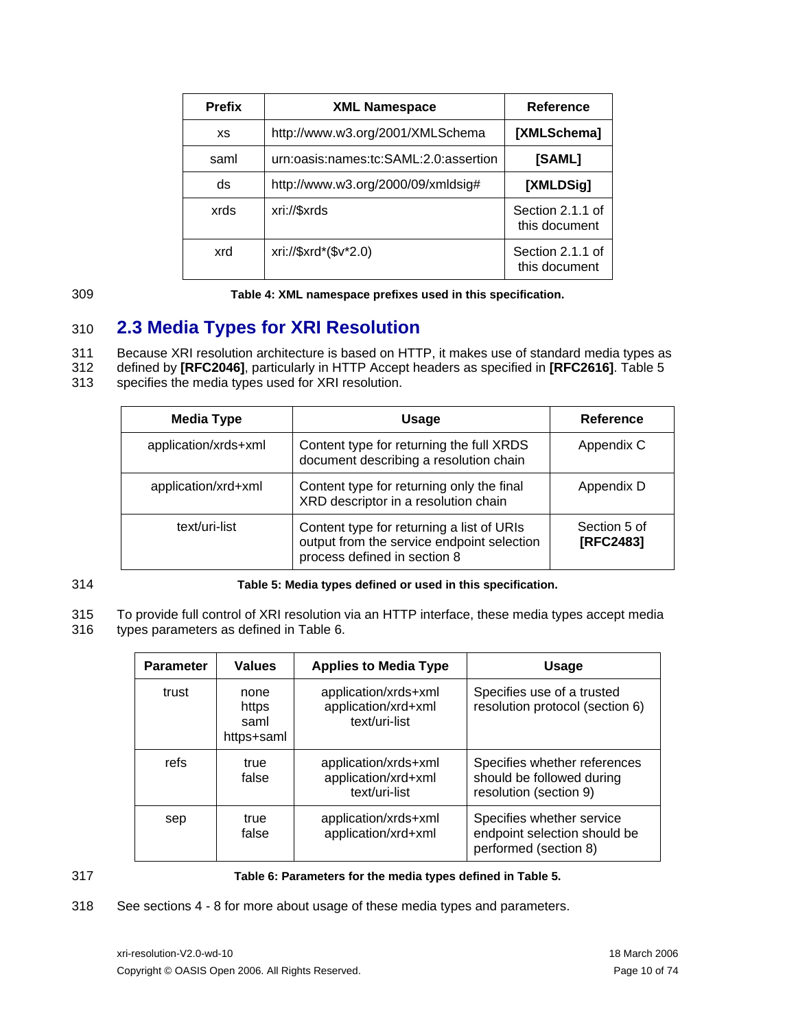<span id="page-9-0"></span>

| <b>Prefix</b> | <b>XML Namespace</b>                  | Reference                         |
|---------------|---------------------------------------|-----------------------------------|
| XS            | http://www.w3.org/2001/XMLSchema      | [XMLSchema]                       |
| saml          | urn:oasis:names:tc:SAML:2.0:assertion | [SAML]                            |
| ds            | http://www.w3.org/2000/09/xmldsig#    | [XMLDSig]                         |
| xrds          | xri://\$xrds                          | Section 2.1.1 of<br>this document |
| xrd           | xri://\$xrd*(\$v*2.0)                 | Section 2.1.1 of<br>this document |

<span id="page-9-1"></span>309

**Table 4: XML namespace prefixes used in this specification.** 

### 310 **2.3 Media Types for XRI Resolution**

<span id="page-9-4"></span>311 Because XRI resolution architecture is based on HTTP, it makes use of standard media types as

312 defined by **[\[RFC2046\]](#page-57-7)**, particularly in HTTP Accept headers as specified in **[\[RFC2616\]](#page-57-8)**. [Table 5](#page-9-2)

313 specifies the media types used for XRI resolution.

| <b>Media Type</b>    | <b>Usage</b>                                                                                                            | <b>Reference</b>          |
|----------------------|-------------------------------------------------------------------------------------------------------------------------|---------------------------|
| application/xrds+xml | Content type for returning the full XRDS<br>document describing a resolution chain                                      | Appendix C                |
| application/xrd+xml  | Content type for returning only the final<br>XRD descriptor in a resolution chain                                       | Appendix D                |
| text/uri-list        | Content type for returning a list of URIs<br>output from the service endpoint selection<br>process defined in section 8 | Section 5 of<br>[RFC2483] |

<span id="page-9-2"></span>314

**Table 5: Media types defined or used in this specification.** 

315 To provide full control of XRI resolution via an HTTP interface, these media types accept media

316 types parameters as defined in [Table 6.](#page-9-3)

| <b>Parameter</b> | <b>Values</b>                       | <b>Applies to Media Type</b>                                 | Usage                                                                               |
|------------------|-------------------------------------|--------------------------------------------------------------|-------------------------------------------------------------------------------------|
| trust            | none<br>https<br>saml<br>https+saml | application/xrds+xml<br>application/xrd+xml<br>text/uri-list | Specifies use of a trusted<br>resolution protocol (section 6)                       |
| refs             | true<br>false                       | application/xrds+xml<br>application/xrd+xml<br>text/uri-list | Specifies whether references<br>should be followed during<br>resolution (section 9) |
| sep              | true<br>false                       | application/xrds+xml<br>application/xrd+xml                  | Specifies whether service<br>endpoint selection should be<br>performed (section 8)  |

<span id="page-9-3"></span>317

### **Table 6: Parameters for the media types defined in [Table 5](#page-9-2).**

318 See sections [4](#page-17-1) - [8](#page-38-1) for more about usage of these media types and parameters.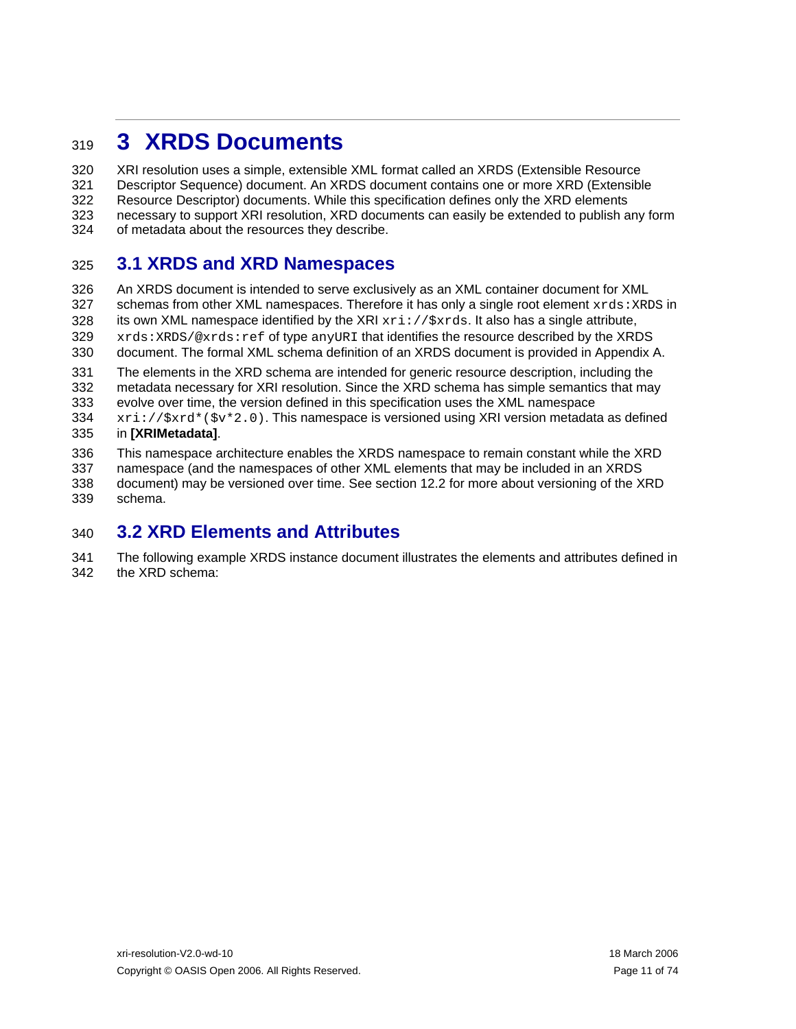## <span id="page-10-1"></span><span id="page-10-0"></span><sup>319</sup>**3 XRDS Documents**

320 321 322 323 324 XRI resolution uses a simple, extensible XML format called an XRDS (Extensible Resource Descriptor Sequence) document. An XRDS document contains one or more XRD (Extensible Resource Descriptor) documents. While this specification defines only the XRD elements necessary to support XRI resolution, XRD documents can easily be extended to publish any form of metadata about the resources they describe.

### 325 **3.1 XRDS and XRD Namespaces**

326 327 328 329 330 An XRDS document is intended to serve exclusively as an XML container document for XML schemas from other XML namespaces. Therefore it has only a single root element  $xrds:XRDS$  in its own XML namespace identified by the XRI  $xri://5xrds.$  It also has a single attribute, xrds:XRDS/@xrds:ref of type anyURI that identifies the resource described by the XRDS document. The formal XML schema definition of an XRDS document is provided in Appendix A.

331 332 The elements in the XRD schema are intended for generic resource description, including the metadata necessary for XRI resolution. Since the XRD schema has simple semantics that may

333 334 evolve over time, the version defined in this specification uses the XML namespace  $xri: //$ \$ $xrd*(5v*2.0)$ . This namespace is versioned using XRI version metadata as defined

#### 335 in **[\[XRIMetadata\]](#page-58-1)**.

336 This namespace architecture enables the XRDS namespace to remain constant while the XRD

337 338 339 namespace (and the namespaces of other XML elements that may be included in an XRDS document) may be versioned over time. See section [12.2](#page-53-1) for more about versioning of the XRD schema.

### <span id="page-10-3"></span>340 **3.2 XRD Elements and Attributes**

<span id="page-10-2"></span>341 342 The following example XRDS instance document illustrates the elements and attributes defined in the XRD schema: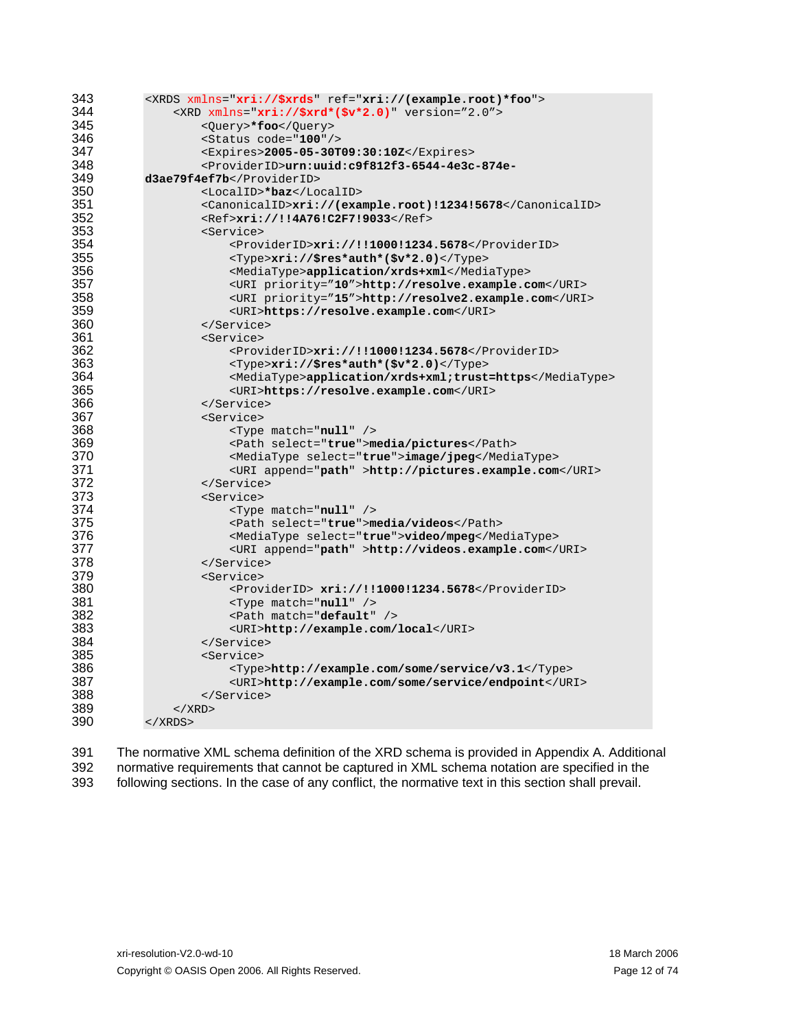| 343 | <xrds ref="xri://(example.root)*foo" xmlns="xri://\$xrds"></xrds>                    |
|-----|--------------------------------------------------------------------------------------|
| 344 | <xrd <="" math="" xmlns="&lt;math&gt;xri://\$xrd*(\$v*2.0)"> version="2.0"&gt;</xrd> |
| 345 | <query>*foo</query>                                                                  |
| 346 | <status code="100"></status>                                                         |
| 347 | <expires>2005-05-30T09:30:10Z</expires>                                              |
| 348 | <providerid>urn:uuid:c9f812f3-6544-4e3c-874e-</providerid>                           |
| 349 | d3ae79f4ef7b                                                                         |
| 350 | <localid>*baz</localid>                                                              |
| 351 | <canonicalid>xri://(example.root)!1234!5678</canonicalid>                            |
| 352 | <ref>xri://!!4A76!C2F7!9033</ref>                                                    |
| 353 | <service></service>                                                                  |
| 354 | <providerid>xri://!!1000!1234.5678</providerid>                                      |
| 355 | <type>xri://\$res*auth*(\$v*2.0)</type>                                              |
| 356 | <mediatype>application/xrds+xml</mediatype>                                          |
| 357 | <uri priority="10">http://resolve.example.com</uri>                                  |
| 358 | <uri priority="15">http://resolve2.example.com</uri>                                 |
| 359 | <uri>https://resolve.example.com</uri>                                               |
| 360 |                                                                                      |
| 361 | <service></service>                                                                  |
| 362 | <providerid>xri://!!1000!1234.5678</providerid>                                      |
| 363 | $<$ Type>xri://\$res*auth*(\$v*2.0)                                                  |
| 364 | <mediatype>application/xrds+xml;trust=https</mediatype>                              |
| 365 | <uri>https://resolve.example.com</uri>                                               |
| 366 |                                                                                      |
| 367 | <service></service>                                                                  |
| 368 | $<$ Type match=" $null"$ />                                                          |
| 369 | <path select="true">media/pictures</path>                                            |
| 370 | <mediatype select="&lt;b&gt;true&lt;/b&gt;">image/jpeg</mediatype>                   |
| 371 | <uri append="path">http://pictures.example.com</uri>                                 |
| 372 |                                                                                      |
| 373 | <service></service>                                                                  |
| 374 | <type match="null"></type>                                                           |
| 375 | <path select="true">media/videos</path>                                              |
| 376 | <mediatype select="&lt;b&gt;true&lt;/b&gt;"><b>video/mpeg</b></mediatype>            |
| 377 | <uri append="path">http://videos.example.com</uri>                                   |
| 378 |                                                                                      |
| 379 | <service></service>                                                                  |
| 380 | <providerid> xri://!!1000!1234.5678</providerid>                                     |
| 381 | <type match="null"></type>                                                           |
| 382 | <path match="default"></path>                                                        |
| 383 | <uri>http://example.com/local</uri>                                                  |
| 384 |                                                                                      |
| 385 | <service></service>                                                                  |
| 386 | <type>http://example.com/some/service/v3.1</type>                                    |
| 387 | <uri>http://example.com/some/service/endpoint</uri>                                  |
| 388 |                                                                                      |
| 389 | $\langle$ / XRD $\rangle$                                                            |
| 390 | $\langle$ / XRDS $>$                                                                 |

 The normative XML schema definition of the XRD schema is provided in Appendix A. Additional normative requirements that cannot be captured in XML schema notation are specified in the following sections. In the case of any conflict, the normative text in this section shall prevail.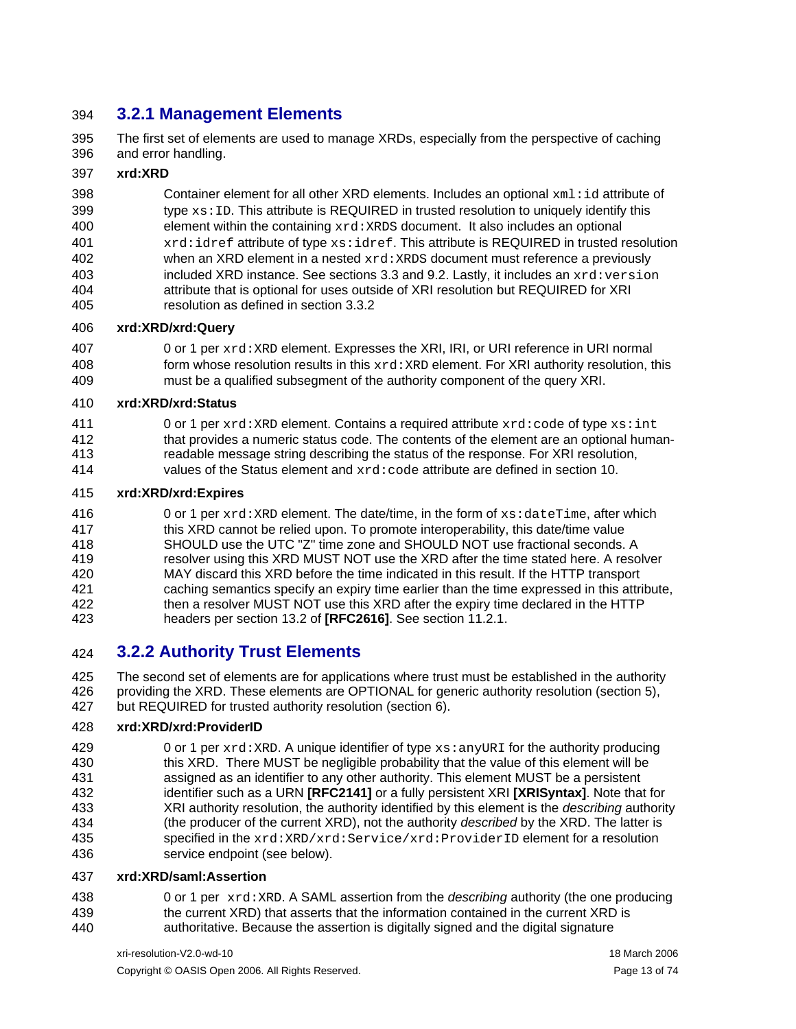### <span id="page-12-0"></span>394 **3.2.1 Management Elements**

395 396 The first set of elements are used to manage XRDs, especially from the perspective of caching and error handling.

#### 397 **xrd:XRD**

398 399 400 401 402 403 404 405 Container element for all other XRD elements. Includes an optional  $xml$ : id attribute of type  $xs:ID$ . This attribute is REQUIRED in trusted resolution to uniquely identify this element within the containing  $xrd:XRDS$  document. It also includes an optional xrd:idref attribute of type xs:idref. This attribute is REQUIRED in trusted resolution when an XRD element in a nested  $xrd : XRDS$  document must reference a previously included XRD instance. See sections [3.3](#page-15-1) and [9.2.](#page-44-1) Lastly, it includes an  $xrd:version$ attribute that is optional for uses outside of XRI resolution but REQUIRED for XRI resolution as defined in section [3.3.2](#page-15-2)

#### 406 **xrd:XRD/xrd:Query**

407 408 409 0 or 1 per xrd:XRD element. Expresses the XRI, IRI, or URI reference in URI normal form whose resolution results in this  $xrd:XRD$  element. For XRI authority resolution, this must be a qualified subsegment of the authority component of the query XRI.

#### 410 **xrd:XRD/xrd:Status**

- 411 0 or 1 per  $xrd:XRD$  element. Contains a required attribute  $xrd:code$  of type  $xs:int$
- 412 413 that provides a numeric status code. The contents of the element are an optional humanreadable message string describing the status of the response. For XRI resolution,
- 414 values of the Status element and xrd:code attribute are defined in section [10](#page-47-1).

#### 415 **xrd:XRD/xrd:Expires**

416 417 418 419 420 421 422 423 0 or 1 per  $xrd:XRD$  element. The date/time, in the form of  $xs:daterime$ , after which this XRD cannot be relied upon. To promote interoperability, this date/time value SHOULD use the UTC "Z" time zone and SHOULD NOT use fractional seconds. A resolver using this XRD MUST NOT use the XRD after the time stated here. A resolver MAY discard this XRD before the time indicated in this result. If the HTTP transport caching semantics specify an expiry time earlier than the time expressed in this attribute, then a resolver MUST NOT use this XRD after the expiry time declared in the HTTP headers per section 13.2 of **[\[RFC2616\]](#page-57-8)**. See section [11.2.1.](#page-50-2)

### 424 **3.2.2 Authority Trust Elements**

425 426 427 The second set of elements are for applications where trust must be established in the authority providing the XRD. These elements are OPTIONAL for generic authority resolution (section [5\)](#page-22-1), but REQUIRED for trusted authority resolution (section [6\)](#page-29-1).

#### 428 **xrd:XRD/xrd:ProviderID**

429 430 431 432 433 434 435 436 0 or 1 per  $xrd:XRD$ . A unique identifier of type  $xs:anyURI$  for the authority producing this XRD. There MUST be negligible probability that the value of this element will be assigned as an identifier to any other authority. This element MUST be a persistent identifier such as a URN **[\[RFC2141\]](#page-57-10)** or a fully persistent XRI **[\[XRISyntax\]](#page-58-0)**. Note that for XRI authority resolution, the authority identified by this element is the *describing* authority (the producer of the current XRD), not the authority *described* by the XRD. The latter is specified in the xrd:XRD/xrd:Service/xrd:ProviderID element for a resolution service endpoint (see below).

#### 437 **xrd:XRD/saml:Assertion**

438 439 440 0 or 1 per xrd:XRD. A SAML assertion from the *describing* authority (the one producing the current XRD) that asserts that the information contained in the current XRD is authoritative. Because the assertion is digitally signed and the digital signature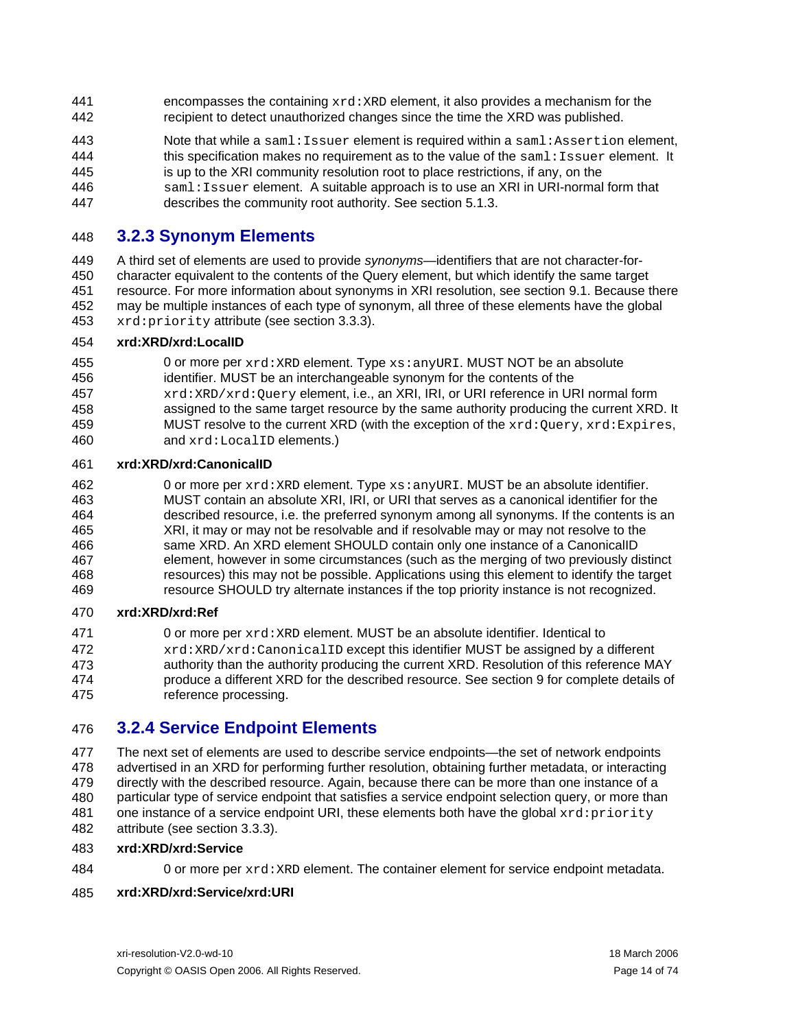- <span id="page-13-0"></span>encompasses the containing  $xrd:XRD$  element, it also provides a mechanism for the recipient to detect unauthorized changes since the time the XRD was published. 441 442
- 443 444 Note that while a saml:Issuer element is required within a saml:Assertion element, this specification makes no requirement as to the value of the  $sam1:Issuer$  element. It
- 445 is up to the XRI community resolution root to place restrictions, if any, on the
- 446 saml: Issuer element. A suitable approach is to use an XRI in URI-normal form that
- 447 describes the community root authority. See section [5.1.3.](#page-25-1)

### 448 **3.2.3 Synonym Elements**

449 450 451 452 453 A third set of elements are used to provide *synonyms*—identifiers that are not character-forcharacter equivalent to the contents of the Query element, but which identify the same target resource. For more information about synonyms in XRI resolution, see section [9.1.](#page-43-2) Because there may be multiple instances of each type of synonym, all three of these elements have the global xrd:priority attribute (see section [3.3.3\)](#page-15-3).

#### 454 **xrd:XRD/xrd:LocalID**

- 455 456 457 458 459 0 or more per  $xrd:XRD$  element. Type  $xs:anyURL$ . MUST NOT be an absolute identifier. MUST be an interchangeable synonym for the contents of the xrd:XRD/xrd:Query element, i.e., an XRI, IRI, or URI reference in URI normal form assigned to the same target resource by the same authority producing the current XRD. It MUST resolve to the current XRD (with the exception of the  $xrd:Query, xrd:Express,$
- 460 and xrd:LocalID elements.)

#### 461 **xrd:XRD/xrd:CanonicalID**

462 463 464 465 466 467 468 469 0 or more per xrd: XRD element. Type xs: anyURI. MUST be an absolute identifier. MUST contain an absolute XRI, IRI, or URI that serves as a canonical identifier for the described resource, i.e. the preferred synonym among all synonyms. If the contents is an XRI, it may or may not be resolvable and if resolvable may or may not resolve to the same XRD. An XRD element SHOULD contain only one instance of a CanonicalID element, however in some circumstances (such as the merging of two previously distinct resources) this may not be possible. Applications using this element to identify the target resource SHOULD try alternate instances if the top priority instance is not recognized.

#### 470 **xrd:XRD/xrd:Ref**

471 472 473 474 475 0 or more per xrd:XRD element. MUST be an absolute identifier. Identical to xrd:XRD/xrd:CanonicalID except this identifier MUST be assigned by a different authority than the authority producing the current XRD. Resolution of this reference MAY produce a different XRD for the described resource. See section [9](#page-43-1) for complete details of reference processing.

### 476 **3.2.4 Service Endpoint Elements**

477 478 479 480 481 482 The next set of elements are used to describe service endpoints—the set of network endpoints advertised in an XRD for performing further resolution, obtaining further metadata, or interacting directly with the described resource. Again, because there can be more than one instance of a particular type of service endpoint that satisfies a service endpoint selection query, or more than one instance of a service endpoint URI, these elements both have the global  $xrd:priority$ attribute (see section [3.3.3\)](#page-15-3).

#### 483 **xrd:XRD/xrd:Service**

- 484
- 0 or more per  $xrd:XRD$  element. The container element for service endpoint metadata.

#### 485 **xrd:XRD/xrd:Service/xrd:URI**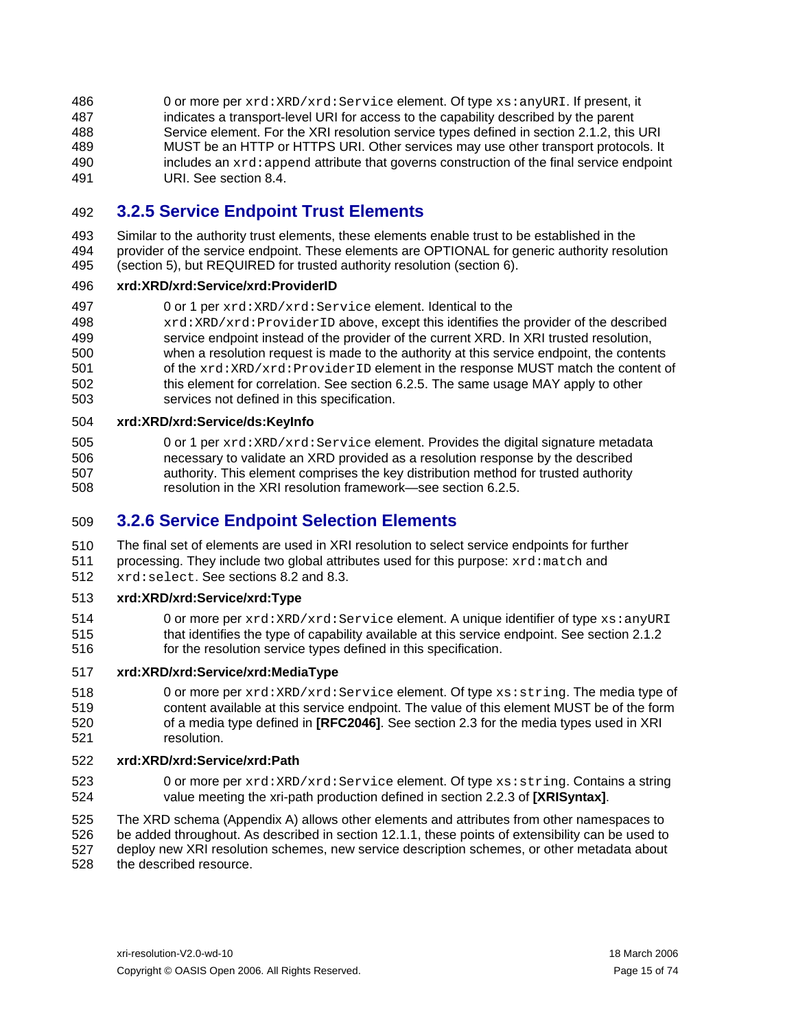<span id="page-14-0"></span>0 or more per xrd:XRD/xrd:Service element. Of type xs:anyURI. If present, it indicates a transport-level URI for access to the capability described by the parent Service element. For the XRI resolution service types defined in section [2.1.2](#page-8-3), this URI 486 487 488 489 490 491 MUST be an HTTP or HTTPS URI. Other services may use other transport protocols. It includes an  $xrd:append$  attribute that governs construction of the final service endpoint URI. See section [8.4.](#page-41-1)

### 492 **3.2.5 Service Endpoint Trust Elements**

493 494 495 Similar to the authority trust elements, these elements enable trust to be established in the provider of the service endpoint. These elements are OPTIONAL for generic authority resolution (section [5](#page-22-1)), but REQUIRED for trusted authority resolution (section [6\)](#page-29-1).

#### 496 **xrd:XRD/xrd:Service/xrd:ProviderID**

- 497 0 or 1 per xrd:XRD/xrd:Service element. Identical to the
- 498 499 500 501 502 503 xrd:XRD/xrd:ProviderID above, except this identifies the provider of the described service endpoint instead of the provider of the current XRD. In XRI trusted resolution, when a resolution request is made to the authority at this service endpoint, the contents of the xrd:XRD/xrd:ProviderID element in the response MUST match the content of this element for correlation. See section [6.2.5.](#page-32-1) The same usage MAY apply to other services not defined in this specification.

#### 504 **xrd:XRD/xrd:Service/ds:KeyInfo**

505 506 507 508 0 or 1 per xrd:XRD/xrd:Service element. Provides the digital signature metadata necessary to validate an XRD provided as a resolution response by the described authority. This element comprises the key distribution method for trusted authority resolution in the XRI resolution framework—see section [6.2.5](#page-32-1).

### 509 **3.2.6 Service Endpoint Selection Elements**

510 511 512 The final set of elements are used in XRI resolution to select service endpoints for further processing. They include two global attributes used for this purpose: xrd:match and xrd:select. See sections [8.2](#page-39-1) and [8.3.](#page-41-2)

#### 513 **xrd:[XRD/xrd:Service/xrd:Type](mailto:/NamingAuthority/LocalAccess/@type)**

514 515 516 0 or more per xrd:XRD/xrd:Service element. A unique identifier of type xs:anyURI that identifies the type of capability available at this service endpoint. See section [2.1.2](#page-8-3) for the resolution service types defined in this specification.

#### 517 **xrd:XRD/xrd:Service/xrd:MediaType**

518 519 520 521 0 or more per xrd:XRD/xrd:Service element. Of type xs:string. The media type of content available at this service endpoint. The value of this element MUST be of the form of a media type defined in **[\[RFC2046\]](#page-57-7)**. See section [2.3](#page-9-4) for the media types used in XRI resolution.

#### 522 **xrd:XRD/xrd:Service/xrd:Path**

- 523 524 0 or more per xrd:XRD/xrd:Service element. Of type xs: string. Contains a string value meeting the xri-path production defined in section 2.2.3 of **[\[XRISyntax\]](#page-58-0)**.
- 525 526 527 528 The XRD schema (Appendix A) allows other elements and attributes from other namespaces to be added throughout. As described in section [12.1.1](#page-52-2), these points of extensibility can be used to deploy new XRI resolution schemes, new service description schemes, or other metadata about the described resource.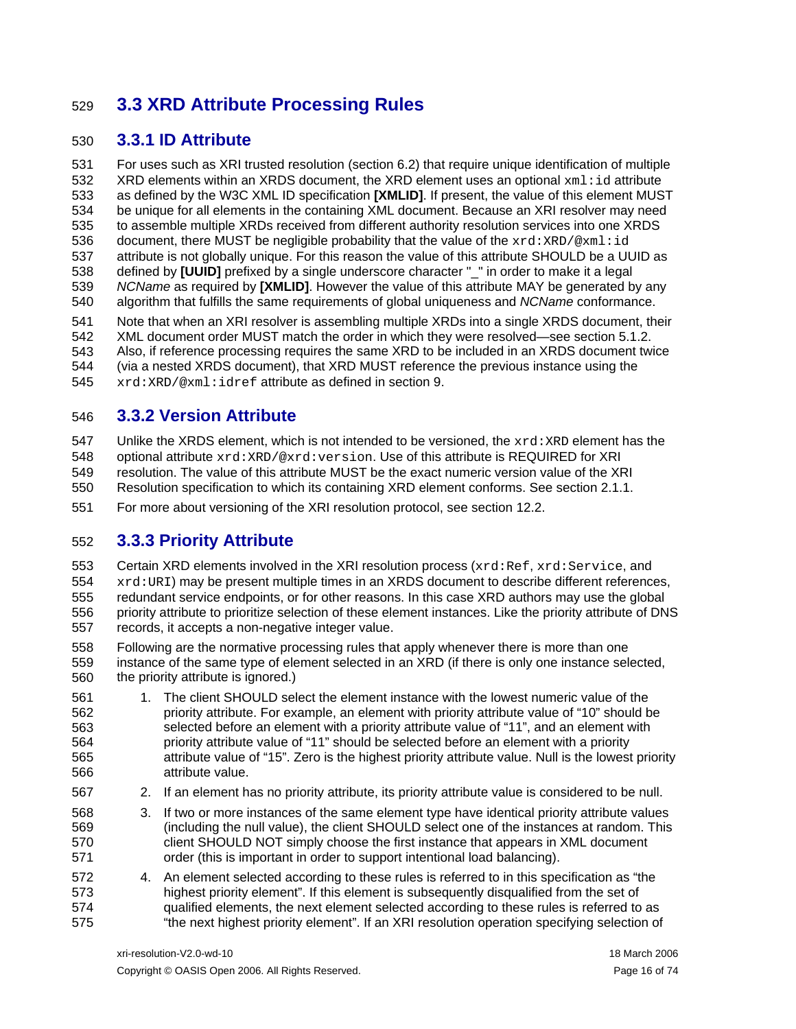## <span id="page-15-1"></span><span id="page-15-0"></span>529 **3.3 XRD Attribute Processing Rules**

### 530 **3.3.1 ID Attribute**

531 532 533 534 535 536 537 538 539 540 For uses such as XRI trusted resolution (section [6.2\)](#page-29-2) that require unique identification of multiple  $XRD$  elements within an XRDS document, the XRD element uses an optional  $xml$ :id attribute as defined by the W3C XML ID specification **[\[XMLID\]](#page-57-11)**. If present, the value of this element MUST be unique for all elements in the containing XML document. Because an XRI resolver may need to assemble multiple XRDs received from different authority resolution services into one XRDS document, there MUST be negligible probability that the value of the  $xrd:XRD/\&xml:id$ attribute is not globally unique. For this reason the value of this attribute SHOULD be a UUID as defined by **[\[UUID\]](#page-57-12)** prefixed by a single underscore character "\_" in order to make it a legal *NCName* as required by **[\[XMLID\]](#page-57-11)**. However the value of this attribute MAY be generated by any algorithm that fulfills the same requirements of global uniqueness and *NCName* conformance.

541 542 543 544 545 Note that when an XRI resolver is assembling multiple XRDs into a single XRDS document, their XML document order MUST match the order in which they were resolved—see section [5.1.2](#page-23-1). Also, if reference processing requires the same XRD to be included in an XRDS document twice (via a nested XRDS document), that XRD MUST reference the previous instance using the xrd:XRD/@xml:idref attribute as defined in section [9](#page-43-1).

### <span id="page-15-2"></span>546 **3.3.2 Version Attribute**

547 Unlike the XRDS element, which is not intended to be versioned, the  $xrd : XRD$  element has the

548 optional attribute xrd:XRD/@xrd:version. Use of this attribute is REQUIRED for XRI

549 550 resolution. The value of this attribute MUST be the exact numeric version value of the XRI Resolution specification to which its containing XRD element conforms. See section [2.1.1.](#page-8-5)

551 For more about versioning of the XRI resolution protocol, see section [12.2.](#page-53-1)

### <span id="page-15-3"></span>552 **3.3.3 Priority Attribute**

553 554 555 556 557 Certain XRD elements involved in the XRI resolution process (xrd:Ref, xrd:Service, and  $xrd:URI$ ) may be present multiple times in an XRDS document to describe different references, redundant service endpoints, or for other reasons. In this case XRD authors may use the global priority attribute to prioritize selection of these element instances. Like the priority attribute of DNS records, it accepts a non-negative integer value.

- 558 559 560 Following are the normative processing rules that apply whenever there is more than one instance of the same type of element selected in an XRD (if there is only one instance selected, the priority attribute is ignored.)
- 561 562 563 564 565 566 1. The client SHOULD select the element instance with the lowest numeric value of the priority attribute. For example, an element with priority attribute value of "10" should be selected before an element with a priority attribute value of "11", and an element with priority attribute value of "11" should be selected before an element with a priority attribute value of "15". Zero is the highest priority attribute value. Null is the lowest priority attribute value.
- 567 2. If an element has no priority attribute, its priority attribute value is considered to be null.
- 568 569 570 571 3. If two or more instances of the same element type have identical priority attribute values (including the null value), the client SHOULD select one of the instances at random. This client SHOULD NOT simply choose the first instance that appears in XML document order (this is important in order to support intentional load balancing).
- 572 573 574 575 4. An element selected according to these rules is referred to in this specification as "the highest priority element". If this element is subsequently disqualified from the set of qualified elements, the next element selected according to these rules is referred to as "the next highest priority element". If an XRI resolution operation specifying selection of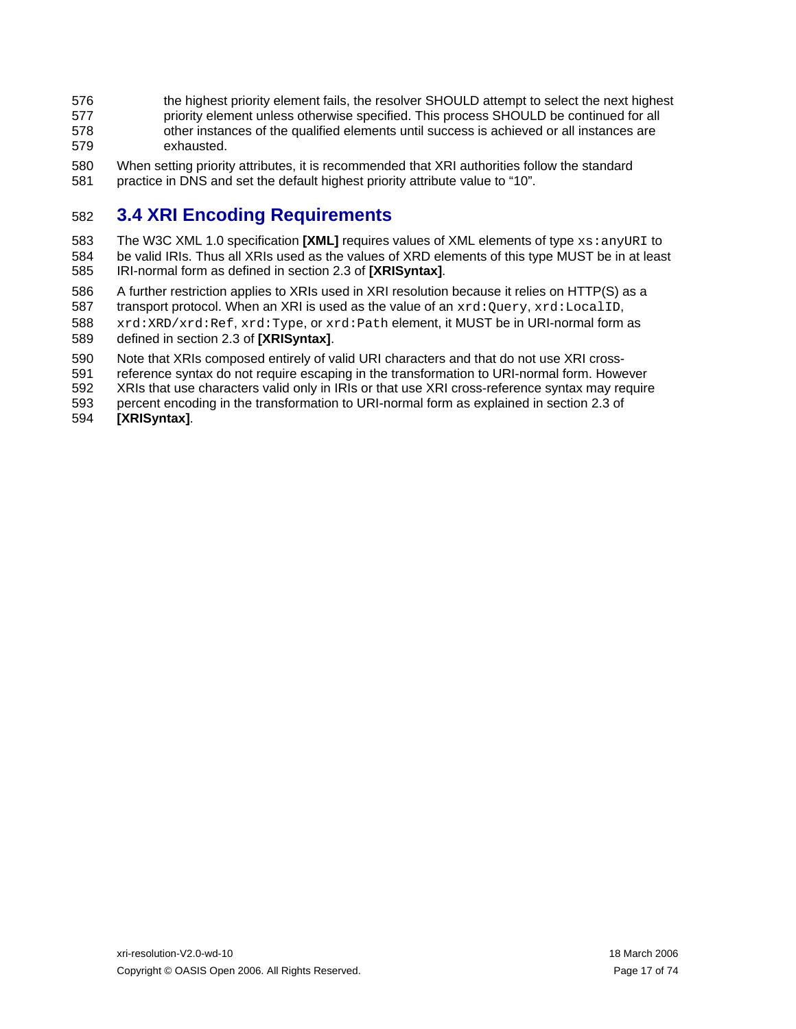- <span id="page-16-0"></span>576 577 578 579 the highest priority element fails, the resolver SHOULD attempt to select the next highest priority element unless otherwise specified. This process SHOULD be continued for all other instances of the qualified elements until success is achieved or all instances are exhausted.
- 580 581 When setting priority attributes, it is recommended that XRI authorities follow the standard practice in DNS and set the default highest priority attribute value to "10".

### 582 **3.4 XRI Encoding Requirements**

- 583 584 585 The W3C XML 1.0 specification [\[XML\]](#page-57-13) requires values of XML elements of type xs: anyURI to be valid IRIs. Thus all XRIs used as the values of XRD elements of this type MUST be in at least IRI-normal form as defined in section 2.3 of **[\[XRISyntax\]](#page-58-0)**.
- 586 A further restriction applies to XRIs used in XRI resolution because it relies on HTTP(S) as a
- 587 transport protocol. When an XRI is used as the value of an  $xrd:Query, xrd:LocalID$ ,
- 588 xrd:XRD/xrd:Ref, xrd:Type, or xrd:Path element, it MUST be in URI-normal form as
- 589 defined in section 2.3 of **[\[XRISyntax\]](#page-58-0)**.
- 590 Note that XRIs composed entirely of valid URI characters and that do not use XRI cross-
- 591 reference syntax do not require escaping in the transformation to URI-normal form. However
- 592 XRIs that use characters valid only in IRIs or that use XRI cross-reference syntax may require
- 593 percent encoding in the transformation to URI-normal form as explained in section 2.3 of
- 594 **[\[XRISyntax\]](#page-58-0)**.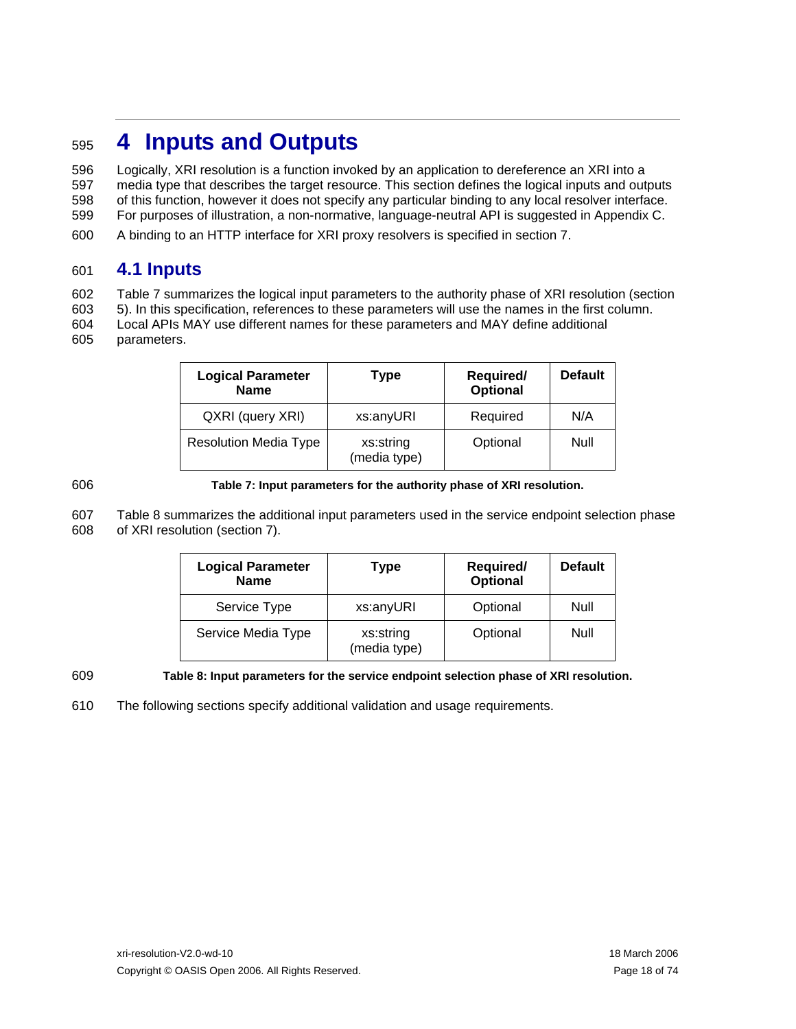## <span id="page-17-1"></span><span id="page-17-0"></span><sup>595</sup>**4 Inputs and Outputs**

596 597 598 Logically, XRI resolution is a function invoked by an application to dereference an XRI into a media type that describes the target resource. This section defines the logical inputs and outputs of this function, however it does not specify any particular binding to any local resolver interface.

- 599 For purposes of illustration, a non-normative, language-neutral API is suggested in Appendix C.
- 600 A binding to an HTTP interface for XRI proxy resolvers is specified in section [7.](#page-34-1)

### <span id="page-17-4"></span>601 **4.1 Inputs**

602 [Table 7](#page-17-2) summarizes the logical input parameters to the authority phase of XRI resolution (section

- 603 604 [5\)](#page-22-1). In this specification, references to these parameters will use the names in the first column. Local APIs MAY use different names for these parameters and MAY define additional
- 605 parameters.

| <b>Logical Parameter</b><br><b>Name</b> | Type                      | Required/<br>Optional | <b>Default</b> |
|-----------------------------------------|---------------------------|-----------------------|----------------|
| QXRI (query XRI)                        | xs:anyURI                 | Required              | N/A            |
| <b>Resolution Media Type</b>            | xs:string<br>(media type) | Optional              | Null           |

### <span id="page-17-2"></span>606

### **Table 7: Input parameters for the authority phase of XRI resolution.**

607 608 [Table 8](#page-17-3) summarizes the additional input parameters used in the service endpoint selection phase of XRI resolution (section [7](#page-38-1)).

| <b>Logical Parameter</b><br><b>Name</b> | Type                      | Required/<br>Optional | <b>Default</b> |
|-----------------------------------------|---------------------------|-----------------------|----------------|
| Service Type                            | xs:anyURI                 | Optional              | Null           |
| Service Media Type                      | xs:string<br>(media type) | Optional              | Null           |

<span id="page-17-3"></span>609

### **Table 8: Input parameters for the service endpoint selection phase of XRI resolution.**

610 The following sections specify additional validation and usage requirements.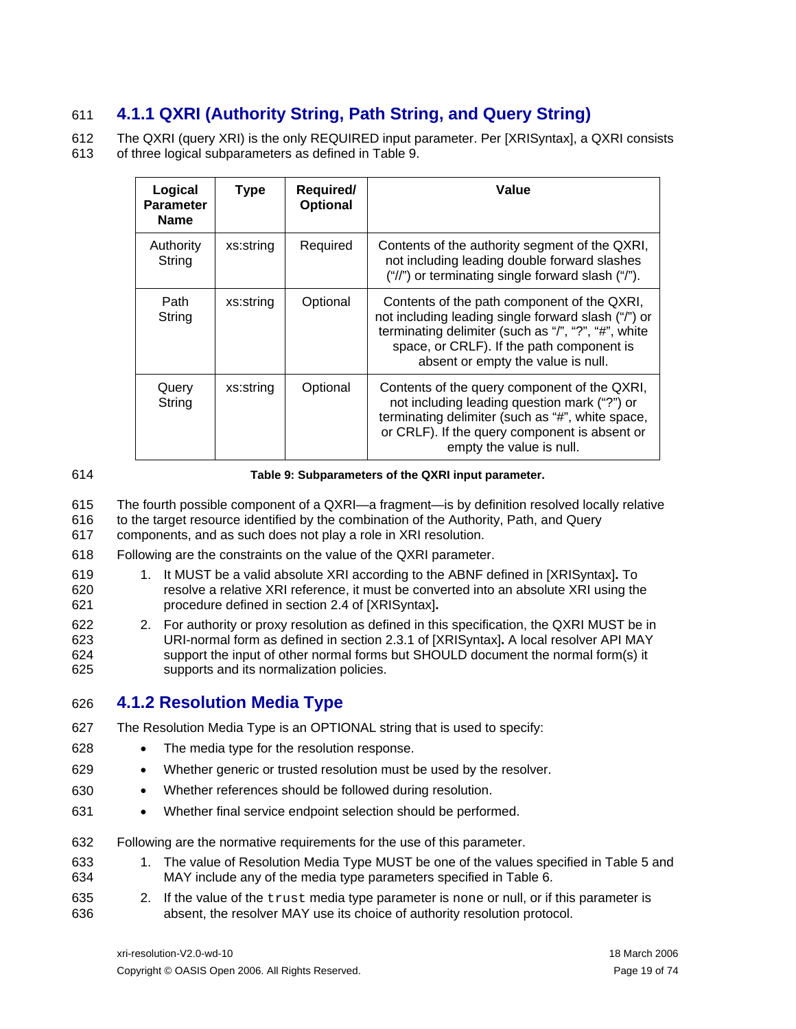### <span id="page-18-0"></span>611 **4.1.1 QXRI (Authority String, Path String, and Query String)**

612 613 The QXRI (query XRI) is the only REQUIRED input parameter. Per [\[XRISyntax\]](#page-58-0), a QXRI consists of three logical subparameters as defined in [Table 9](#page-18-1).

| Logical<br><b>Parameter</b><br><b>Name</b> | <b>Type</b> | Required/<br><b>Optional</b> | Value                                                                                                                                                                                                                                        |
|--------------------------------------------|-------------|------------------------------|----------------------------------------------------------------------------------------------------------------------------------------------------------------------------------------------------------------------------------------------|
| Authority<br>String                        | xs:string   | Required                     | Contents of the authority segment of the QXRI,<br>not including leading double forward slashes<br>("/") or terminating single forward slash ("/").                                                                                           |
| Path<br>String                             | xs:string   | Optional                     | Contents of the path component of the QXRI,<br>not including leading single forward slash ("/") or<br>terminating delimiter (such as "/", "?", "#", white<br>space, or CRLF). If the path component is<br>absent or empty the value is null. |
| Query<br>String                            | xs:string   | Optional                     | Contents of the query component of the QXRI,<br>not including leading question mark ("?") or<br>terminating delimiter (such as "#", white space,<br>or CRLF). If the query component is absent or<br>empty the value is null.                |

### <span id="page-18-1"></span>614

### **Table 9: Subparameters of the QXRI input parameter.**

- 615 616 The fourth possible component of a QXRI—a fragment—is by definition resolved locally relative to the target resource identified by the combination of the Authority, Path, and Query
- 617 components, and as such does not play a role in XRI resolution.
- 618 Following are the constraints on the value of the QXRI parameter.
- 619 620 621 1. It MUST be a valid absolute XRI according to the ABNF defined in [\[XRISyntax\]](#page-58-0)**.** To resolve a relative XRI reference, it must be converted into an absolute XRI using the procedure defined in section 2.4 of [\[XRISyntax\]](#page-58-0)**.**
- 622 623 624 625 2. For authority or proxy resolution as defined in this specification, the QXRI MUST be in URI-normal form as defined in section 2.3.1 of [\[XRISyntax\]](#page-58-0)**.** A local resolver API MAY support the input of other normal forms but SHOULD document the normal form(s) it supports and its normalization policies.

### 626 **4.1.2 Resolution Media Type**

- 627 The Resolution Media Type is an OPTIONAL string that is used to specify:
- 628 • The media type for the resolution response.
- 629 • Whether generic or trusted resolution must be used by the resolver.
- 630 • Whether references should be followed during resolution.
- 631 • Whether final service endpoint selection should be performed.

632 Following are the normative requirements for the use of this parameter.

- 633 634 1. The value of Resolution Media Type MUST be one of the values specified in [Table 5](#page-9-2) and MAY include any of the media type parameters specified in [Table 6.](#page-9-3)
- 635 636 2. If the value of the trust media type parameter is none or null, or if this parameter is absent, the resolver MAY use its choice of authority resolution protocol.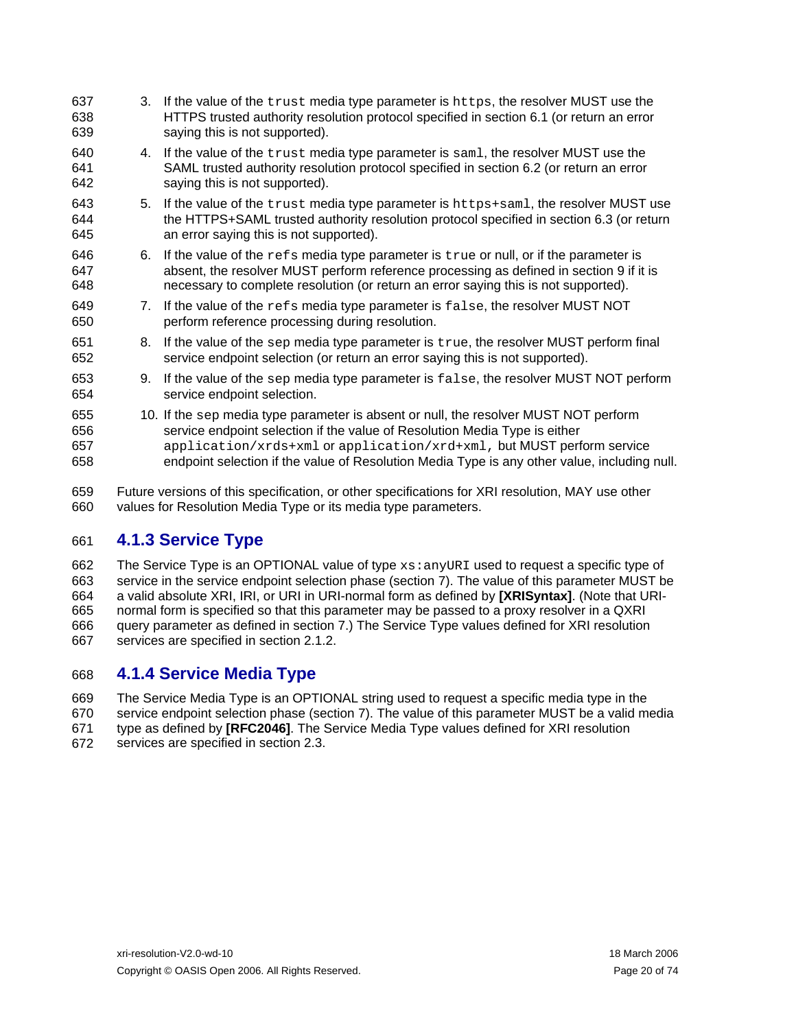<span id="page-19-0"></span>

| 637<br>638<br>639        |    | 3. If the value of the trust media type parameter is https, the resolver MUST use the<br>HTTPS trusted authority resolution protocol specified in section 6.1 (or return an error<br>saying this is not supported).                                                                                                                         |
|--------------------------|----|---------------------------------------------------------------------------------------------------------------------------------------------------------------------------------------------------------------------------------------------------------------------------------------------------------------------------------------------|
| 640<br>641<br>642        |    | 4. If the value of the trust media type parameter is saml, the resolver MUST use the<br>SAML trusted authority resolution protocol specified in section 6.2 (or return an error<br>saying this is not supported).                                                                                                                           |
| 643<br>644<br>645        |    | 5. If the value of the trust media type parameter is https+sam1, the resolver MUST use<br>the HTTPS+SAML trusted authority resolution protocol specified in section 6.3 (or return<br>an error saying this is not supported).                                                                                                               |
| 646<br>647<br>648        |    | 6. If the value of the $refs$ media type parameter is $true$ or null, or if the parameter is<br>absent, the resolver MUST perform reference processing as defined in section 9 if it is<br>necessary to complete resolution (or return an error saying this is not supported).                                                              |
| 649<br>650               |    | 7. If the value of the refs media type parameter is false, the resolver MUST NOT<br>perform reference processing during resolution.                                                                                                                                                                                                         |
| 651<br>652               | 8. | If the value of the sep media type parameter is true, the resolver MUST perform final<br>service endpoint selection (or return an error saying this is not supported).                                                                                                                                                                      |
| 653<br>654               |    | 9. If the value of the sep media type parameter is false, the resolver MUST NOT perform<br>service endpoint selection.                                                                                                                                                                                                                      |
| 655<br>656<br>657<br>658 |    | 10. If the sep media type parameter is absent or null, the resolver MUST NOT perform<br>service endpoint selection if the value of Resolution Media Type is either<br>application/xrds+xml or application/xrd+xml, but MUST perform service<br>endpoint selection if the value of Resolution Media Type is any other value, including null. |

659 660 Future versions of this specification, or other specifications for XRI resolution, MAY use other values for Resolution Media Type or its media type parameters.

### 661 **4.1.3 Service Type**

662 663 664 665 666 667 The Service Type is an OPTIONAL value of type xs: anyURI used to request a specific type of service in the service endpoint selection phase (section [7\)](#page-38-1). The value of this parameter MUST be a valid absolute XRI, IRI, or URI in URI-normal form as defined by **[\[XRISyntax\]](#page-58-0)**. (Note that URInormal form is specified so that this parameter may be passed to a proxy resolver in a QXRI query parameter as defined in section [7.](#page-34-1)) The Service Type values defined for XRI resolution services are specified in section [2.1.2](#page-8-3).

### 668 **4.1.4 Service Media Type**

669 670 671 672 The Service Media Type is an OPTIONAL string used to request a specific media type in the service endpoint selection phase (section [7](#page-38-1)). The value of this parameter MUST be a valid media type as defined by **[\[RFC2046\]](#page-57-7)**. The Service Media Type values defined for XRI resolution services are specified in section [2.3.](#page-9-4)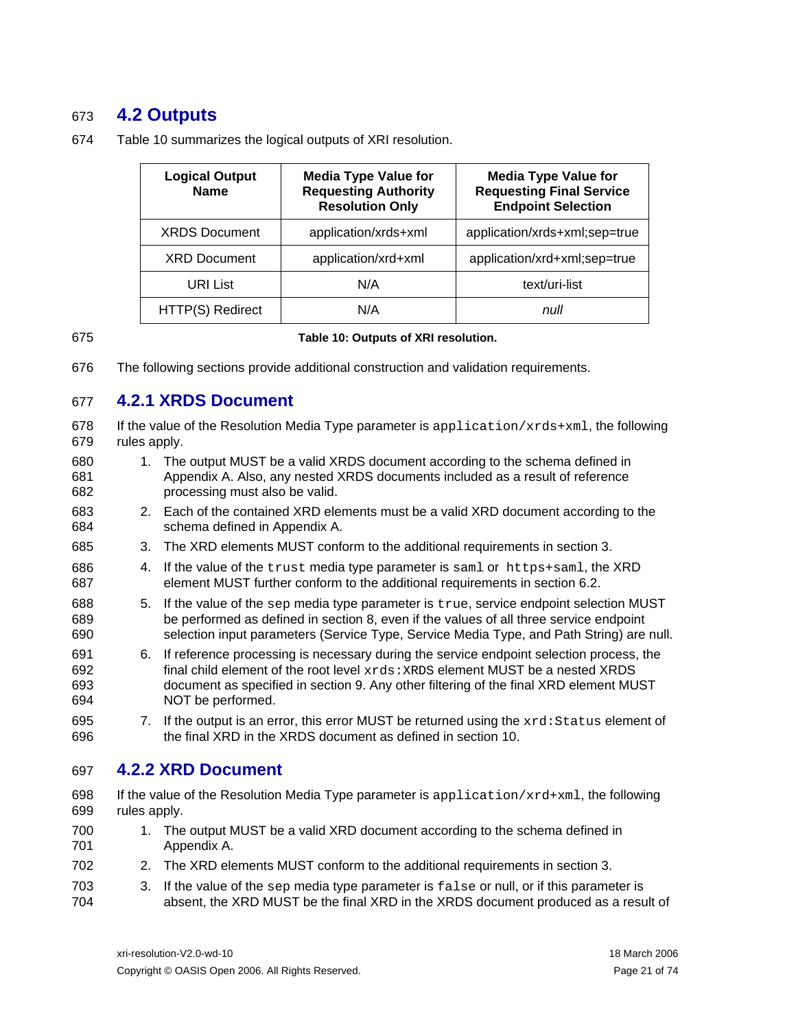### <span id="page-20-0"></span>673 **4.2 Outputs**

| <b>Logical Output</b><br><b>Name</b> | <b>Media Type Value for</b><br><b>Requesting Authority</b><br><b>Resolution Only</b> | <b>Media Type Value for</b><br><b>Requesting Final Service</b><br><b>Endpoint Selection</b> |
|--------------------------------------|--------------------------------------------------------------------------------------|---------------------------------------------------------------------------------------------|
| <b>XRDS Document</b>                 | application/xrds+xml                                                                 | application/xrds+xml;sep=true                                                               |
| <b>XRD Document</b>                  | application/xrd+xml                                                                  | application/xrd+xml;sep=true                                                                |
| URI List                             | N/A                                                                                  | text/uri-list                                                                               |
| HTTP(S) Redirect                     | N/A                                                                                  | null                                                                                        |

674 [Table 10](#page-20-1) summarizes the logical outputs of XRI resolution.

### <span id="page-20-1"></span>675

### **Table 10: Outputs of XRI resolution.**

676 The following sections provide additional construction and validation requirements.

### 677 **4.2.1 XRDS Document**

678 679 If the value of the Resolution Media Type parameter is application/ $xrds+<sub>x</sub>ml$ , the following rules apply.

- 680 681 682 1. The output MUST be a valid XRDS document according to the schema defined in Appendix A. Also, any nested XRDS documents included as a result of reference processing must also be valid.
- 683 684 2. Each of the contained XRD elements must be a valid XRD document according to the schema defined in Appendix A.
- 685 3. The XRD elements MUST conform to the additional requirements in section [3](#page-10-1).
- 686 687 4. If the value of the trust media type parameter is saml or https+saml, the XRD element MUST further conform to the additional requirements in section [6.2.](#page-29-2)
- 688 689 690 5. If the value of the sep media type parameter is true, service endpoint selection MUST be performed as defined in section [8,](#page-38-1) even if the values of all three service endpoint selection input parameters (Service Type, Service Media Type, and Path String) are null.
- 691 692 693 694 6. If reference processing is necessary during the service endpoint selection process, the final child element of the root level  $xrds:XRDS$  element MUST be a nested XRDS document as specified in section [9.](#page-43-1) Any other filtering of the final XRD element MUST NOT be performed.
- 695 696 7. If the output is an error, this error MUST be returned using the  $xrd:Status$  element of the final XRD in the XRDS document as defined in section [10](#page-47-1).

### 697 **4.2.2 XRD Document**

- 698 699 If the value of the Resolution Media Type parameter is application/xrd+xml, the following rules apply.
- 700 701 1. The output MUST be a valid XRD document according to the schema defined in Appendix A.
- 702 2. The XRD elements MUST conform to the additional requirements in section [3](#page-10-1).
- 703 704 3. If the value of the sep media type parameter is  $false$  or null, or if this parameter is absent, the XRD MUST be the final XRD in the XRDS document produced as a result of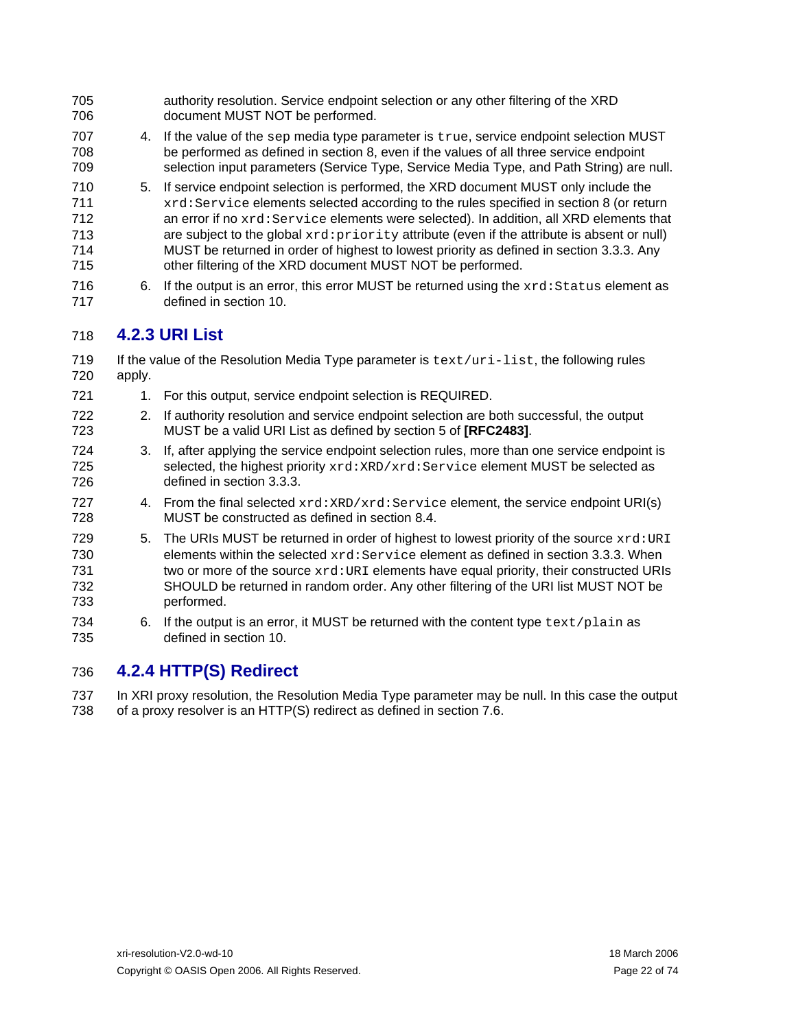<span id="page-21-0"></span>

| 705<br>706                             |        | authority resolution. Service endpoint selection or any other filtering of the XRD<br>document MUST NOT be performed.                                                                                                                                                                                                                                                                                                                                                                                                                |
|----------------------------------------|--------|--------------------------------------------------------------------------------------------------------------------------------------------------------------------------------------------------------------------------------------------------------------------------------------------------------------------------------------------------------------------------------------------------------------------------------------------------------------------------------------------------------------------------------------|
| 707<br>708<br>709                      |        | 4. If the value of the sep media type parameter is true, service endpoint selection MUST<br>be performed as defined in section 8, even if the values of all three service endpoint<br>selection input parameters (Service Type, Service Media Type, and Path String) are null.                                                                                                                                                                                                                                                       |
| 710<br>711<br>712<br>713<br>714<br>715 |        | 5. If service endpoint selection is performed, the XRD document MUST only include the<br>xrd: Service elements selected according to the rules specified in section 8 (or return<br>an error if no xrd: Service elements were selected). In addition, all XRD elements that<br>are subject to the global xrd: priority attribute (even if the attribute is absent or null)<br>MUST be returned in order of highest to lowest priority as defined in section 3.3.3. Any<br>other filtering of the XRD document MUST NOT be performed. |
| 716<br>717                             | 6.     | If the output is an error, this error MUST be returned using the xxd: Status element as<br>defined in section 10.                                                                                                                                                                                                                                                                                                                                                                                                                    |
| 718                                    |        | <b>4.2.3 URI List</b>                                                                                                                                                                                                                                                                                                                                                                                                                                                                                                                |
| 719<br>720                             | apply. | If the value of the Resolution Media Type parameter is $text/uri-list$ , the following rules                                                                                                                                                                                                                                                                                                                                                                                                                                         |
| 721                                    |        | 1. For this output, service endpoint selection is REQUIRED.                                                                                                                                                                                                                                                                                                                                                                                                                                                                          |
| 722<br>723                             | 2.     | If authority resolution and service endpoint selection are both successful, the output<br>MUST be a valid URI List as defined by section 5 of [RFC2483].                                                                                                                                                                                                                                                                                                                                                                             |
| 724<br>725<br>726                      | 3.     | If, after applying the service endpoint selection rules, more than one service endpoint is<br>selected, the highest priority xrd: XRD/xrd: Service element MUST be selected as<br>defined in section 3.3.3.                                                                                                                                                                                                                                                                                                                          |
| 727<br>728                             |        | 4. From the final selected xrd: XRD/xrd: Service element, the service endpoint URI(s)<br>MUST be constructed as defined in section 8.4.                                                                                                                                                                                                                                                                                                                                                                                              |
| 729<br>730<br>731<br>732<br>733        | 5.     | The URIs MUST be returned in order of highest to lowest priority of the source xxd: URI<br>elements within the selected $xrd$ : Service element as defined in section 3.3.3. When<br>two or more of the source xxd: URI elements have equal priority, their constructed URIs<br>SHOULD be returned in random order. Any other filtering of the URI list MUST NOT be<br>performed.                                                                                                                                                    |
| 734<br>735                             | 6.     | If the output is an error, it MUST be returned with the content type $text$ rext/plain as<br>defined in section 10.                                                                                                                                                                                                                                                                                                                                                                                                                  |
| $\rightarrow$                          |        | <b>A O A LITTDIO)</b> Dadiuach                                                                                                                                                                                                                                                                                                                                                                                                                                                                                                       |

### 736 **4.2.4 HTTP(S) Redirect**

737 738 In XRI proxy resolution, the Resolution Media Type parameter may be null. In this case the output of a proxy resolver is an HTTP(S) redirect as defined in section [7.6](#page-37-1).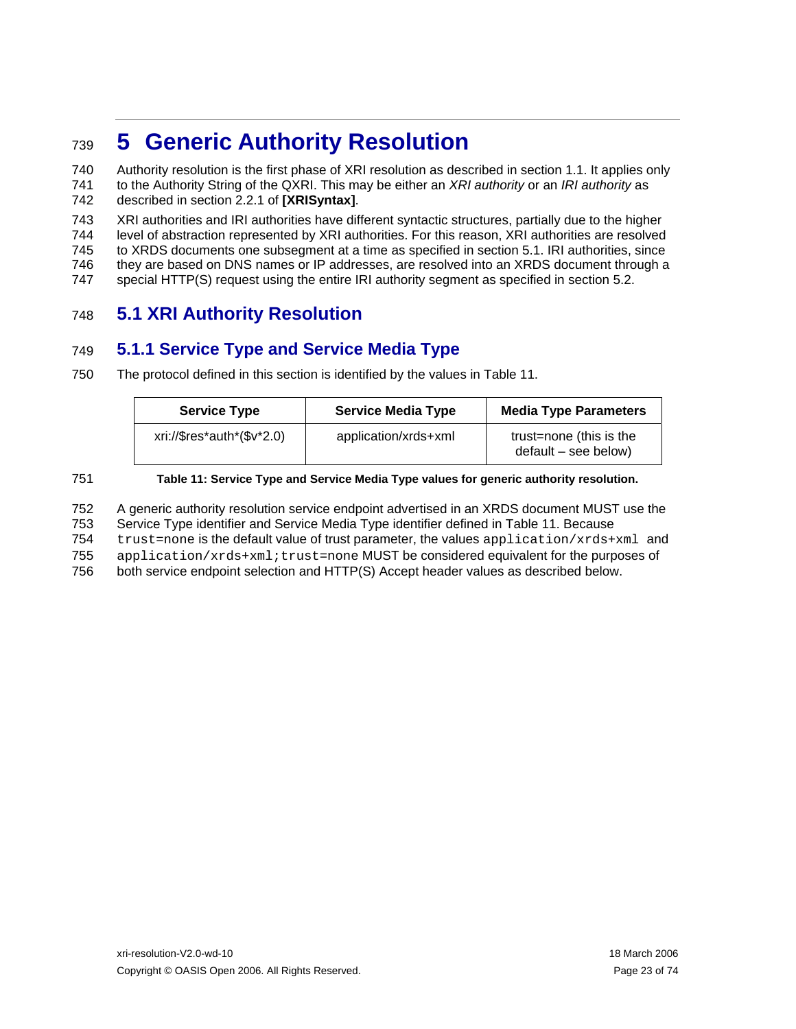## <span id="page-22-1"></span><span id="page-22-0"></span><sup>739</sup>**5 Generic Authority Resolution**

740 741 742 Authority resolution is the first phase of XRI resolution as described in section [1.1](#page-4-2). It applies only to the Authority String of the QXRI. This may be either an *XRI authority* or an *IRI authority* as described in section 2.2.1 of **[\[XRISyntax\]](#page-58-0)**.

743 744 745 746 XRI authorities and IRI authorities have different syntactic structures, partially due to the higher level of abstraction represented by XRI authorities. For this reason, XRI authorities are resolved to XRDS documents one subsegment at a time as specified in section [5.1.](#page-22-2) IRI authorities, since they are based on DNS names or IP addresses, are resolved into an XRDS document through a

747 special HTTP(S) request using the entire IRI authority segment as specified in section [5.2.](#page-27-1)

### <span id="page-22-2"></span>748 **5.1 XRI Authority Resolution**

### 749 **5.1.1 Service Type and Service Media Type**

750 The protocol defined in this section is identified by the values in [Table 11](#page-22-3).

| <b>Service Type</b>             | <b>Service Media Type</b> | <b>Media Type Parameters</b>                      |
|---------------------------------|---------------------------|---------------------------------------------------|
| $xri://\$res^*auth^*(\$v^*2.0)$ | application/xrds+xml      | trust=none (this is the<br>$default - see below)$ |

<span id="page-22-3"></span>751

### **Table 11: Service Type and Service Media Type values for generic authority resolution.**

752 753 A generic authority resolution service endpoint advertised in an XRDS document MUST use the Service Type identifier and Service Media Type identifier defined in [Table 11](#page-22-3). Because

754 trust=none is the default value of trust parameter, the values application/xrds+xml and

755 application/xrds+xml;trust=none MUST be considered equivalent for the purposes of

756 both service endpoint selection and HTTP(S) Accept header values as described below.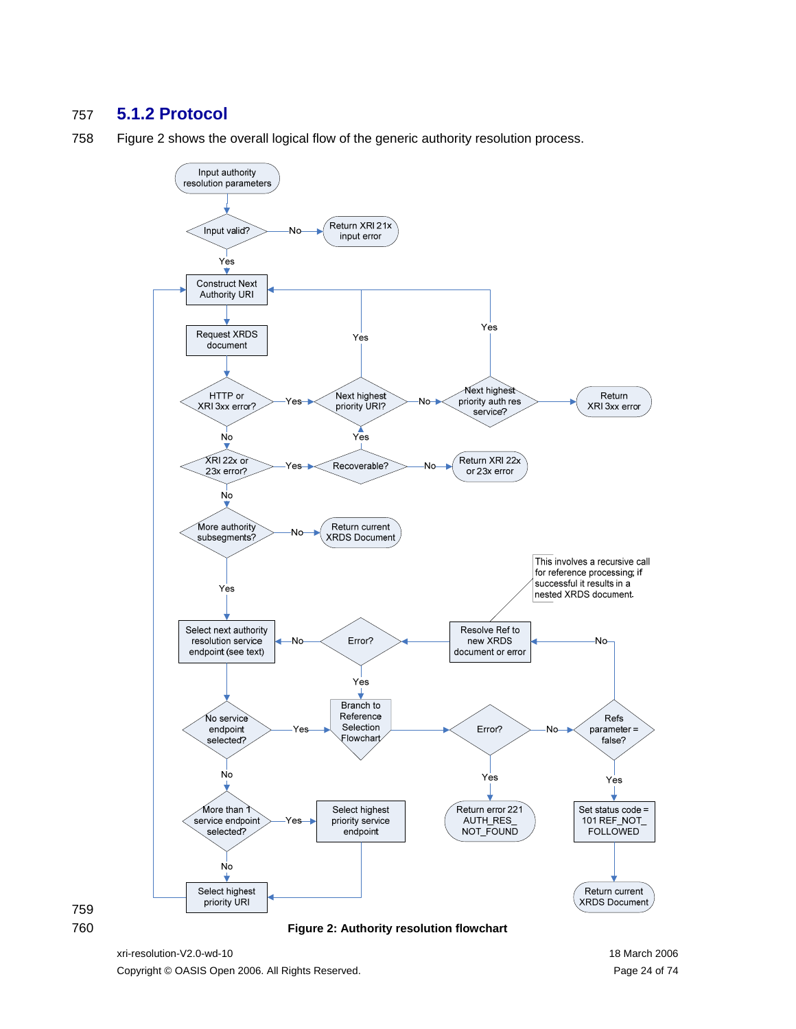### <span id="page-23-1"></span><span id="page-23-0"></span>**5.1.2 Protocol**

[Figure 2](#page-23-2) shows the overall logical flow of the generic authority resolution process.





<span id="page-23-2"></span>**Figure 2: Authority resolution flowchart** 

xri-resolution-V2.0-wd-10 18 March 2006 Copyright © OASIS Open 2006. All Rights Reserved. Page 24 of 74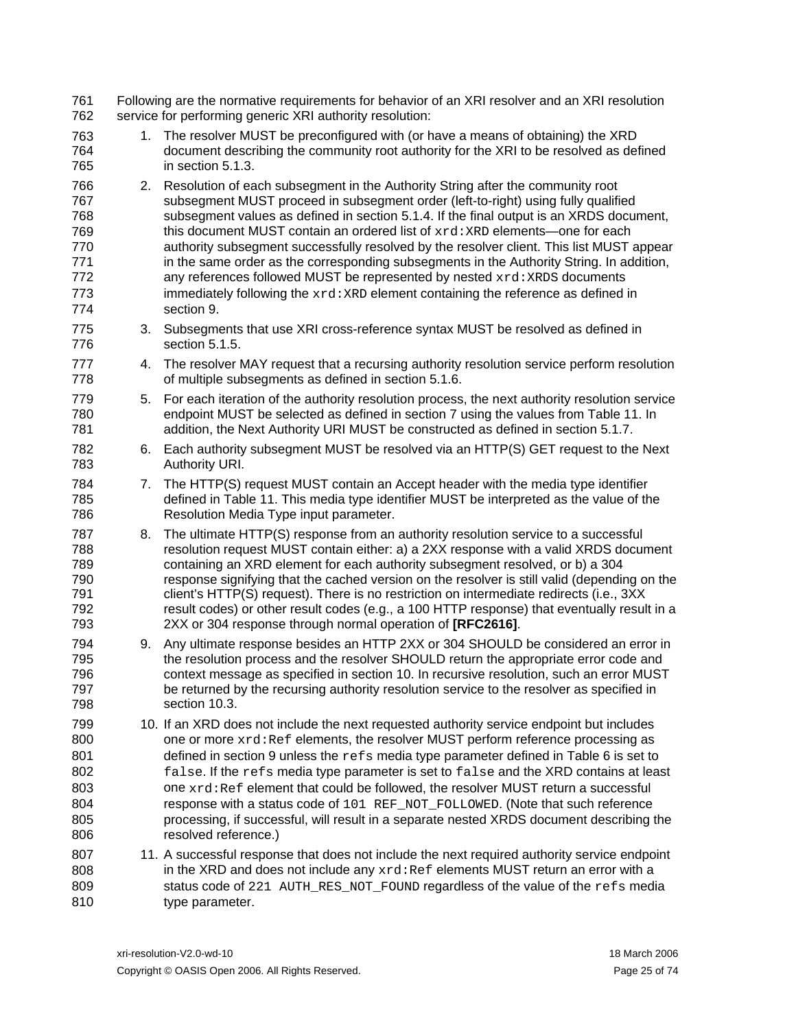| 761<br>762                                                  |    | Following are the normative requirements for behavior of an XRI resolver and an XRI resolution<br>service for performing generic XRI authority resolution:                                                                                                                                                                                                                                                                                                                                                                                                                                                                                                                                                                |
|-------------------------------------------------------------|----|---------------------------------------------------------------------------------------------------------------------------------------------------------------------------------------------------------------------------------------------------------------------------------------------------------------------------------------------------------------------------------------------------------------------------------------------------------------------------------------------------------------------------------------------------------------------------------------------------------------------------------------------------------------------------------------------------------------------------|
| 763<br>764<br>765                                           | 1. | The resolver MUST be preconfigured with (or have a means of obtaining) the XRD<br>document describing the community root authority for the XRI to be resolved as defined<br>in section 5.1.3.                                                                                                                                                                                                                                                                                                                                                                                                                                                                                                                             |
| 766<br>767<br>768<br>769<br>770<br>771<br>772<br>773<br>774 |    | 2. Resolution of each subsegment in the Authority String after the community root<br>subsegment MUST proceed in subsegment order (left-to-right) using fully qualified<br>subsegment values as defined in section 5.1.4. If the final output is an XRDS document,<br>this document MUST contain an ordered list of xrd: XRD elements—one for each<br>authority subsegment successfully resolved by the resolver client. This list MUST appear<br>in the same order as the corresponding subsegments in the Authority String. In addition,<br>any references followed MUST be represented by nested xrd: XRDS documents<br>immediately following the xrd: XRD element containing the reference as defined in<br>section 9. |
| 775<br>776                                                  |    | 3. Subsegments that use XRI cross-reference syntax MUST be resolved as defined in<br>section 5.1.5.                                                                                                                                                                                                                                                                                                                                                                                                                                                                                                                                                                                                                       |
| 777<br>778                                                  | 4. | The resolver MAY request that a recursing authority resolution service perform resolution<br>of multiple subsegments as defined in section 5.1.6.                                                                                                                                                                                                                                                                                                                                                                                                                                                                                                                                                                         |
| 779<br>780<br>781                                           | 5. | For each iteration of the authority resolution process, the next authority resolution service<br>endpoint MUST be selected as defined in section 7 using the values from Table 11. In<br>addition, the Next Authority URI MUST be constructed as defined in section 5.1.7.                                                                                                                                                                                                                                                                                                                                                                                                                                                |
| 782<br>783                                                  |    | 6. Each authority subsegment MUST be resolved via an HTTP(S) GET request to the Next<br>Authority URI.                                                                                                                                                                                                                                                                                                                                                                                                                                                                                                                                                                                                                    |
| 784<br>785<br>786                                           |    | 7. The HTTP(S) request MUST contain an Accept header with the media type identifier<br>defined in Table 11. This media type identifier MUST be interpreted as the value of the<br>Resolution Media Type input parameter.                                                                                                                                                                                                                                                                                                                                                                                                                                                                                                  |
| 787<br>788<br>789<br>790<br>791<br>792<br>793               | 8. | The ultimate HTTP(S) response from an authority resolution service to a successful<br>resolution request MUST contain either: a) a 2XX response with a valid XRDS document<br>containing an XRD element for each authority subsegment resolved, or b) a 304<br>response signifying that the cached version on the resolver is still valid (depending on the<br>client's HTTP(S) request). There is no restriction on intermediate redirects (i.e., 3XX<br>result codes) or other result codes (e.g., a 100 HTTP response) that eventually result in a<br>2XX or 304 response through normal operation of [RFC2616].                                                                                                       |
| 794<br>795<br>796<br>797<br>798                             | 9. | Any ultimate response besides an HTTP 2XX or 304 SHOULD be considered an error in<br>the resolution process and the resolver SHOULD return the appropriate error code and<br>context message as specified in section 10. In recursive resolution, such an error MUST<br>be returned by the recursing authority resolution service to the resolver as specified in<br>section 10.3.                                                                                                                                                                                                                                                                                                                                        |
| 799<br>800<br>801<br>802<br>803<br>804<br>805<br>806        |    | 10. If an XRD does not include the next requested authority service endpoint but includes<br>one or more xrd: Ref elements, the resolver MUST perform reference processing as<br>defined in section 9 unless the refs media type parameter defined in Table 6 is set to<br>false. If the refs media type parameter is set to false and the XRD contains at least<br>one xrd: Ref element that could be followed, the resolver MUST return a successful<br>response with a status code of 101 REF_NOT_FOLLOWED. (Note that such reference<br>processing, if successful, will result in a separate nested XRDS document describing the<br>resolved reference.)                                                              |
| 807<br>808<br>809<br>810                                    |    | 11. A successful response that does not include the next required authority service endpoint<br>in the XRD and does not include any $xrd$ : Ref elements MUST return an error with a<br>status code of 221 AUTH_RES_NOT_FOUND regardless of the value of the refs media<br>type parameter.                                                                                                                                                                                                                                                                                                                                                                                                                                |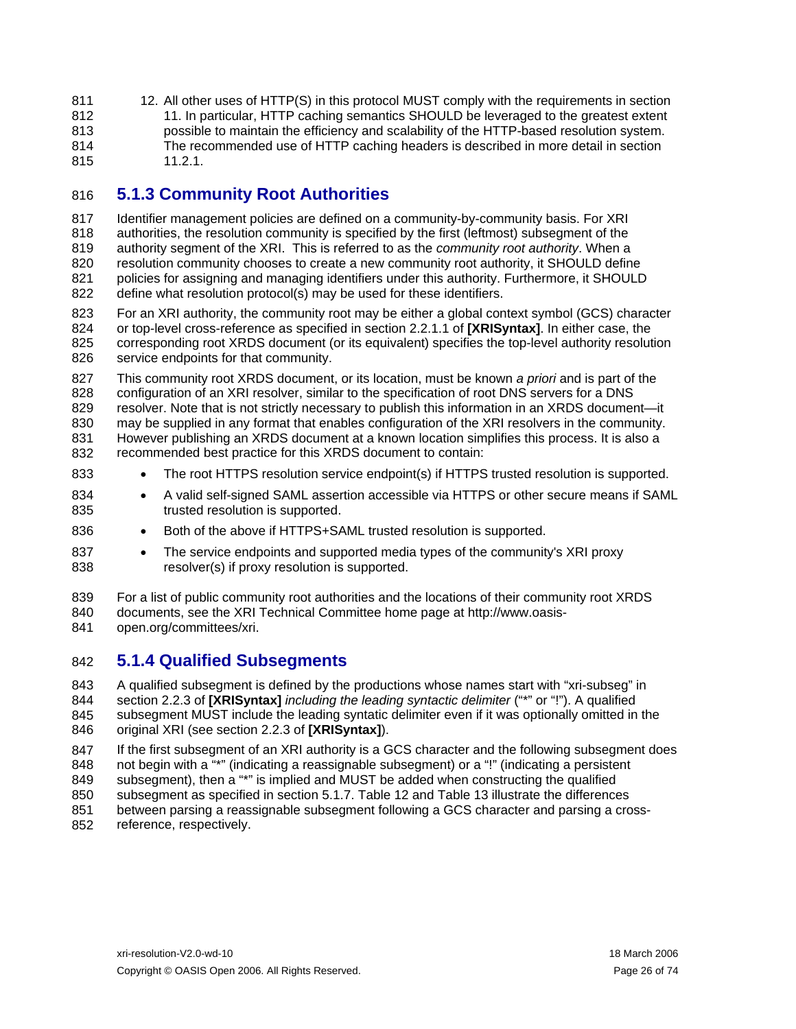<span id="page-25-0"></span>811 12. All other uses of HTTP(S) in this protocol MUST comply with the requirements in section 812 813 814 815 [11](#page-50-1). In particular, HTTP caching semantics SHOULD be leveraged to the greatest extent possible to maintain the efficiency and scalability of the HTTP-based resolution system. The recommended use of HTTP caching headers is described in more detail in section [11.2.1.](#page-50-2)

### <span id="page-25-1"></span>816 **5.1.3 Community Root Authorities**

817 818 819 820 821 822 Identifier management policies are defined on a community-by-community basis. For XRI authorities, the resolution community is specified by the first (leftmost) subsegment of the authority segment of the XRI. This is referred to as the *community root authority*. When a resolution community chooses to create a new community root authority, it SHOULD define policies for assigning and managing identifiers under this authority. Furthermore, it SHOULD define what resolution protocol(s) may be used for these identifiers.

823 824 825 826 For an XRI authority, the community root may be either a global context symbol (GCS) character or top-level cross-reference as specified in section 2.2.1.1 of **[\[XRISyntax\]](#page-58-0)**. In either case, the corresponding root XRDS document (or its equivalent) specifies the top-level authority resolution service endpoints for that community.

827 828 829 830 831 832 This community root XRDS document, or its location, must be known *a priori* and is part of the configuration of an XRI resolver, similar to the specification of root DNS servers for a DNS resolver. Note that is not strictly necessary to publish this information in an XRDS document—it may be supplied in any format that enables configuration of the XRI resolvers in the community. However publishing an XRDS document at a known location simplifies this process. It is also a recommended best practice for this XRDS document to contain:

- 833 • The root HTTPS resolution service endpoint(s) if HTTPS trusted resolution is supported.
- 834 835 • A valid self-signed SAML assertion accessible via HTTPS or other secure means if SAML trusted resolution is supported.
- 836 • Both of the above if HTTPS+SAML trusted resolution is supported.
- 837 838 • The service endpoints and supported media types of the community's XRI proxy resolver(s) if proxy resolution is supported.
- 839 For a list of public community root authorities and the locations of their community root XRDS
- 840 documents, see the XRI Technical Committee home page at http://www.oasis-
- 841 open.org/committees/xri.

### <span id="page-25-2"></span>842 **5.1.4 Qualified Subsegments**

843 844 845 846 A qualified subsegment is defined by the productions whose names start with "xri-subseg" in section 2.2.3 of **[\[XRISyntax\]](#page-58-0)** *including the leading syntactic delimiter* ("\*" or "!"). A qualified subsegment MUST include the leading syntatic delimiter even if it was optionally omitted in the original XRI (see section 2.2.3 of **[\[XRISyntax\]](#page-58-0)**).

847 848 If the first subsegment of an XRI authority is a GCS character and the following subsegment does not begin with a "\*" (indicating a reassignable subsegment) or a "!" (indicating a persistent

- 849 subsegment), then a "\*" is implied and MUST be added when constructing the qualified
- 850 subsegment as specified in section [5.1.7](#page-27-2). [Table 12](#page-26-3) and [Table 13](#page-26-4) illustrate the differences
- 851 between parsing a reassignable subsegment following a GCS character and parsing a cross-
- 852 reference, respectively.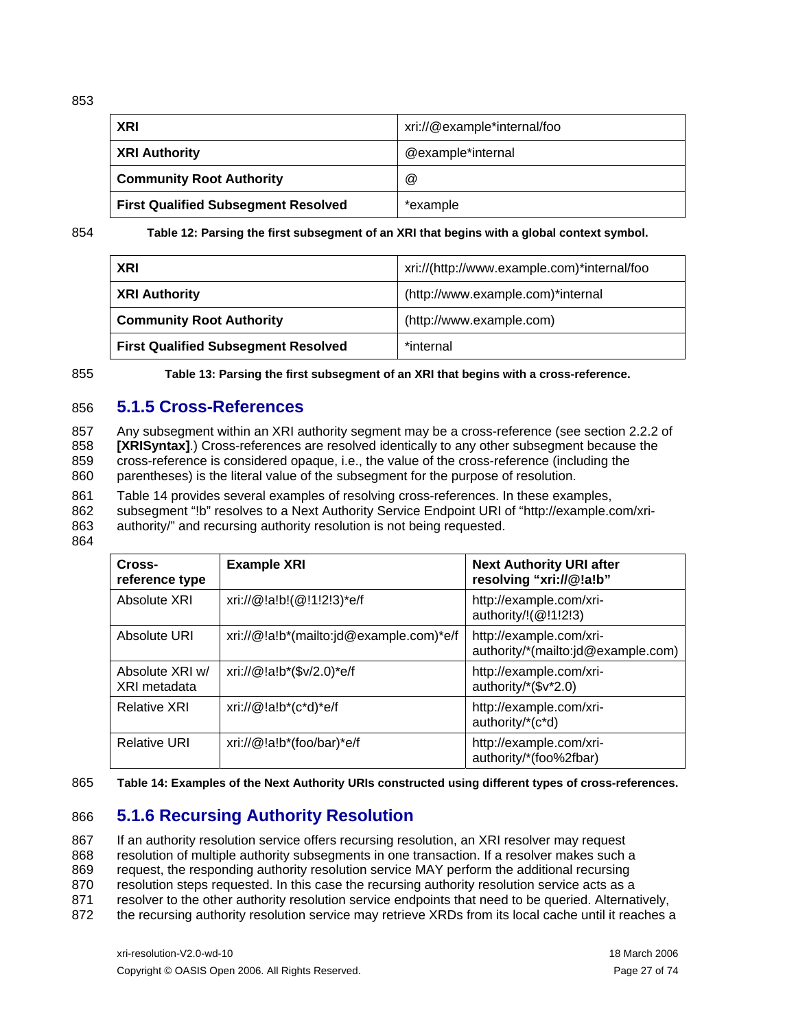<span id="page-26-0"></span>853

| XRI                                        | xri://@example*internal/foo |
|--------------------------------------------|-----------------------------|
| XRI Authority                              | @example*internal           |
| <b>Community Root Authority</b>            | $^{\textregistered}$        |
| <b>First Qualified Subsegment Resolved</b> | *example                    |

<span id="page-26-3"></span>854 **Table 12: Parsing the first subsegment of an XRI that begins with a global context symbol.** 

| <b>XRI</b>                                 | xri://(http://www.example.com)*internal/foo |
|--------------------------------------------|---------------------------------------------|
| <b>XRI Authority</b>                       | (http://www.example.com)*internal           |
| <b>Community Root Authority</b>            | (http://www.example.com)                    |
| <b>First Qualified Subsegment Resolved</b> | *internal                                   |

<span id="page-26-4"></span>855

**Table 13: Parsing the first subsegment of an XRI that begins with a cross-reference.** 

#### 856 **5.1.5 Cross-References**

<span id="page-26-1"></span>857 858 859 860 Any subsegment within an XRI authority segment may be a cross-reference (see section 2.2.2 of **[\[XRISyntax\]](#page-58-0)**.) Cross-references are resolved identically to any other subsegment because the cross-reference is considered opaque, i.e., the value of the cross-reference (including the parentheses) is the literal value of the subsegment for the purpose of resolution.

861 [Table 14](#page-26-5) provides several examples of resolving cross-references. In these examples,

862 subsegment "!b" resolves to a Next Authority Service Endpoint URI of "http://example.com/xri-

863 authority/" and recursing authority resolution is not being requested.

864

| Cross-<br>reference type        | <b>Example XRI</b>                      | <b>Next Authority URI after</b><br>resolving "xri://@!a!b"    |
|---------------------------------|-----------------------------------------|---------------------------------------------------------------|
| Absolute XRI                    | xri://@!a!b!(@!1!2!3)*e/f               | http://example.com/xri-<br>authority/!(@!1!2!3)               |
| Absolute URI                    | xri://@!a!b*(mailto:jd@example.com)*e/f | http://example.com/xri-<br>authority/*(mailto:jd@example.com) |
| Absolute XRI w/<br>XRI metadata | xri://@!a!b*(\$v/2.0)*e/f               | http://example.com/xri-<br>authority/*(\$v*2.0)               |
| <b>Relative XRI</b>             | xri:// $@!a!b^*(c^*d)^*e/f$             | http://example.com/xri-<br>authority/*(c*d)                   |
| <b>Relative URI</b>             | xri://@!a!b*(foo/bar)*e/f               | http://example.com/xri-<br>authority/*(foo%2fbar)             |

<span id="page-26-5"></span>865 **Table 14: Examples of the Next Authority URIs constructed using different types of cross-references.** 

### 866 **5.1.6 Recursing Authority Resolution**

<span id="page-26-2"></span>867 868 869 870 871 If an authority resolution service offers recursing resolution, an XRI resolver may request resolution of multiple authority subsegments in one transaction. If a resolver makes such a request, the responding authority resolution service MAY perform the additional recursing resolution steps requested. In this case the recursing authority resolution service acts as a resolver to the other authority resolution service endpoints that need to be queried. Alternatively,

872 the recursing authority resolution service may retrieve XRDs from its local cache until it reaches a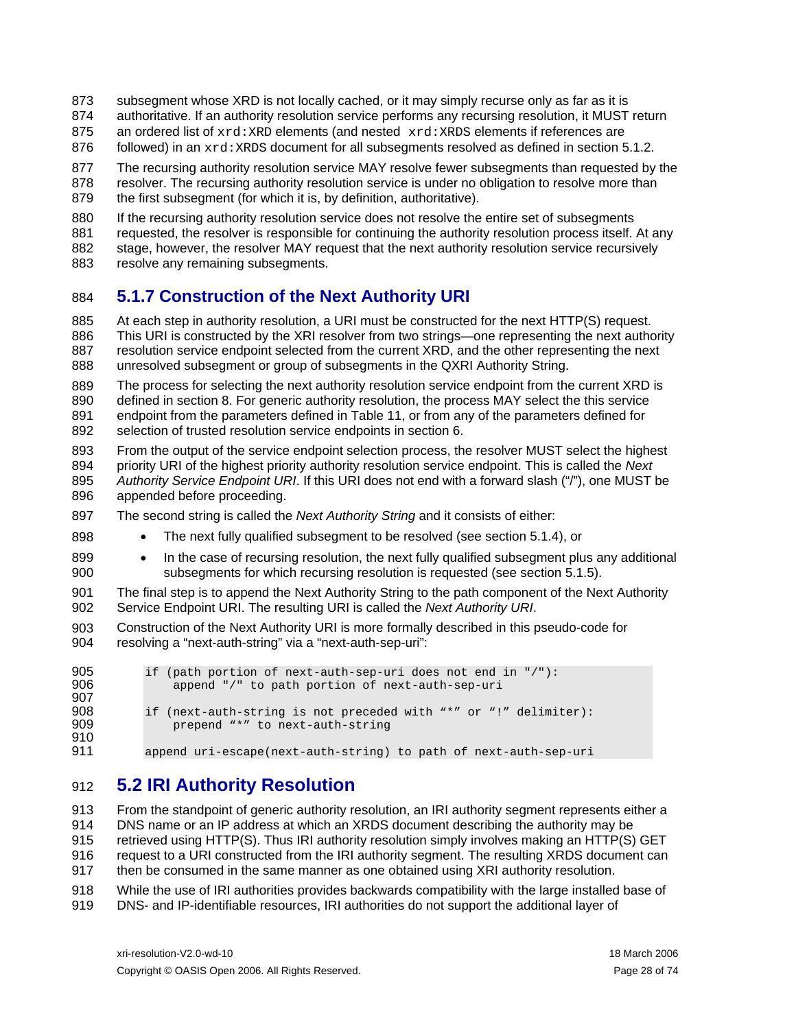- <span id="page-27-0"></span>subsegment whose XRD is not locally cached, or it may simply recurse only as far as it is 873
- authoritative. If an authority resolution service performs any recursing resolution, it MUST return 874
- an ordered list of  $xrd:$ XRD elements (and nested  $xrd:$ XRDS elements if references are 875
- 876 followed) in an  $xrd:XRDS$  document for all subsegments resolved as defined in section [5.1.2.](#page-23-1)
- 877 878 879 The recursing authority resolution service MAY resolve fewer subsegments than requested by the resolver. The recursing authority resolution service is under no obligation to resolve more than the first subsegment (for which it is, by definition, authoritative).
- 880 881 882 If the recursing authority resolution service does not resolve the entire set of subsegments requested, the resolver is responsible for continuing the authority resolution process itself. At any stage, however, the resolver MAY request that the next authority resolution service recursively
- 883 resolve any remaining subsegments.

898

### <span id="page-27-2"></span>884 **5.1.7 Construction of the Next Authority URI**

885 886 887 888 At each step in authority resolution, a URI must be constructed for the next HTTP(S) request. This URI is constructed by the XRI resolver from two strings—one representing the next authority resolution service endpoint selected from the current XRD, and the other representing the next unresolved subsegment or group of subsegments in the QXRI Authority String.

889 890 891 892 The process for selecting the next authority resolution service endpoint from the current XRD is defined in section [8](#page-38-1). For generic authority resolution, the process MAY select the this service endpoint from the parameters defined in [Table 11](#page-22-3), or from any of the parameters defined for selection of trusted resolution service endpoints in section [6](#page-29-1).

- 893 894 895 896 From the output of the service endpoint selection process, the resolver MUST select the highest priority URI of the highest priority authority resolution service endpoint. This is called the *Next Authority Service Endpoint URI*. If this URI does not end with a forward slash ("/"), one MUST be appended before proceeding.
- 897 The second string is called the *Next Authority String* and it consists of either:
	- The next fully qualified subsegment to be resolved (see section [5.1.4](#page-25-2)), or
- 899 900 • In the case of recursing resolution, the next fully qualified subsegment plus any additional subsegments for which recursing resolution is requested (see section [5.1.5](#page-26-1)).
- 901 902 The final step is to append the Next Authority String to the path component of the Next Authority Service Endpoint URI. The resulting URI is called the *Next Authority URI*.
- 903 904 Construction of the Next Authority URI is more formally described in this pseudo-code for resolving a "next-auth-string" via a "next-auth-sep-uri":

```
905 if (path portion of next-auth-sep-uri does not end in \frac{1}{1}):<br>906 append "/" to path portion of next-auth-sep-uri
                   append "/" to path portion of next-auth-sep-uri
907<br>908
908 if (next-auth-string is not preceded with "*" or "!" delimiter):<br>909 beepend "*" to next-auth-string
                   prepend "*" to next-auth-string
910 
911 
             append uri-escape(next-auth-string) to path of next-auth-sep-uri
```
### 912 **5.2 IRI Authority Resolution**

<span id="page-27-1"></span>913 914 915 916 917 918 From the standpoint of generic authority resolution, an IRI authority segment represents either a DNS name or an IP address at which an XRDS document describing the authority may be retrieved using HTTP(S). Thus IRI authority resolution simply involves making an HTTP(S) GET request to a URI constructed from the IRI authority segment. The resulting XRDS document can then be consumed in the same manner as one obtained using XRI authority resolution. While the use of IRI authorities provides backwards compatibility with the large installed base of

919 DNS- and IP-identifiable resources, IRI authorities do not support the additional layer of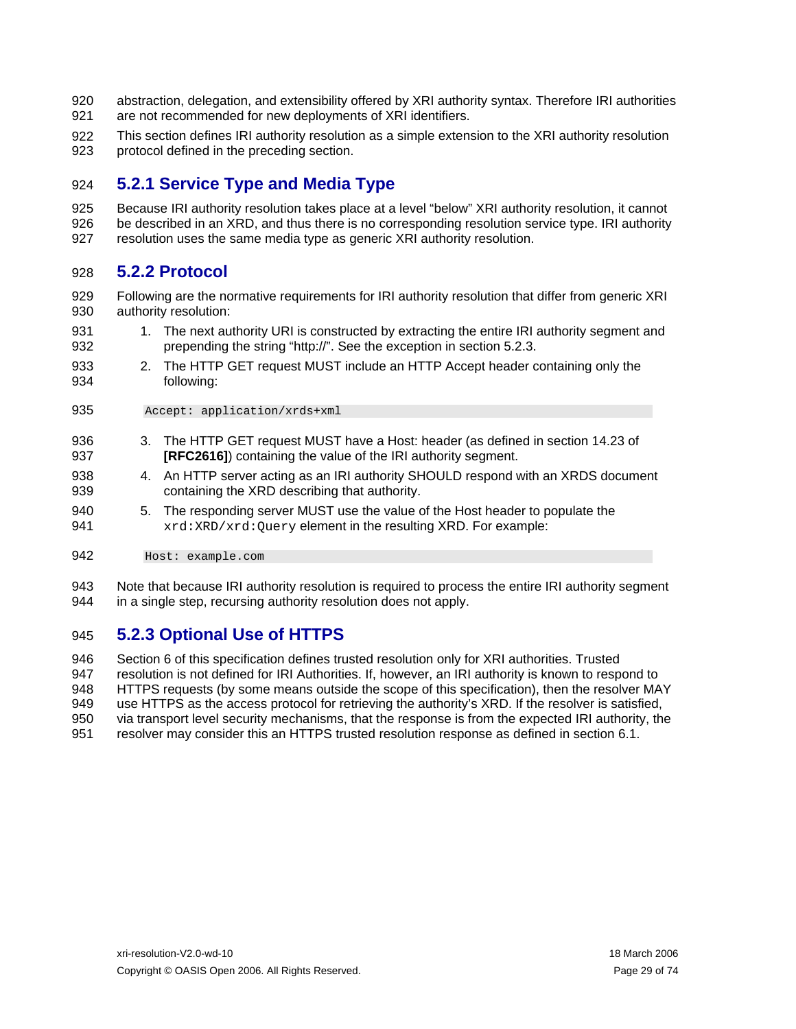- <span id="page-28-0"></span>920 921 abstraction, delegation, and extensibility offered by XRI authority syntax. Therefore IRI authorities are not recommended for new deployments of XRI identifiers.
- 922 923 This section defines IRI authority resolution as a simple extension to the XRI authority resolution protocol defined in the preceding section.

### 924 **5.2.1 Service Type and Media Type**

925 926 927 Because IRI authority resolution takes place at a level "below" XRI authority resolution, it cannot be described in an XRD, and thus there is no corresponding resolution service type. IRI authority resolution uses the same media type as generic XRI authority resolution.

### 928 **5.2.2 Protocol**

- 929 930 Following are the normative requirements for IRI authority resolution that differ from generic XRI authority resolution:
- 931 932 1. The next authority URI is constructed by extracting the entire IRI authority segment and prepending the string "http://". See the exception in section [5.2.3](#page-28-1).
- 933 934 2. The HTTP GET request MUST include an HTTP Accept header containing only the following:
- 935 Accept: application/xrds+xml
- 936 937 3. The HTTP GET request MUST have a Host: header (as defined in section 14.23 of **[\[RFC2616\]](#page-57-8)**) containing the value of the IRI authority segment.
- 938 939 4. An HTTP server acting as an IRI authority SHOULD respond with an XRDS document containing the XRD describing that authority.
- 940 941 5. The responding server MUST use the value of the Host header to populate the xrd:XRD/xrd:Query element in the resulting XRD. For example:

942 Host: example.com

943 944 Note that because IRI authority resolution is required to process the entire IRI authority segment in a single step, recursing authority resolution does not apply.

### <span id="page-28-1"></span>945 **5.2.3 Optional Use of HTTPS**

946 947 948 949 950 951 Section [6](#page-29-1) of this specification defines trusted resolution only for XRI authorities. Trusted resolution is not defined for IRI Authorities. If, however, an IRI authority is known to respond to HTTPS requests (by some means outside the scope of this specification), then the resolver MAY use HTTPS as the access protocol for retrieving the authority's XRD. If the resolver is satisfied, via transport level security mechanisms, that the response is from the expected IRI authority, the resolver may consider this an HTTPS trusted resolution response as defined in section [6.1.](#page-29-3)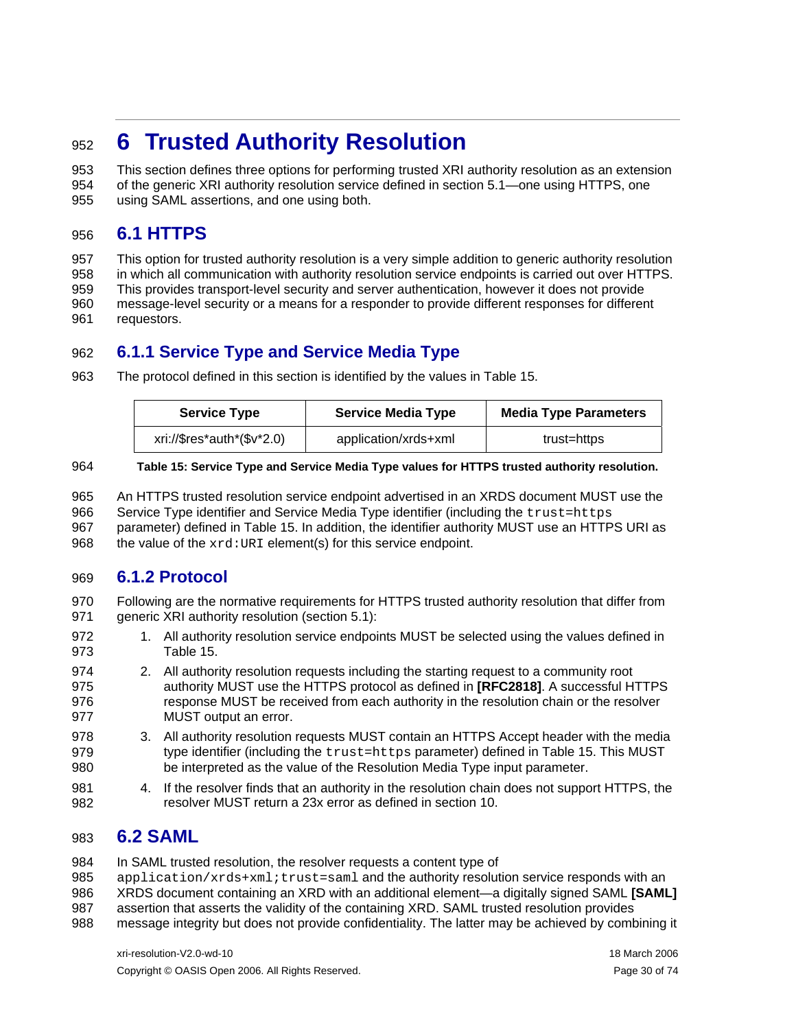## <span id="page-29-1"></span><span id="page-29-0"></span><sup>952</sup>**6 Trusted Authority Resolution**

953 954 955 This section defines three options for performing trusted XRI authority resolution as an extension of the generic XRI authority resolution service defined in section [5.1](#page-22-2)—one using HTTPS, one using SAML assertions, and one using both.

### <span id="page-29-3"></span>956 **6.1 HTTPS**

957 958 959 960 961 This option for trusted authority resolution is a very simple addition to generic authority resolution in which all communication with authority resolution service endpoints is carried out over HTTPS. This provides transport-level security and server authentication, however it does not provide message-level security or a means for a responder to provide different responses for different requestors.

### 962 **6.1.1 Service Type and Service Media Type**

963 The protocol defined in this section is identified by the values in [Table 15](#page-29-4).

| <b>Service Type</b>        | <b>Service Media Type</b> | <b>Media Type Parameters</b> |
|----------------------------|---------------------------|------------------------------|
| xri://\$res*auth*(\$v*2.0) | application/xrds+xml      | trust=https                  |

#### <span id="page-29-4"></span>964 **Table 15: Service Type and Service Media Type values for HTTPS trusted authority resolution.**

965 966 967 968 An HTTPS trusted resolution service endpoint advertised in an XRDS document MUST use the Service Type identifier and Service Media Type identifier (including the trust=https parameter) defined in [Table 15.](#page-29-4) In addition, the identifier authority MUST use an HTTPS URI as the value of the  $xrd:URI$  element(s) for this service endpoint.

### 969 **6.1.2 Protocol**

- 970 971 Following are the normative requirements for HTTPS trusted authority resolution that differ from generic XRI authority resolution (section [5.1\)](#page-22-2):
- 972 973 1. All authority resolution service endpoints MUST be selected using the values defined in [Table 15.](#page-29-4)
- 974 975 976 977 2. All authority resolution requests including the starting request to a community root authority MUST use the HTTPS protocol as defined in **[\[RFC2818\]](#page-57-1)**. A successful HTTPS response MUST be received from each authority in the resolution chain or the resolver MUST output an error.
- 978 979 980 3. All authority resolution requests MUST contain an HTTPS Accept header with the media type identifier (including the trust=https parameter) defined in [Table 15](#page-29-4). This MUST be interpreted as the value of the Resolution Media Type input parameter.
- 981 982 4. If the resolver finds that an authority in the resolution chain does not support HTTPS, the resolver MUST return a 23x error as defined in section [10.](#page-47-1)

### <span id="page-29-2"></span>983 **6.2 SAML**

984 In SAML trusted resolution, the resolver requests a content type of

- 985 application/xrds+xml;trust=saml and the authority resolution service responds with an
- 986 XRDS document containing an XRD with an additional element—a digitally signed SAML **[\[SAML\]](#page-57-2)**
- 987 assertion that asserts the validity of the containing XRD. SAML trusted resolution provides
- 988 message integrity but does not provide confidentiality. The latter may be achieved by combining it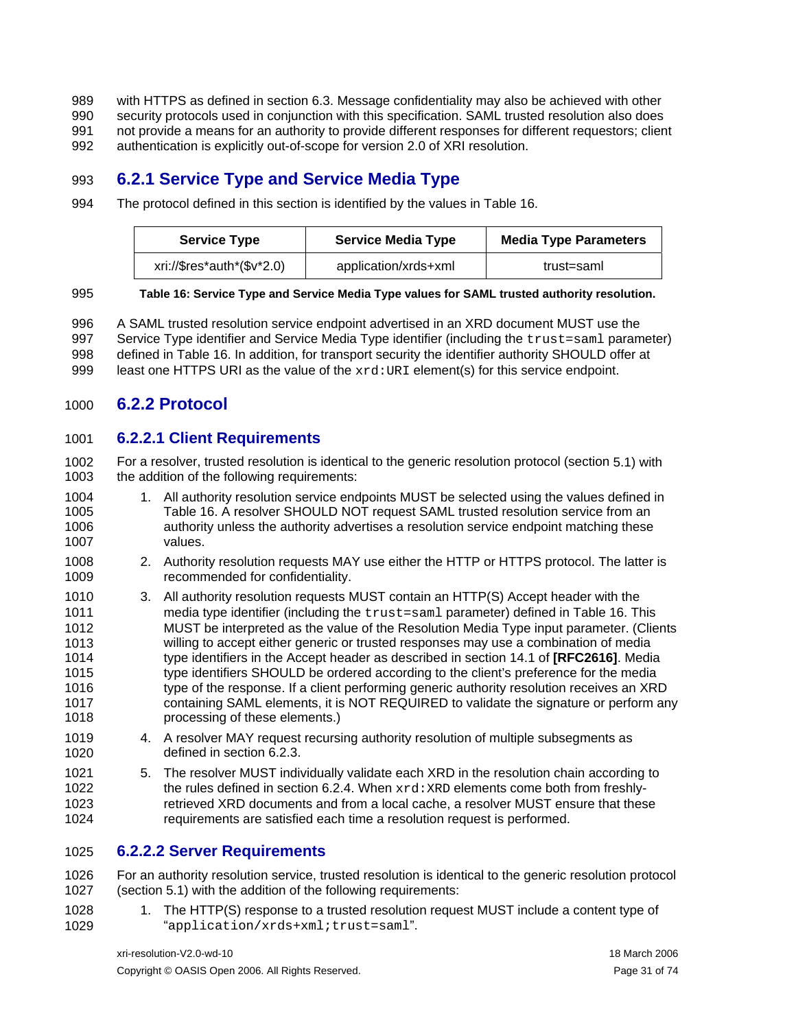<span id="page-30-0"></span>with HTTPS as defined in section [6.3.](#page-33-1) Message confidentiality may also be achieved with other security protocols used in conjunction with this specification. SAML trusted resolution also does not provide a means for an authority to provide different responses for different requestors; client 989 990 991

authentication is explicitly out-of-scope for version 2.0 of XRI resolution. 992

### 993 **6.2.1 Service Type and Service Media Type**

994 The protocol defined in this section is identified by the values in [Table 16](#page-30-1).

| <b>Service Type</b>        | <b>Service Media Type</b> | <b>Media Type Parameters</b> |
|----------------------------|---------------------------|------------------------------|
| xri://\$res*auth*(\$v*2.0) | application/xrds+xml      | trust=saml                   |

#### <span id="page-30-1"></span>995 **Table 16: Service Type and Service Media Type values for SAML trusted authority resolution.**

996 997 998 999 A SAML trusted resolution service endpoint advertised in an XRD document MUST use the Service Type identifier and Service Media Type identifier (including the trust=saml parameter) defined in [Table 16](#page-30-1). In addition, for transport security the identifier authority SHOULD offer at least one HTTPS URI as the value of the  $xrd:URI$  element(s) for this service endpoint.

### 1000 **6.2.2 Protocol**

### 1001 **6.2.2.1 Client Requirements**

1002 1003 For a resolver, trusted resolution is identical to the generic resolution protocol (section [5.1\)](#page-22-2) with the addition of the following requirements:

- 1004 1005 1006 1007 1. All authority resolution service endpoints MUST be selected using the values defined in [Table 16.](#page-30-1) A resolver SHOULD NOT request SAML trusted resolution service from an authority unless the authority advertises a resolution service endpoint matching these values.
- 1008 1009 2. Authority resolution requests MAY use either the HTTP or HTTPS protocol. The latter is recommended for confidentiality.
- 1010 1011 1012 1013 1014 1015 1016 1017 1018 3. All authority resolution requests MUST contain an HTTP(S) Accept header with the media type identifier (including the trust=saml parameter) defined in [Table 16](#page-30-1). This MUST be interpreted as the value of the Resolution Media Type input parameter. (Clients willing to accept either generic or trusted responses may use a combination of media type identifiers in the Accept header as described in section 14.1 of **[\[RFC2616\]](#page-57-8)**. Media type identifiers SHOULD be ordered according to the client's preference for the media type of the response. If a client performing generic authority resolution receives an XRD containing SAML elements, it is NOT REQUIRED to validate the signature or perform any processing of these elements.)
- 1019 1020 4. A resolver MAY request recursing authority resolution of multiple subsegments as defined in section [6.2.3.](#page-31-1)
- 1021 1022 1023 1024 5. The resolver MUST individually validate each XRD in the resolution chain according to the rules defined in section [6.2.4](#page-31-2). When  $xrd:XRD$  elements come both from freshlyretrieved XRD documents and from a local cache, a resolver MUST ensure that these requirements are satisfied each time a resolution request is performed.

### 1025 **6.2.2.2 Server Requirements**

1026 1027 For an authority resolution service, trusted resolution is identical to the generic resolution protocol (section [5.1\)](#page-22-2) with the addition of the following requirements:

1028 1029 1. The HTTP(S) response to a trusted resolution request MUST include a content type of "application/xrds+xml;trust=saml".

xri-resolution-V2.0-wd-10 18 March 2006 Copyright © OASIS Open 2006. All Rights Reserved. Page 31 of 74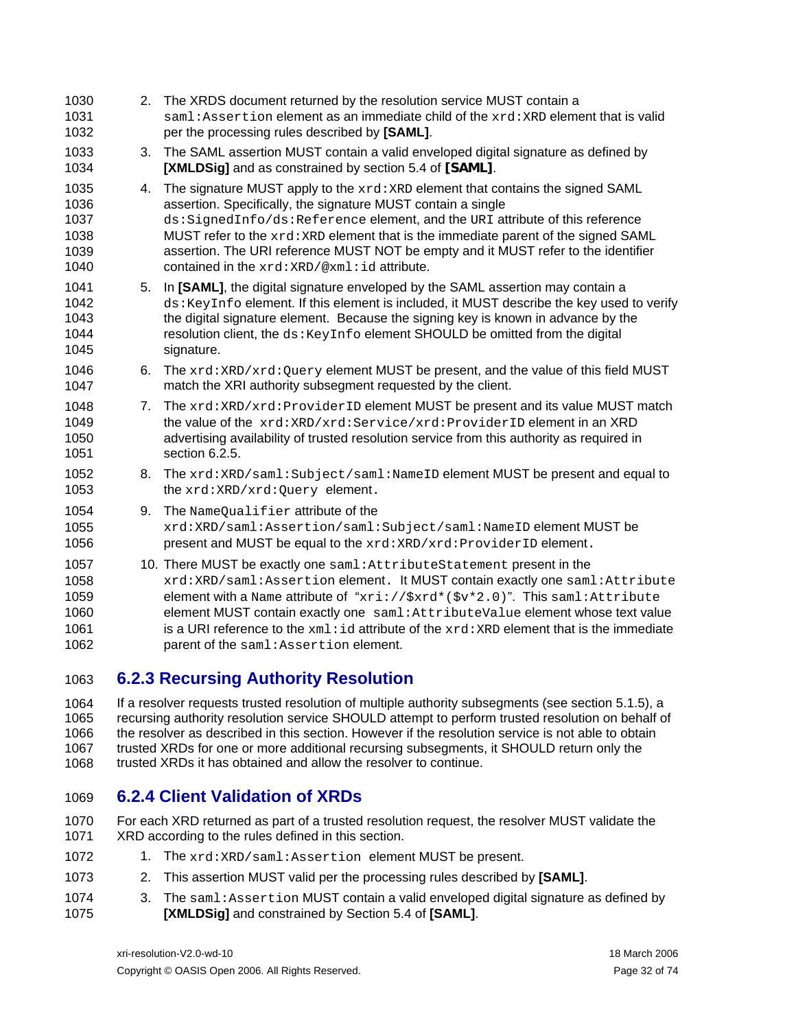<span id="page-31-0"></span>

| 1030<br>1031<br>1032                         | 2. | The XRDS document returned by the resolution service MUST contain a<br>saml: Assertion element as an immediate child of the xrd: XRD element that is valid<br>per the processing rules described by [SAML].                                                                                                                                                                                                                                                                                     |
|----------------------------------------------|----|-------------------------------------------------------------------------------------------------------------------------------------------------------------------------------------------------------------------------------------------------------------------------------------------------------------------------------------------------------------------------------------------------------------------------------------------------------------------------------------------------|
| 1033<br>1034                                 | 3. | The SAML assertion MUST contain a valid enveloped digital signature as defined by<br>[XMLDSig] and as constrained by section 5.4 of [SAML].                                                                                                                                                                                                                                                                                                                                                     |
| 1035<br>1036<br>1037<br>1038<br>1039<br>1040 | 4. | The signature MUST apply to the $xrd : xRD$ element that contains the signed SAML<br>assertion. Specifically, the signature MUST contain a single<br>ds: SignedInfo/ds: Reference element, and the URI attribute of this reference<br>MUST refer to the xrd: XRD element that is the immediate parent of the signed SAML<br>assertion. The URI reference MUST NOT be empty and it MUST refer to the identifier<br>contained in the $xrd : XRD/\& xml : id$ attribute.                           |
| 1041<br>1042<br>1043<br>1044<br>1045         | 5. | In [SAML], the digital signature enveloped by the SAML assertion may contain a<br>ds: KeyInfo element. If this element is included, it MUST describe the key used to verify<br>the digital signature element. Because the signing key is known in advance by the<br>resolution client, the ds: KeyInfo element SHOULD be omitted from the digital<br>signature.                                                                                                                                 |
| 1046<br>1047                                 | 6. | The $xrd : XRD/xrd : Query$ element MUST be present, and the value of this field MUST<br>match the XRI authority subsegment requested by the client.                                                                                                                                                                                                                                                                                                                                            |
| 1048<br>1049<br>1050<br>1051                 | 7. | The xrd: XRD/xrd: ProviderID element MUST be present and its value MUST match<br>the value of the xrd: XRD/xrd: Service/xrd: ProviderID element in an XRD<br>advertising availability of trusted resolution service from this authority as required in<br>section 6.2.5.                                                                                                                                                                                                                        |
| 1052<br>1053                                 | 8. | The xrd: XRD/saml: Subject/saml: NameID element MUST be present and equal to<br>the xrd: XRD/xrd: Query element.                                                                                                                                                                                                                                                                                                                                                                                |
| 1054<br>1055<br>1056                         | 9. | The NameQualifier attribute of the<br>xrd:XRD/saml:Assertion/saml:Subject/saml:NameID element MUST be<br>present and MUST be equal to the xrd: XRD/xrd: ProviderID element.                                                                                                                                                                                                                                                                                                                     |
| 1057<br>1058<br>1059<br>1060<br>1061<br>1062 |    | 10. There MUST be exactly one saml: AttributeStatement present in the<br>xrd:XRD/saml:Assertion element. It MUST contain exactly one saml:Attribute<br>element with a Name attribute of "xri:// $\frac{2}{x}$ xrd*( $\frac{2}{y}$ v*2.0)". This saml:Attribute<br>element MUST contain exactly one saml: AttributeValue element whose text value<br>is a URI reference to the $xml$ : id attribute of the $xrd$ : $xRD$ element that is the immediate<br>parent of the saml: Assertion element. |

### <span id="page-31-1"></span>1063 **6.2.3 Recursing Authority Resolution**

1064 1065 1066 1067 1068 If a resolver requests trusted resolution of multiple authority subsegments (see section [5.1.5](#page-26-1)), a recursing authority resolution service SHOULD attempt to perform trusted resolution on behalf of the resolver as described in this section. However if the resolution service is not able to obtain trusted XRDs for one or more additional recursing subsegments, it SHOULD return only the trusted XRDs it has obtained and allow the resolver to continue.

### <span id="page-31-2"></span>1069 **6.2.4 Client Validation of XRDs**

- 1070 1071 For each XRD returned as part of a trusted resolution request, the resolver MUST validate the XRD according to the rules defined in this section.
- 1072 1. The xrd:XRD/saml:Assertion element MUST be present.
- 1073 2. This assertion MUST valid per the processing rules described by **[\[SAML\]](#page-57-2)**.
- 1074 1075 3. The saml: Assertion MUST contain a valid enveloped digital signature as defined by **[\[XMLDSig\]](#page-57-6)** and constrained by Section 5.4 of **[\[SAML\]](#page-57-2)**.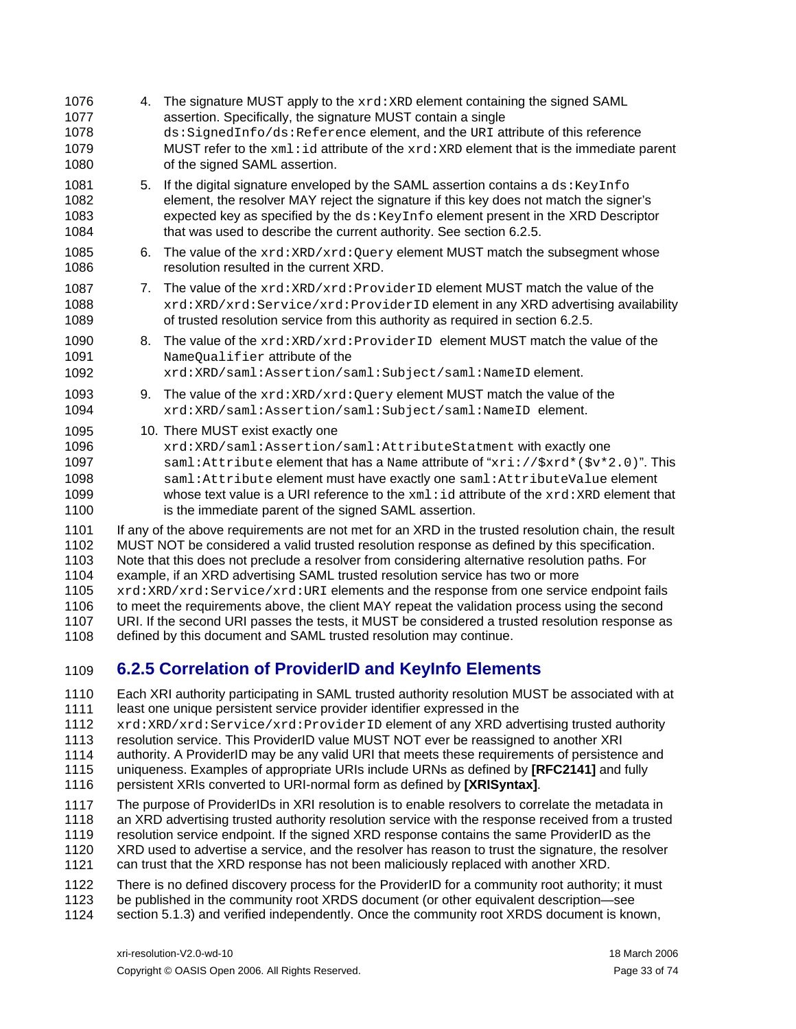<span id="page-32-0"></span>

| 1076<br>1077<br>1078<br>1079<br>1080                         | 4. | The signature MUST apply to the xrd: XRD element containing the signed SAML<br>assertion. Specifically, the signature MUST contain a single<br>ds:SignedInfo/ds:Reference element, and the URI attribute of this reference<br>MUST refer to the $xml$ : id attribute of the $xrd$ : $xRD$ element that is the immediate parent<br>of the signed SAML assertion.                                                                                                                                                                                                                                                                                                                                                                                               |
|--------------------------------------------------------------|----|---------------------------------------------------------------------------------------------------------------------------------------------------------------------------------------------------------------------------------------------------------------------------------------------------------------------------------------------------------------------------------------------------------------------------------------------------------------------------------------------------------------------------------------------------------------------------------------------------------------------------------------------------------------------------------------------------------------------------------------------------------------|
| 1081<br>1082<br>1083<br>1084                                 | 5. | If the digital signature enveloped by the SAML assertion contains a ds: KeyInfo<br>element, the resolver MAY reject the signature if this key does not match the signer's<br>expected key as specified by the ds: KeyInfo element present in the XRD Descriptor<br>that was used to describe the current authority. See section 6.2.5.                                                                                                                                                                                                                                                                                                                                                                                                                        |
| 1085<br>1086                                                 | 6. | The value of the $xrd:XRD/xrd:Query$ element MUST match the subsegment whose<br>resolution resulted in the current XRD.                                                                                                                                                                                                                                                                                                                                                                                                                                                                                                                                                                                                                                       |
| 1087<br>1088<br>1089                                         | 7. | The value of the $xrd:XRD/xrd:ProviderID$ element MUST match the value of the<br>xrd:XRD/xrd:Service/xrd:ProviderID element in any XRD advertising availability<br>of trusted resolution service from this authority as required in section 6.2.5.                                                                                                                                                                                                                                                                                                                                                                                                                                                                                                            |
| 1090<br>1091<br>1092                                         | 8. | The value of the xrd: XRD/xrd: ProviderID element MUST match the value of the<br>NameQualifier attribute of the<br>xrd:XRD/saml:Assertion/saml:Subject/saml:NameID element.                                                                                                                                                                                                                                                                                                                                                                                                                                                                                                                                                                                   |
| 1093<br>1094                                                 | 9. | The value of the $xrd:XRD/xrd:Query$ element MUST match the value of the<br>xrd:XRD/saml:Assertion/saml:Subject/saml:NameID element.                                                                                                                                                                                                                                                                                                                                                                                                                                                                                                                                                                                                                          |
| 1095<br>1096<br>1097<br>1098<br>1099<br>1100                 |    | 10. There MUST exist exactly one<br>xrd:XRD/saml:Assertion/saml:AttributeStatment with exactly one<br>saml: Attribute element that has a Name attribute of "xri: //\$xrd*(\$v*2.0)". This<br>saml: Attribute element must have exactly one saml: AttributeValue element<br>whose text value is a URI reference to the $xml$ : id attribute of the $xrd$ : $xRD$ element that<br>is the immediate parent of the signed SAML assertion.                                                                                                                                                                                                                                                                                                                         |
| 1101<br>1102<br>1103<br>1104<br>1105<br>1106<br>1107<br>1108 |    | If any of the above requirements are not met for an XRD in the trusted resolution chain, the result<br>MUST NOT be considered a valid trusted resolution response as defined by this specification.<br>Note that this does not preclude a resolver from considering alternative resolution paths. For<br>example, if an XRD advertising SAML trusted resolution service has two or more<br>xrd: XRD/xrd: Service/xrd: URI elements and the response from one service endpoint fails<br>to meet the requirements above, the client MAY repeat the validation process using the second<br>URI. If the second URI passes the tests, it MUST be considered a trusted resolution response as<br>defined by this document and SAML trusted resolution may continue. |
| 1109                                                         |    | 6.2.5 Correlation of ProviderID and Keylnfo Elements                                                                                                                                                                                                                                                                                                                                                                                                                                                                                                                                                                                                                                                                                                          |
| 1110<br>1111<br>1112<br>1113<br>4444                         |    | Each XRI authority participating in SAML trusted authority resolution MUST be associated with at<br>least one unique persistent service provider identifier expressed in the<br>xrd: XRD/xrd: Service/xrd: ProviderID element of any XRD advertising trusted authority<br>resolution service. This ProviderID value MUST NOT ever be reassigned to another XRI<br>cuttogriture A. Drovidart D. mortule o ontrugial UDI that moote those requirements of norgistance on d                                                                                                                                                                                                                                                                                      |

- <span id="page-32-1"></span>1114 authority. A ProviderID may be any valid URI that meets these requirements of persistence and
- 1115 uniqueness. Examples of appropriate URIs include URNs as defined by **[\[RFC2141\]](#page-57-10)** and fully
- 1116 persistent XRIs converted to URI-normal form as defined by **[\[XRISyntax\]](#page-58-0)**.
- 1117 1118 The purpose of ProviderIDs in XRI resolution is to enable resolvers to correlate the metadata in an XRD advertising trusted authority resolution service with the response received from a trusted
- 1119 resolution service endpoint. If the signed XRD response contains the same ProviderID as the
- 1120 XRD used to advertise a service, and the resolver has reason to trust the signature, the resolver
- 1121 can trust that the XRD response has not been maliciously replaced with another XRD.
- 1122 There is no defined discovery process for the ProviderID for a community root authority; it must
- 1123 be published in the community root XRDS document (or other equivalent description—see
- 1124 section [5.1.3\)](#page-25-1) and verified independently. Once the community root XRDS document is known,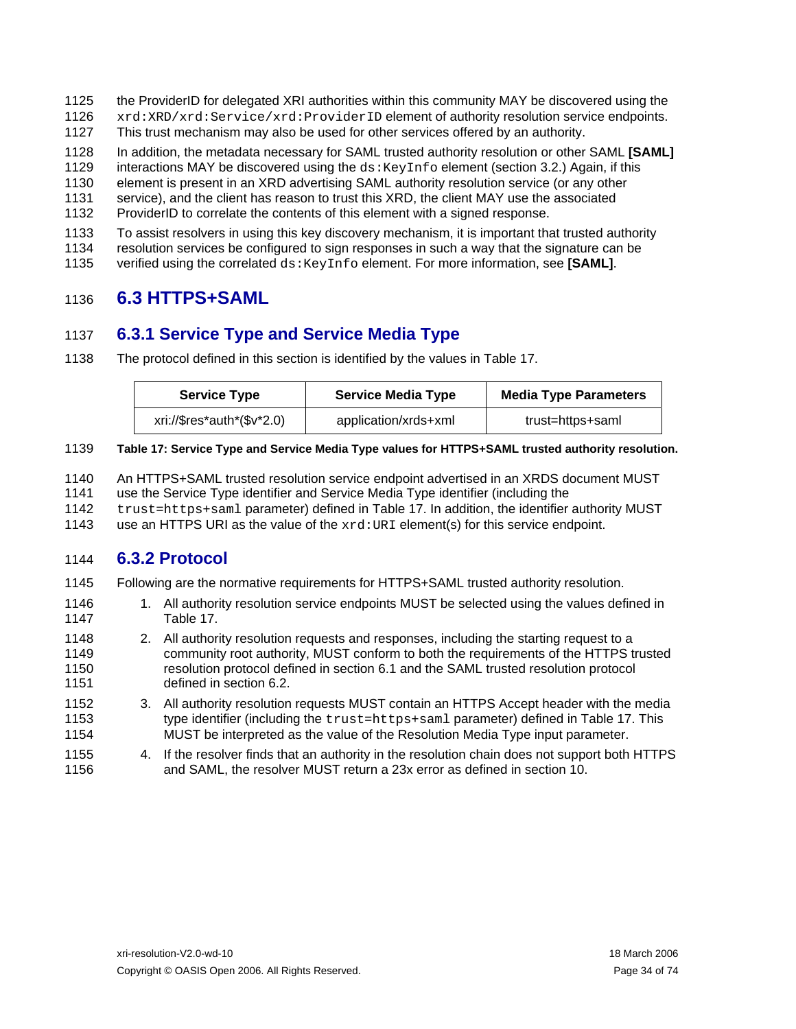- <span id="page-33-0"></span>1125 the ProviderID for delegated XRI authorities within this community MAY be discovered using the
- 1126 xrd:XRD/xrd:Service/xrd:ProviderID element of authority resolution service endpoints.
- 1127 This trust mechanism may also be used for other services offered by an authority.

1128 In addition, the metadata necessary for SAML trusted authority resolution or other SAML **[\[SAML\]](#page-57-2)**

- 1129 interactions MAY be discovered using the  $ds: KeyInf\circ$  element (section [3.2.](#page-10-3)) Again, if this
- 1130 element is present in an XRD advertising SAML authority resolution service (or any other
- 1131 service), and the client has reason to trust this XRD, the client MAY use the associated
- 1132 ProviderID to correlate the contents of this element with a signed response.
- 1133 To assist resolvers in using this key discovery mechanism, it is important that trusted authority
- 1134 resolution services be configured to sign responses in such a way that the signature can be
- 1135 verified using the correlated ds:KeyInfo element. For more information, see **[\[SAML\]](#page-57-2)**.

### <span id="page-33-1"></span>1136 **6.3 HTTPS+SAML**

### 1137 **6.3.1 Service Type and Service Media Type**

1138 The protocol defined in this section is identified by the values in [Table 17](#page-33-2).

| <b>Service Type</b>        | <b>Service Media Type</b> | <b>Media Type Parameters</b> |
|----------------------------|---------------------------|------------------------------|
| xri://\$res*auth*(\$v*2.0) | application/xrds+xml      | trust=https+saml             |

#### <span id="page-33-2"></span>1139 **Table 17: Service Type and Service Media Type values for HTTPS+SAML trusted authority resolution.**

- 1140 An HTTPS+SAML trusted resolution service endpoint advertised in an XRDS document MUST
- 1141 use the Service Type identifier and Service Media Type identifier (including the
- 1142 trust=https+saml parameter) defined in [Table 17.](#page-33-2) In addition, the identifier authority MUST
- 1143 use an HTTPS URI as the value of the  $xrd:URI$  element(s) for this service endpoint.

### 1144 **6.3.2 Protocol**

- 1145 Following are the normative requirements for HTTPS+SAML trusted authority resolution.
- 1146 1147 1. All authority resolution service endpoints MUST be selected using the values defined in [Table 17.](#page-33-2)
- 1148 1149 1150 1151 2. All authority resolution requests and responses, including the starting request to a community root authority, MUST conform to both the requirements of the HTTPS trusted resolution protocol defined in section [6.1](#page-29-3) and the SAML trusted resolution protocol defined in section [6.2](#page-29-2).
- 1152 1153 1154 3. All authority resolution requests MUST contain an HTTPS Accept header with the media type identifier (including the trust=https+saml parameter) defined in [Table 17](#page-33-2). This MUST be interpreted as the value of the Resolution Media Type input parameter.
- 1155 1156 4. If the resolver finds that an authority in the resolution chain does not support both HTTPS and SAML, the resolver MUST return a 23x error as defined in section [10.](#page-47-1)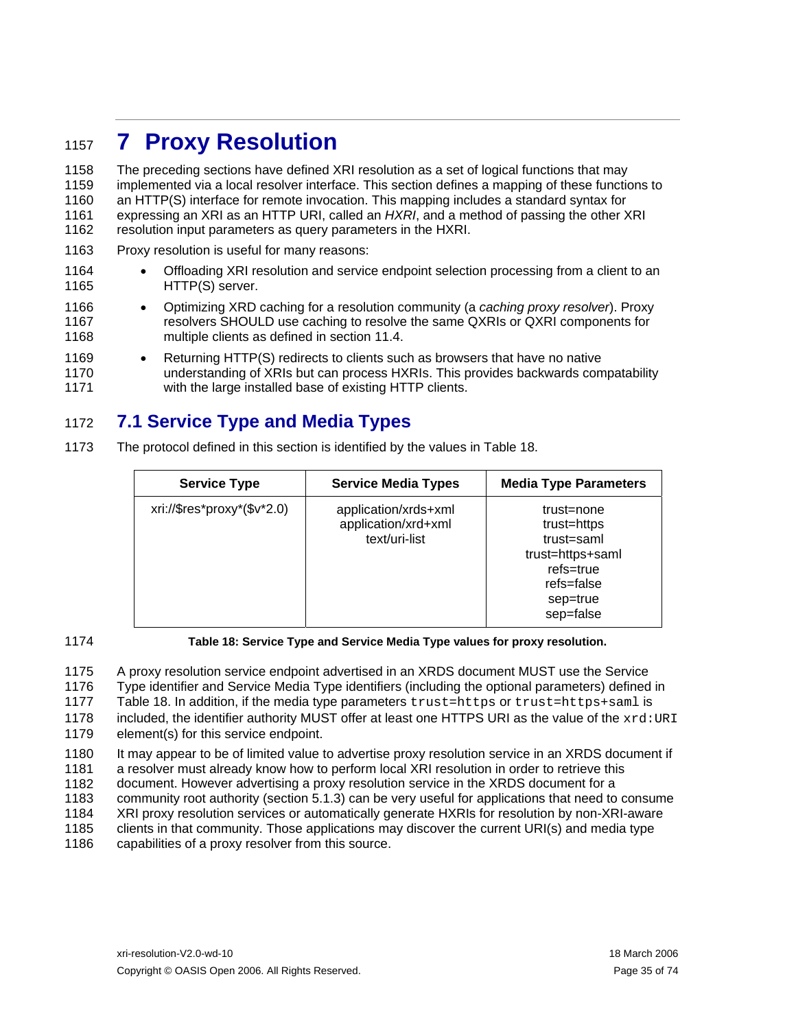## <span id="page-34-1"></span><span id="page-34-0"></span><sup>1157</sup>**7 Proxy Resolution**

1158 1159 1160 1161 1162 The preceding sections have defined XRI resolution as a set of logical functions that may implemented via a local resolver interface. This section defines a mapping of these functions to an HTTP(S) interface for remote invocation. This mapping includes a standard syntax for expressing an XRI as an HTTP URI, called an *HXRI*, and a method of passing the other XRI resolution input parameters as query parameters in the HXRI.

- 1163 Proxy resolution is useful for many reasons:
- 1164 1165 • Offloading XRI resolution and service endpoint selection processing from a client to an HTTP(S) server.
- 1166 1167 1168 • Optimizing XRD caching for a resolution community (a *caching proxy resolver*). Proxy resolvers SHOULD use caching to resolve the same QXRIs or QXRI components for multiple clients as defined in section [11.4.](#page-51-1)
- 1169 1170 1171 • Returning HTTP(S) redirects to clients such as browsers that have no native understanding of XRIs but can process HXRIs. This provides backwards compatability with the large installed base of existing HTTP clients.

### 1172 **7.1 Service Type and Media Types**

1173 The protocol defined in this section is identified by the values in [Table 18](#page-34-2).

| <b>Service Type</b>         | <b>Service Media Types</b>                                   | <b>Media Type Parameters</b>                                                                                    |
|-----------------------------|--------------------------------------------------------------|-----------------------------------------------------------------------------------------------------------------|
| xri://\$res*proxy*(\$v*2.0) | application/xrds+xml<br>application/xrd+xml<br>text/uri-list | trust=none<br>trust=https<br>trust=saml<br>trust=https+saml<br>refs=true<br>refs=false<br>sep=true<br>sep=false |

### <span id="page-34-2"></span>1174

**Table 18: Service Type and Service Media Type values for proxy resolution.** 

1175 1176 1177 1178 1179 A proxy resolution service endpoint advertised in an XRDS document MUST use the Service Type identifier and Service Media Type identifiers (including the optional parameters) defined in [Table 18.](#page-34-2) In addition, if the media type parameters trust=https or trust=https+saml is included, the identifier authority MUST offer at least one HTTPS URI as the value of the  $xrd:URI$ element(s) for this service endpoint.

1180 1181 1182 1183 1184 1185 1186 It may appear to be of limited value to advertise proxy resolution service in an XRDS document if a resolver must already know how to perform local XRI resolution in order to retrieve this document. However advertising a proxy resolution service in the XRDS document for a community root authority (section [5.1.3](#page-25-1)) can be very useful for applications that need to consume XRI proxy resolution services or automatically generate HXRIs for resolution by non-XRI-aware clients in that community. Those applications may discover the current URI(s) and media type capabilities of a proxy resolver from this source.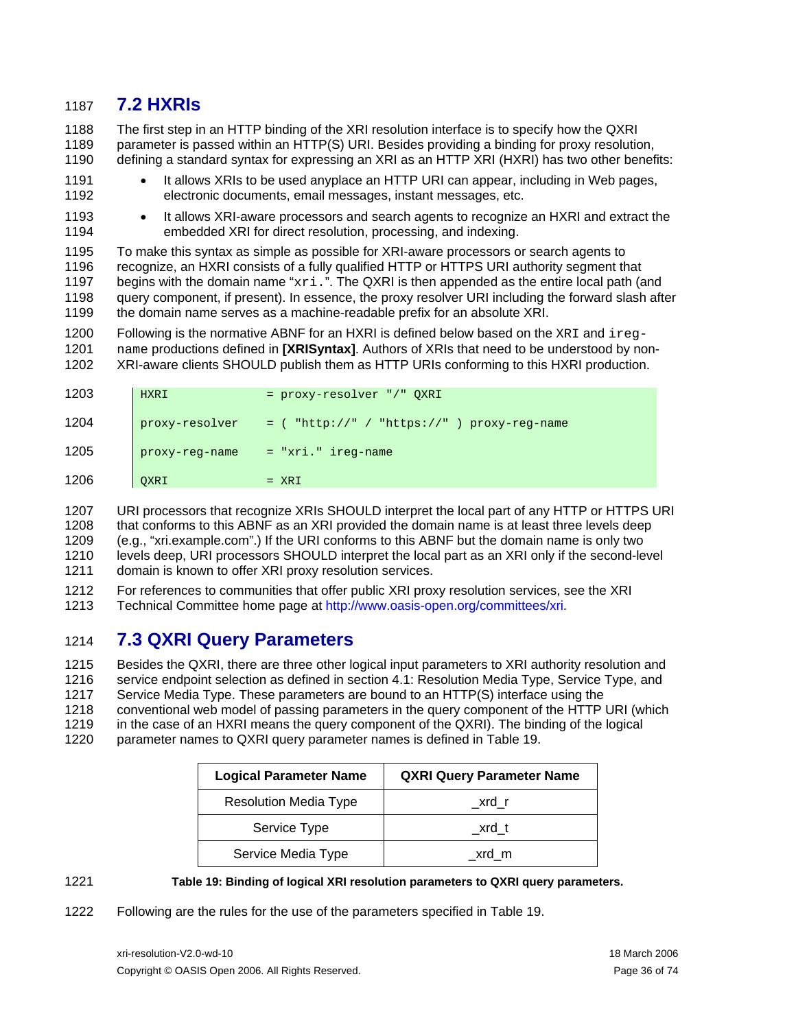### <span id="page-35-0"></span>1187 **7.2 HXRIs**

1188 1189 1190 The first step in an HTTP binding of the XRI resolution interface is to specify how the QXRI parameter is passed within an HTTP(S) URI. Besides providing a binding for proxy resolution, defining a standard syntax for expressing an XRI as an HTTP XRI (HXRI) has two other benefits:

- 1191 1192 It allows XRIs to be used anyplace an HTTP URI can appear, including in Web pages, electronic documents, email messages, instant messages, etc.
- 1193 1194 • It allows XRI-aware processors and search agents to recognize an HXRI and extract the embedded XRI for direct resolution, processing, and indexing.

1195 1196 1197 1198 1199 To make this syntax as simple as possible for XRI-aware processors or search agents to recognize, an HXRI consists of a fully qualified HTTP or HTTPS URI authority segment that begins with the domain name "xri.". The QXRI is then appended as the entire local path (and query component, if present). In essence, the proxy resolver URI including the forward slash after the domain name serves as a machine-readable prefix for an absolute XRI.

1200 1201 1202 Following is the normative ABNF for an HXRI is defined below based on the  $xRI$  and  $ireg$ name productions defined in **[\[XRISyntax\]](#page-58-0)**. Authors of XRIs that need to be understood by non-XRI-aware clients SHOULD publish them as HTTP URIs conforming to this HXRI production.

| 1203 | HXRI           | = proxy-resolver "/" QXRI                     |
|------|----------------|-----------------------------------------------|
| 1204 | proxy-resolver | $=$ ( "http://" / "https://" ) proxy-reg-name |
| 1205 | proxy-reg-name | $= "xri." ireq-name$                          |
| 1206 | QXRI           | $= XRI$                                       |

1207 1208 1209 1210 1211 URI processors that recognize XRIs SHOULD interpret the local part of any HTTP or HTTPS URI that conforms to this ABNF as an XRI provided the domain name is at least three levels deep (e.g., "xri.example.com".) If the URI conforms to this ABNF but the domain name is only two levels deep, URI processors SHOULD interpret the local part as an XRI only if the second-level domain is known to offer XRI proxy resolution services.

1212 1213 For references to communities that offer public XRI proxy resolution services, see the XRI Technical Committee home page at [http://www.oasis-open.org/committees/xri.](http://www.oasis-open.org/committees/xri)

### 1214 **7.3 QXRI Query Parameters**

1215 1216 1217 1218 1219 Besides the QXRI, there are three other logical input parameters to XRI authority resolution and service endpoint selection as defined in section [4.1:](#page-17-4) Resolution Media Type, Service Type, and Service Media Type. These parameters are bound to an HTTP(S) interface using the conventional web model of passing parameters in the query component of the HTTP URI (which in the case of an HXRI means the query component of the QXRI). The binding of the logical

1220 parameter names to QXRI query parameter names is defined in [Table 19.](#page-35-1)

| <b>Logical Parameter Name</b> | <b>QXRI Query Parameter Name</b> |
|-------------------------------|----------------------------------|
| <b>Resolution Media Type</b>  | xrd r                            |
| Service Type                  | xrd t                            |
| Service Media Type            | xrd m                            |

<span id="page-35-1"></span>1221

### **Table 19: Binding of logical XRI resolution parameters to QXRI query parameters.**

1222 Following are the rules for the use of the parameters specified in [Table 19](#page-35-1).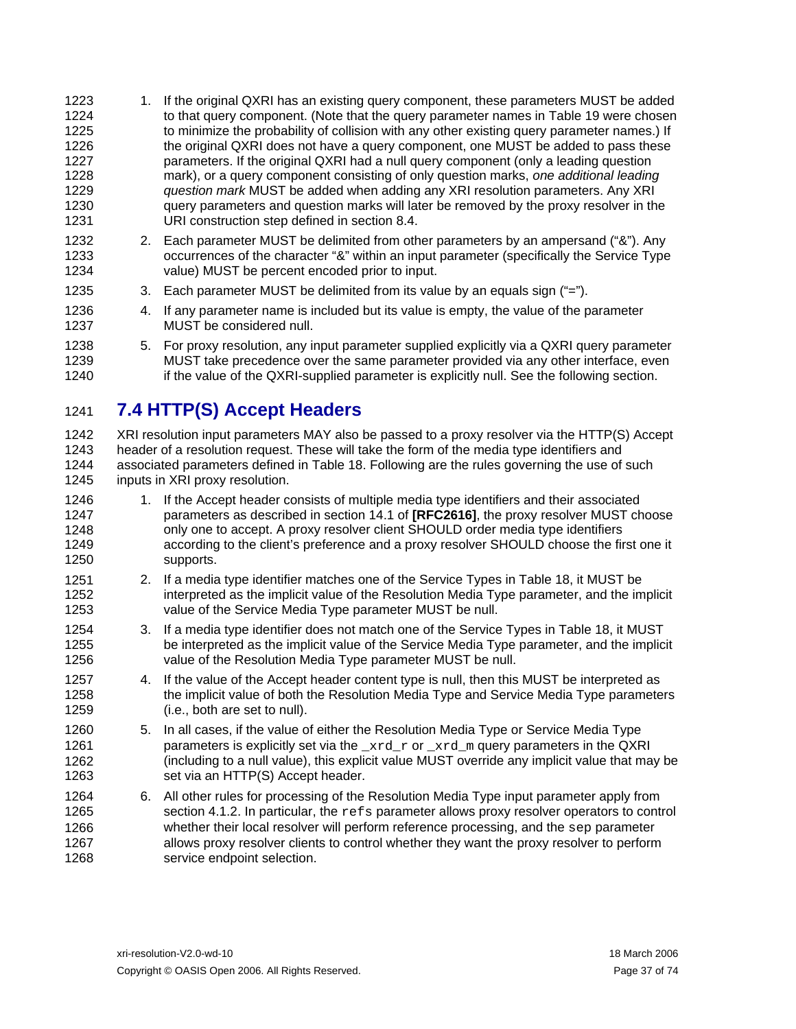- 1. If the original QXRI has an existing query component, these parameters MUST be added to that query component. (Note that the query parameter names in [Table 19](#page-35-0) were chosen 1223 1224 1225 1226 1227 1228 1229 1230 1231 to minimize the probability of collision with any other existing query parameter names.) If the original QXRI does not have a query component, one MUST be added to pass these parameters. If the original QXRI had a null query component (only a leading question mark), or a query component consisting of only question marks, *one additional leading question mark* MUST be added when adding any XRI resolution parameters. Any XRI query parameters and question marks will later be removed by the proxy resolver in the URI construction step defined in section [8.4.](#page-41-0)
- 1232 1233 1234 2. Each parameter MUST be delimited from other parameters by an ampersand ("&"). Any occurrences of the character "&" within an input parameter (specifically the Service Type value) MUST be percent encoded prior to input.
- 1235 3. Each parameter MUST be delimited from its value by an equals sign ("=").
- 1236 1237 4. If any parameter name is included but its value is empty, the value of the parameter MUST be considered null.
- 1238 1239 1240 5. For proxy resolution, any input parameter supplied explicitly via a QXRI query parameter MUST take precedence over the same parameter provided via any other interface, even if the value of the QXRI-supplied parameter is explicitly null. See the following section.

#### 1241 **7.4 HTTP(S) Accept Headers**

1242 1243 1244 1245 XRI resolution input parameters MAY also be passed to a proxy resolver via the HTTP(S) Accept header of a resolution request. These will take the form of the media type identifiers and associated parameters defined in [Table 18](#page-34-0). Following are the rules governing the use of such inputs in XRI proxy resolution.

- 1246 1247 1248 1249 1250 1. If the Accept header consists of multiple media type identifiers and their associated parameters as described in section 14.1 of **[\[RFC2616\]](#page-57-0)**, the proxy resolver MUST choose only one to accept. A proxy resolver client SHOULD order media type identifiers according to the client's preference and a proxy resolver SHOULD choose the first one it supports.
- 1251 1252 1253 2. If a media type identifier matches one of the Service Types in [Table 18](#page-34-0), it MUST be interpreted as the implicit value of the Resolution Media Type parameter, and the implicit value of the Service Media Type parameter MUST be null.
- 1254 1255 1256 3. If a media type identifier does not match one of the Service Types in [Table 18,](#page-34-0) it MUST be interpreted as the implicit value of the Service Media Type parameter, and the implicit value of the Resolution Media Type parameter MUST be null.
- 1257 1258 1259 4. If the value of the Accept header content type is null, then this MUST be interpreted as the implicit value of both the Resolution Media Type and Service Media Type parameters (i.e., both are set to null).
- 1260 1261 1262 1263 5. In all cases, if the value of either the Resolution Media Type or Service Media Type parameters is explicitly set via the \_xrd\_r or \_xrd\_m query parameters in the QXRI (including to a null value), this explicit value MUST override any implicit value that may be set via an HTTP(S) Accept header.
- 1264 1265 1266 1267 1268 6. All other rules for processing of the Resolution Media Type input parameter apply from section [4.1.2.](#page-18-0) In particular, the refs parameter allows proxy resolver operators to control whether their local resolver will perform reference processing, and the sep parameter allows proxy resolver clients to control whether they want the proxy resolver to perform service endpoint selection.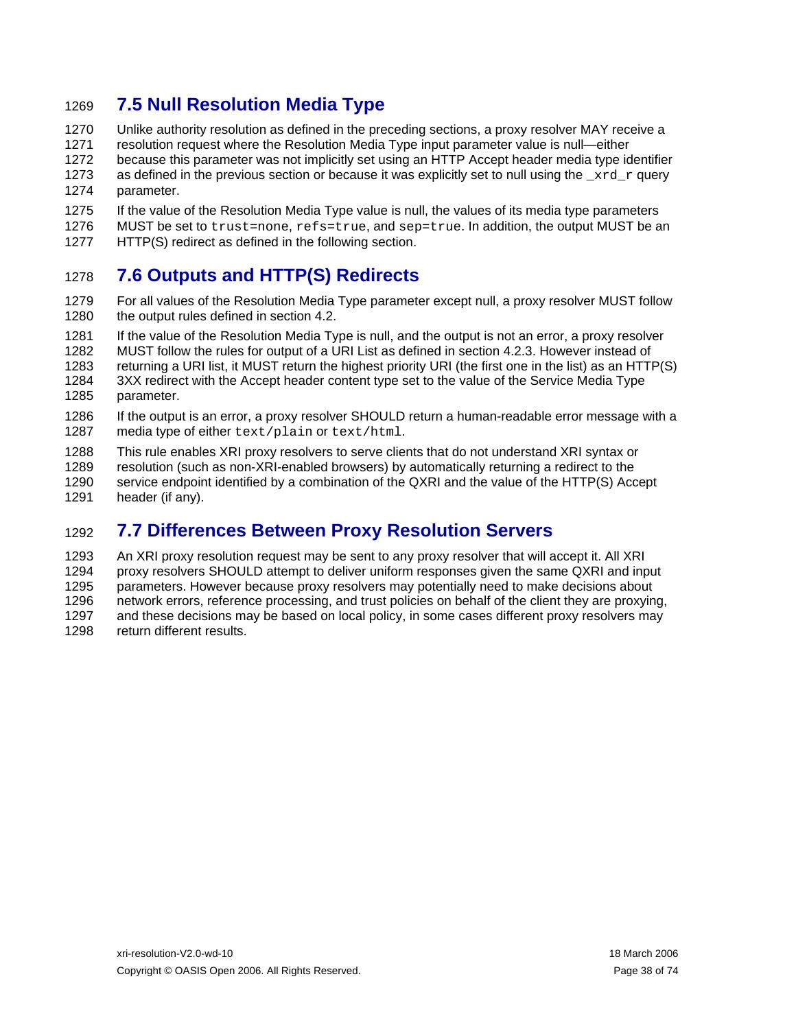## <span id="page-37-1"></span>1269 **7.5 Null Resolution Media Type**

- 1270 1271 1272 1273 1274 Unlike authority resolution as defined in the preceding sections, a proxy resolver MAY receive a resolution request where the Resolution Media Type input parameter value is null—either because this parameter was not implicitly set using an HTTP Accept header media type identifier as defined in the previous section or because it was explicitly set to null using the  $xrd$  r query parameter.
- 1275 1276 If the value of the Resolution Media Type value is null, the values of its media type parameters MUST be set to trust=none, refs=true, and sep=true. In addition, the output MUST be an
- 1277 HTTP(S) redirect as defined in the following section.

#### <span id="page-37-0"></span>1278 **7.6 Outputs and HTTP(S) Redirects**

- 1279 1280 For all values of the Resolution Media Type parameter except null, a proxy resolver MUST follow the output rules defined in section [4.2](#page-20-0).
- 1281 1282 1283 1284 1285 If the value of the Resolution Media Type is null, and the output is not an error, a proxy resolver MUST follow the rules for output of a URI List as defined in section [4.2.3.](#page-21-0) However instead of returning a URI list, it MUST return the highest priority URI (the first one in the list) as an HTTP(S) 3XX redirect with the Accept header content type set to the value of the Service Media Type parameter.
- 1286 1287 If the output is an error, a proxy resolver SHOULD return a human-readable error message with a media type of either text/plain or text/html.
- 1288 1289 1290 1291 This rule enables XRI proxy resolvers to serve clients that do not understand XRI syntax or resolution (such as non-XRI-enabled browsers) by automatically returning a redirect to the service endpoint identified by a combination of the QXRI and the value of the HTTP(S) Accept header (if any).

#### 1292 **7.7 Differences Between Proxy Resolution Servers**

1293 1294 1295 1296 1297 1298 An XRI proxy resolution request may be sent to any proxy resolver that will accept it. All XRI proxy resolvers SHOULD attempt to deliver uniform responses given the same QXRI and input parameters. However because proxy resolvers may potentially need to make decisions about network errors, reference processing, and trust policies on behalf of the client they are proxying, and these decisions may be based on local policy, in some cases different proxy resolvers may return different results.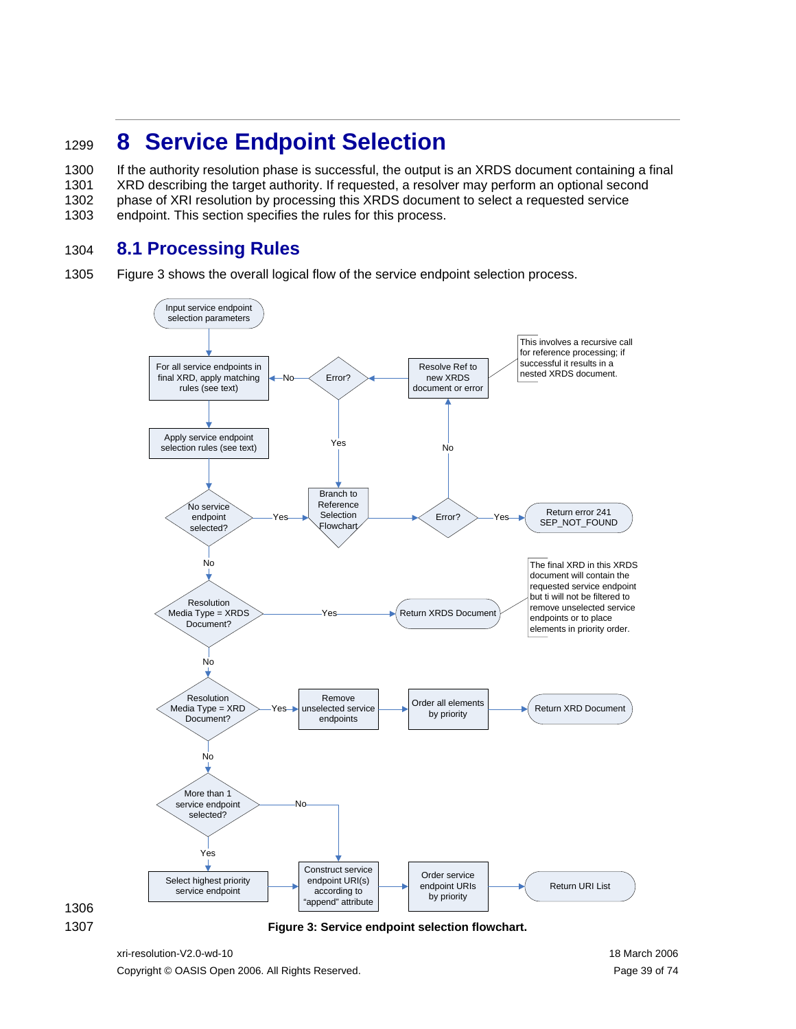## <span id="page-38-1"></span><sup>1299</sup>**8 Service Endpoint Selection**

1300 1301 1302 1303 If the authority resolution phase is successful, the output is an XRDS document containing a final XRD describing the target authority. If requested, a resolver may perform an optional second phase of XRI resolution by processing this XRDS document to select a requested service endpoint. This section specifies the rules for this process.

#### 1304 **8.1 Processing Rules**

1305 [Figure 3](#page-38-0) shows the overall logical flow of the service endpoint selection process.





<span id="page-38-0"></span>1307 **Figure 3: Service endpoint selection flowchart.**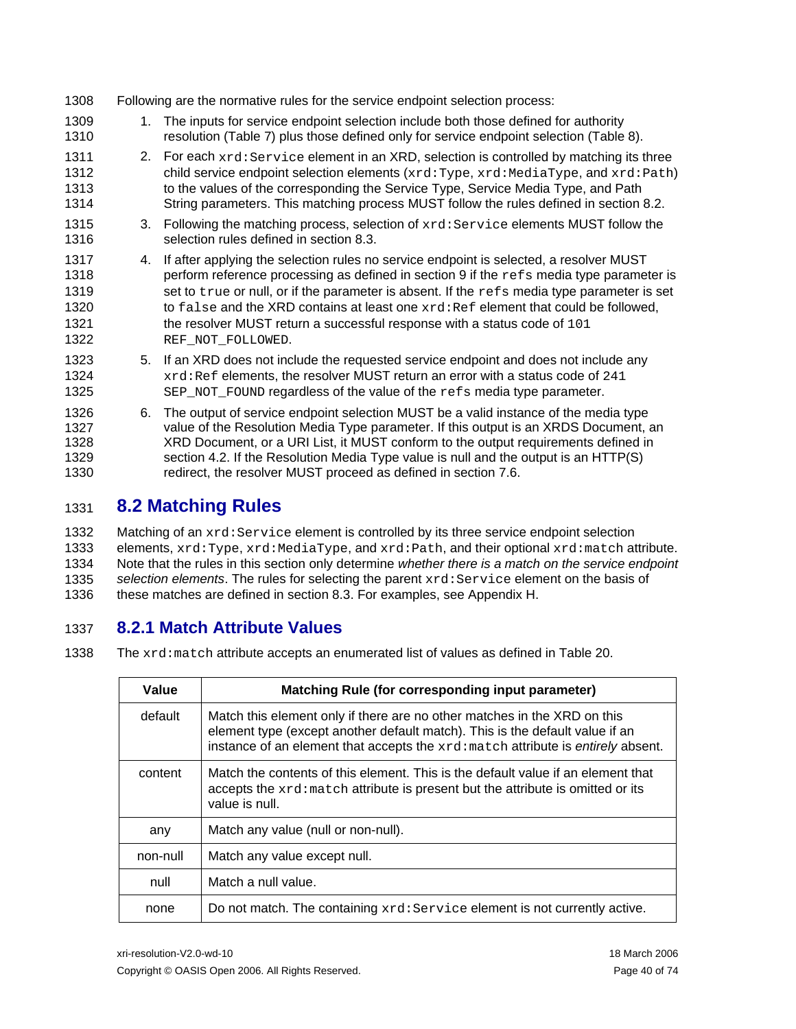| 1308                                         |    | Following are the normative rules for the service endpoint selection process:                                                                                                                                                                                                                                                                                                                                                                                                      |
|----------------------------------------------|----|------------------------------------------------------------------------------------------------------------------------------------------------------------------------------------------------------------------------------------------------------------------------------------------------------------------------------------------------------------------------------------------------------------------------------------------------------------------------------------|
| 1309<br>1310                                 | 1. | The inputs for service endpoint selection include both those defined for authority<br>resolution (Table 7) plus those defined only for service endpoint selection (Table 8).                                                                                                                                                                                                                                                                                                       |
| 1311<br>1312<br>1313<br>1314                 |    | 2. For each xrd: Service element in an XRD, selection is controlled by matching its three<br>child service endpoint selection elements (xrd: Type, xrd: MediaType, and xrd: Path)<br>to the values of the corresponding the Service Type, Service Media Type, and Path<br>String parameters. This matching process MUST follow the rules defined in section 8.2.                                                                                                                   |
| 1315<br>1316                                 | 3. | Following the matching process, selection of xrd: Service elements MUST follow the<br>selection rules defined in section 8.3.                                                                                                                                                                                                                                                                                                                                                      |
| 1317<br>1318<br>1319<br>1320<br>1321<br>1322 | 4. | If after applying the selection rules no service endpoint is selected, a resolver MUST<br>perform reference processing as defined in section 9 if the $\text{refs}$ media type parameter is<br>set to true or null, or if the parameter is absent. If the refs media type parameter is set<br>to false and the XRD contains at least one xrd: Ref element that could be followed,<br>the resolver MUST return a successful response with a status code of 101<br>REF_NOT_FOLLOWED. |
| 1323<br>1324<br>1325                         | 5. | If an XRD does not include the requested service endpoint and does not include any<br>xrd: Ref elements, the resolver MUST return an error with a status code of 241<br>$SEP_NOT_F$ ound regardless of the value of the $r \in S$ media type parameter.                                                                                                                                                                                                                            |
| 1326<br>1327<br>1328<br>1329<br>1330         | 6. | The output of service endpoint selection MUST be a valid instance of the media type<br>value of the Resolution Media Type parameter. If this output is an XRDS Document, an<br>XRD Document, or a URI List, it MUST conform to the output requirements defined in<br>section 4.2. If the Resolution Media Type value is null and the output is an HTTP(S)<br>redirect, the resolver MUST proceed as defined in section 7.6.                                                        |

#### <span id="page-39-0"></span>1331 **8.2 Matching Rules**

1332 1333 1334 1335 1336 Matching of an xrd: Service element is controlled by its three service endpoint selection elements, xrd:Type, xrd:MediaType, and xrd:Path, and their optional xrd:match attribute. Note that the rules in this section only determine *whether there is a match on the service endpoint selection elements*. The rules for selecting the parent xrd:Service element on the basis of these matches are defined in section [8.3.](#page-41-1) For examples, see Appendix H.

#### 1337 **8.2.1 Match Attribute Values**

1338 The xrd:match attribute accepts an enumerated list of values as defined in [Table 20](#page-40-0).

| Value    | Matching Rule (for corresponding input parameter)                                                                                                                                                                                            |  |  |
|----------|----------------------------------------------------------------------------------------------------------------------------------------------------------------------------------------------------------------------------------------------|--|--|
| default  | Match this element only if there are no other matches in the XRD on this<br>element type (except another default match). This is the default value if an<br>instance of an element that accepts the xrd: match attribute is entirely absent. |  |  |
| content  | Match the contents of this element. This is the default value if an element that<br>accepts the xrd: match attribute is present but the attribute is omitted or its<br>value is null.                                                        |  |  |
| any      | Match any value (null or non-null).                                                                                                                                                                                                          |  |  |
| non-null | Match any value except null.                                                                                                                                                                                                                 |  |  |
| null     | Match a null value.                                                                                                                                                                                                                          |  |  |
| none     | Do not match. The containing xrd: Service element is not currently active.                                                                                                                                                                   |  |  |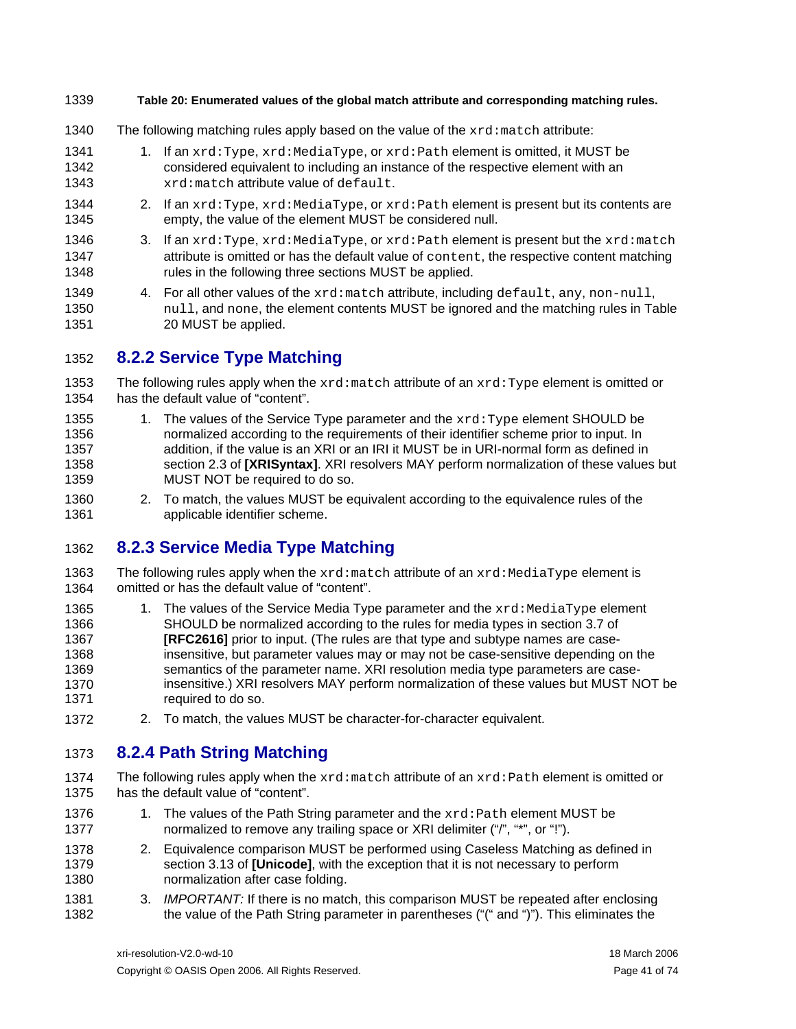#### <span id="page-40-0"></span>1339 **Table 20: Enumerated values of the global match attribute and corresponding matching rules.**

- 1340 The following matching rules apply based on the value of the  $xrd$ : match attribute:
- 1341 1342 1343 1. If an  $xrd:Type, xrd:MediaType, or xrd:Path element is omitted, it MUST be$ considered equivalent to including an instance of the respective element with an xrd:match attribute value of default.
- 1344 1345 2. If an  $xrd:Type, xrd:MediaType, or xrd:Path element is present but its contents are$ empty, the value of the element MUST be considered null.
- 1346 1347 1348 3. If an  $xrd:Type, xrd:MediaType, or xrd:Path element is present but the xrd:match$ attribute is omitted or has the default value of content, the respective content matching rules in the following three sections MUST be applied.
- 1349 1350 1351 4. For all other values of the xrd:match attribute, including default, any, non-null, null, and none, the element contents MUST be ignored and the matching rules in [Table](#page-40-0)  [20](#page-40-0) MUST be applied.

#### 1352 **8.2.2 Service Type Matching**

- 1353 1354 The following rules apply when the  $xrd$ :  $match$  attribute of an  $xrd$ : Type element is omitted or has the default value of "content".
- 1355 1356 1357 1358 1359 1. The values of the Service Type parameter and the  $xrd:Type$  element SHOULD be normalized according to the requirements of their identifier scheme prior to input. In addition, if the value is an XRI or an IRI it MUST be in URI-normal form as defined in section 2.3 of **[\[XRISyntax\]](#page-58-0)**. XRI resolvers MAY perform normalization of these values but MUST NOT be required to do so.
- 1360 1361 2. To match, the values MUST be equivalent according to the equivalence rules of the applicable identifier scheme.

#### 1362 **8.2.3 Service Media Type Matching**

- 1363 1364 The following rules apply when the  $xrd$ : match attribute of an  $xrd$ : MediaType element is omitted or has the default value of "content".
- 1365 1366 1367 1368 1369 1370 1371 1. The values of the Service Media Type parameter and the  $xrd$ : MediaType element SHOULD be normalized according to the rules for media types in section 3.7 of **[\[RFC2616\]](#page-57-0)** prior to input. (The rules are that type and subtype names are caseinsensitive, but parameter values may or may not be case-sensitive depending on the semantics of the parameter name. XRI resolution media type parameters are caseinsensitive.) XRI resolvers MAY perform normalization of these values but MUST NOT be required to do so.
- 1372 2. To match, the values MUST be character-for-character equivalent.

#### 1373 **8.2.4 Path String Matching**

- 1374 1375 The following rules apply when the  $xrd$ :match attribute of an  $xrd$ : Path element is omitted or has the default value of "content".
- 1376 1377 1. The values of the Path String parameter and the xrd: Path element MUST be normalized to remove any trailing space or XRI delimiter ("/", "\*", or "!").
- 1378 1379 1380 2. Equivalence comparison MUST be performed using Caseless Matching as defined in section 3.13 of **[\[Unicode\]](#page-57-1)**, with the exception that it is not necessary to perform normalization after case folding.
- 1381 1382 3. *IMPORTANT:* If there is no match, this comparison MUST be repeated after enclosing the value of the Path String parameter in parentheses ("(" and ")"). This eliminates the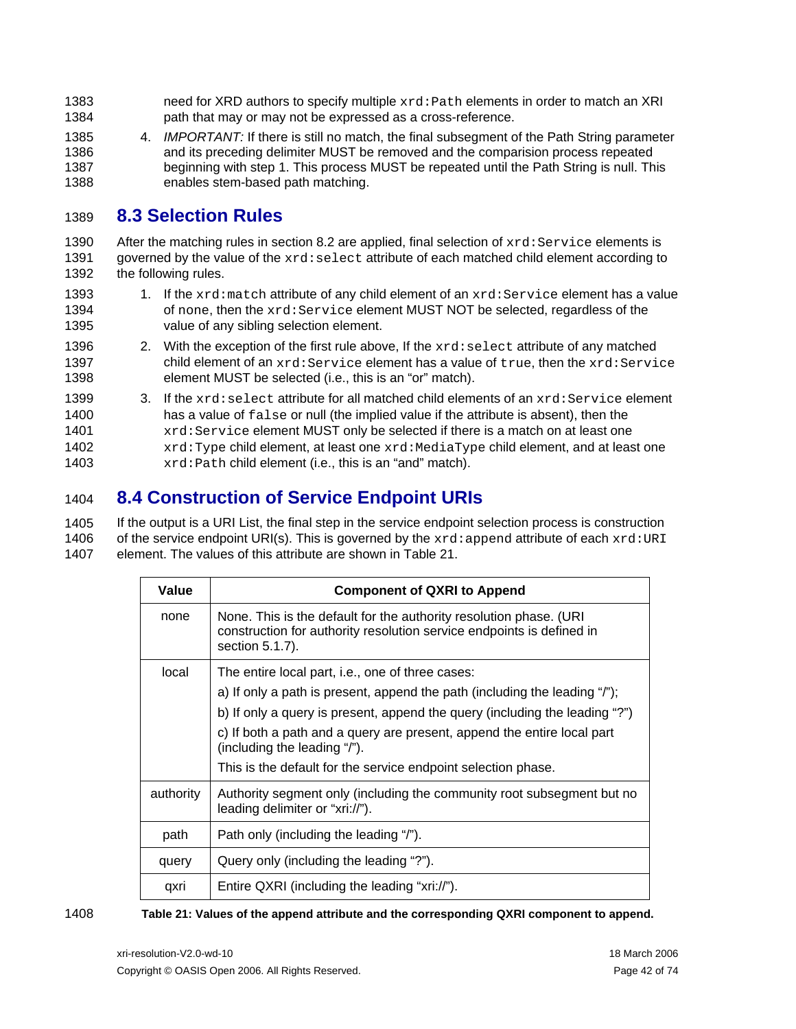- need for XRD authors to specify multiple  $xrd$ : Path elements in order to match an XRI path that may or may not be expressed as a cross-reference. 1383 1384
- 1385 1386 1387 1388 4. *IMPORTANT:* If there is still no match, the final subsegment of the Path String parameter and its preceding delimiter MUST be removed and the comparision process repeated beginning with step 1. This process MUST be repeated until the Path String is null. This enables stem-based path matching.

#### <span id="page-41-1"></span>1389 **8.3 Selection Rules**

1390 1391 1392 After the matching rules in section [8.2](#page-39-0) are applied, final selection of  $xrd:Service$  elements is governed by the value of the xrd: select attribute of each matched child element according to the following rules.

- 1393 1394 1395 1. If the  $xrd$ : match attribute of any child element of an  $xrd$ : Service element has a value of none, then the xrd:Service element MUST NOT be selected, regardless of the value of any sibling selection element.
- 1396 1397 1398 2. With the exception of the first rule above, If the  $xrd:select$  attribute of any matched child element of an xrd: Service element has a value of true, then the xrd: Service element MUST be selected (i.e., this is an "or" match).
- 1399 1400 1401 1402 1403 3. If the  $xrd:select$  attribute for all matched child elements of an  $xrd:Service$  element has a value of false or null (the implied value if the attribute is absent), then the xrd:Service element MUST only be selected if there is a match on at least one xrd: Type child element, at least one xrd: MediaType child element, and at least one xrd:Path child element (i.e., this is an "and" match).

#### <span id="page-41-0"></span>1404 **8.4 Construction of Service Endpoint URIs**

1405 1406 1407 If the output is a URI List, the final step in the service endpoint selection process is construction of the service endpoint URI(s). This is governed by the  $xrd : append$  attribute of each  $xrd : \text{URI}$ element. The values of this attribute are shown in [Table 21.](#page-41-2)

| Value     | <b>Component of QXRI to Append</b>                                                                                                                                                                                                                                                                                                                                                        |  |  |  |
|-----------|-------------------------------------------------------------------------------------------------------------------------------------------------------------------------------------------------------------------------------------------------------------------------------------------------------------------------------------------------------------------------------------------|--|--|--|
| none      | None. This is the default for the authority resolution phase. (URI<br>construction for authority resolution service endpoints is defined in<br>section 5.1.7).                                                                                                                                                                                                                            |  |  |  |
| local     | The entire local part, i.e., one of three cases:<br>a) If only a path is present, append the path (including the leading "/");<br>b) If only a query is present, append the query (including the leading "?")<br>c) If both a path and a query are present, append the entire local part<br>(including the leading "/").<br>This is the default for the service endpoint selection phase. |  |  |  |
| authority | Authority segment only (including the community root subsegment but no<br>leading delimiter or "xri://").                                                                                                                                                                                                                                                                                 |  |  |  |
| path      | Path only (including the leading "/").                                                                                                                                                                                                                                                                                                                                                    |  |  |  |
| query     | Query only (including the leading "?").                                                                                                                                                                                                                                                                                                                                                   |  |  |  |
| qxri      | Entire QXRI (including the leading "xri://").                                                                                                                                                                                                                                                                                                                                             |  |  |  |

### <span id="page-41-2"></span>1408 **Table 21: Values of the append attribute and the corresponding QXRI component to append.**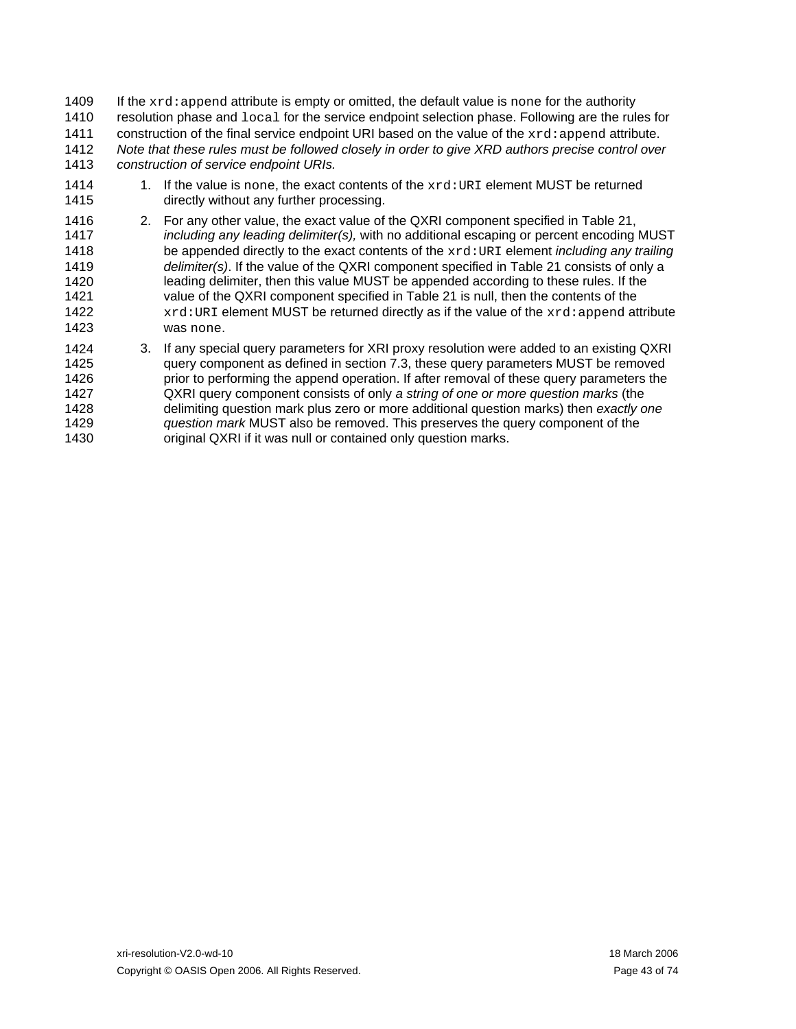If the  $xrd:append$  attribute is empty or omitted, the default value is none for the authority resolution phase and local for the service endpoint selection phase. Following are the rules for 1409 1410 1411 1412 1413 construction of the final service endpoint URI based on the value of the  $xrd$ : append attribute. *Note that these rules must be followed closely in order to give XRD authors precise control over construction of service endpoint URIs.*

- 1414 1415 1. If the value is none, the exact contents of the  $xrd:URI$  element MUST be returned directly without any further processing.
- 1416 1417 1418 1419 1420 1421 1422 1423 2. For any other value, the exact value of the QXRI component specified in [Table 21,](#page-41-2) *including any leading delimiter(s),* with no additional escaping or percent encoding MUST be appended directly to the exact contents of the xrd:URI element *including any trailing delimiter(s)*. If the value of the QXRI component specified in [Table 21](#page-41-2) consists of only a leading delimiter, then this value MUST be appended according to these rules. If the value of the QXRI component specified in [Table 21](#page-41-2) is null, then the contents of the  $xrd:URI$  element MUST be returned directly as if the value of the  $xrd:append$  attribute was none.
- 1424 1425 1426 1427 1428 1429 1430 3. If any special query parameters for XRI proxy resolution were added to an existing QXRI query component as defined in section [7.3,](#page-35-1) these query parameters MUST be removed prior to performing the append operation. If after removal of these query parameters the QXRI query component consists of only *a string of one or more question marks* (the delimiting question mark plus zero or more additional question marks) then *exactly one question mark* MUST also be removed. This preserves the query component of the original QXRI if it was null or contained only question marks.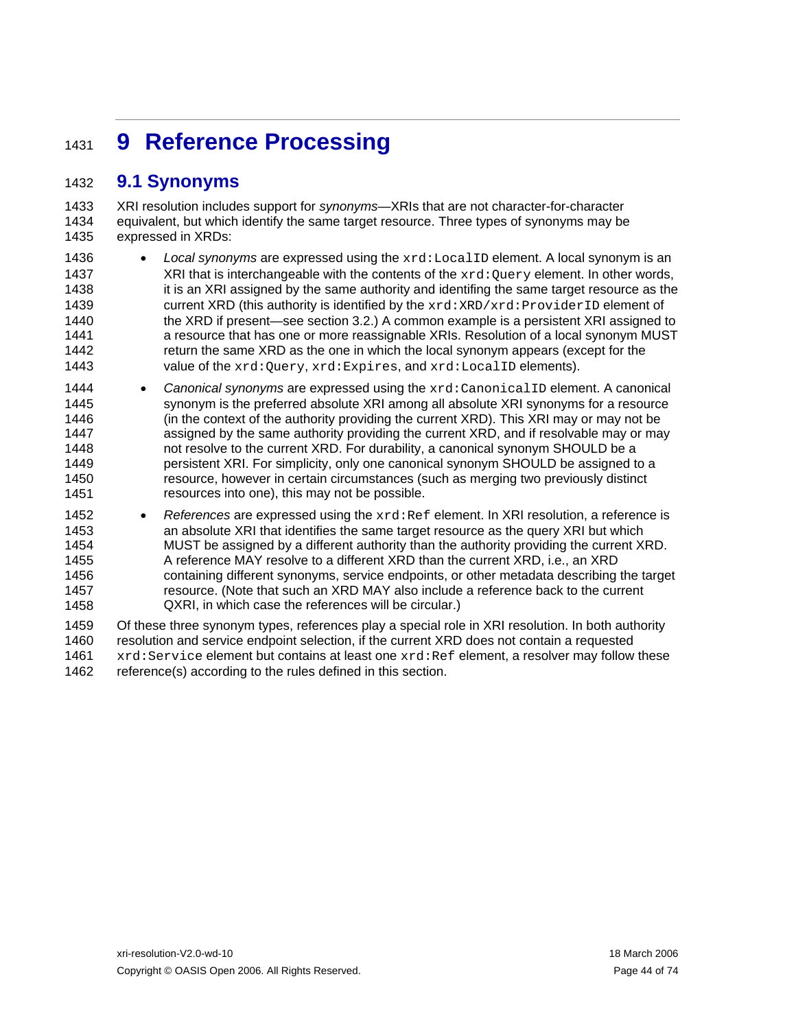# <span id="page-43-0"></span><sup>1431</sup>**9 Reference Processing**

#### 1432 **9.1 Synonyms**

1433 1434 1435 XRI resolution includes support for *synonyms*—XRIs that are not character-for-character equivalent, but which identify the same target resource. Three types of synonyms may be expressed in XRDs:

- 1436 1437 1438 1439 1440 1441 1442 1443 • *Local synonyms* are expressed using the xrd:LocalID element. A local synonym is an XRI that is interchangeable with the contents of the  $xrd:Query$  element. In other words, it is an XRI assigned by the same authority and identifing the same target resource as the current XRD (this authority is identified by the  $xrd:XPD:ProviderID$  element of the XRD if present—see section [3.2](#page-10-0).) A common example is a persistent XRI assigned to a resource that has one or more reassignable XRIs. Resolution of a local synonym MUST return the same XRD as the one in which the local synonym appears (except for the value of the xrd: Query, xrd: Expires, and xrd: LocalID elements).
- 1444 1445 1446 1447 1448 1449 1450 1451 • Canonical synonyms are expressed using the  $xrd:Camomial$  Delement. A canonical synonym is the preferred absolute XRI among all absolute XRI synonyms for a resource (in the context of the authority providing the current XRD). This XRI may or may not be assigned by the same authority providing the current XRD, and if resolvable may or may not resolve to the current XRD. For durability, a canonical synonym SHOULD be a persistent XRI. For simplicity, only one canonical synonym SHOULD be assigned to a resource, however in certain circumstances (such as merging two previously distinct resources into one), this may not be possible.
- 1452 1453 1454 1455 1456 1457 1458 • *References* are expressed using the  $xrd$ : Ref element. In XRI resolution, a reference is an absolute XRI that identifies the same target resource as the query XRI but which MUST be assigned by a different authority than the authority providing the current XRD. A reference MAY resolve to a different XRD than the current XRD, i.e., an XRD containing different synonyms, service endpoints, or other metadata describing the target resource. (Note that such an XRD MAY also include a reference back to the current QXRI, in which case the references will be circular.)

1459 1460 1461 1462 Of these three synonym types, references play a special role in XRI resolution. In both authority resolution and service endpoint selection, if the current XRD does not contain a requested xrd: Service element but contains at least one xrd: Ref element, a resolver may follow these reference(s) according to the rules defined in this section.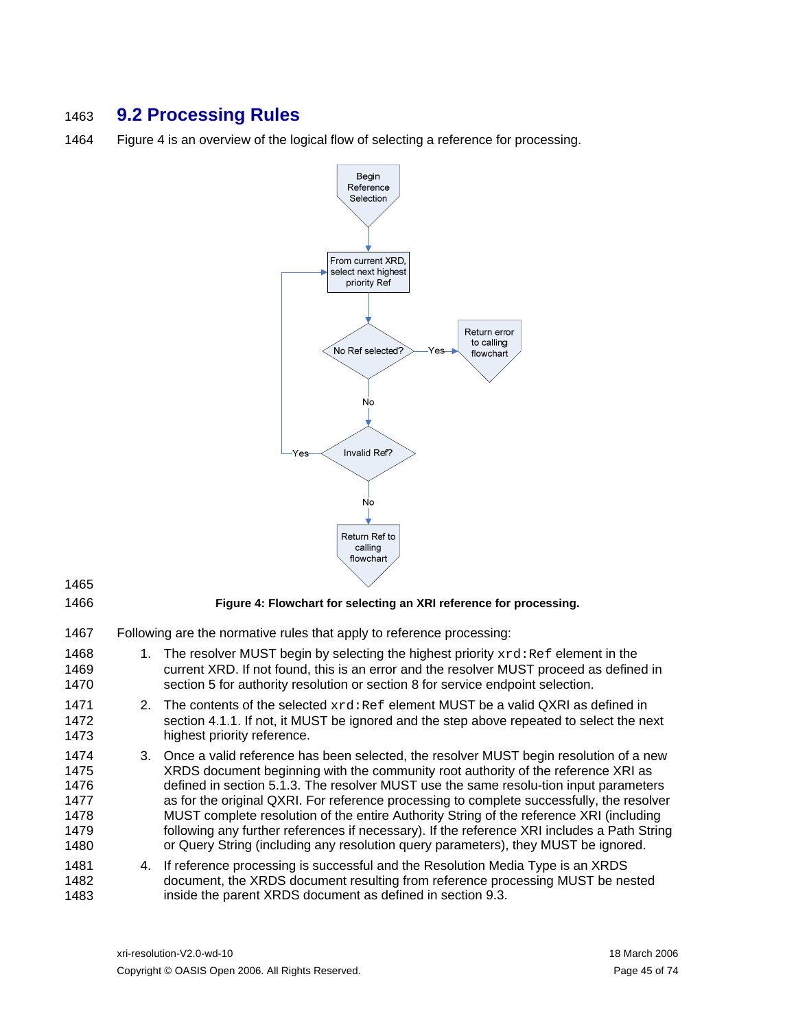## 1463 **9.2 Processing Rules**

1464 [Figure 4](#page-44-0) is an overview of the logical flow of selecting a reference for processing.



1465 1466

### **Figure 4: Flowchart for selecting an XRI reference for processing.**

- <span id="page-44-0"></span>1467 Following are the normative rules that apply to reference processing:
- 1468 1469 1470 1. The resolver MUST begin by selecting the highest priority  $xrd$ : Ref element in the current XRD. If not found, this is an error and the resolver MUST proceed as defined in section [5](#page-22-0) for authority resolution or section [8](#page-38-1) for service endpoint selection.
- 1471 1472 1473 2. The contents of the selected  $xrd$ : Ref element MUST be a valid QXRI as defined in section [4.1.1.](#page-18-1) If not, it MUST be ignored and the step above repeated to select the next highest priority reference.
- 1474 1475 1476 1477 1478 1479 1480 3. Once a valid reference has been selected, the resolver MUST begin resolution of a new XRDS document beginning with the community root authority of the reference XRI as defined in section [5.1.3.](#page-25-0) The resolver MUST use the same resolu-tion input parameters as for the original QXRI. For reference processing to complete successfully, the resolver MUST complete resolution of the entire Authority String of the reference XRI (including following any further references if necessary). If the reference XRI includes a Path String or Query String (including any resolution query parameters), they MUST be ignored.
- 1481 1482 1483 4. If reference processing is successful and the Resolution Media Type is an XRDS document, the XRDS document resulting from reference processing MUST be nested inside the parent XRDS document as defined in section [9.3.](#page-45-0)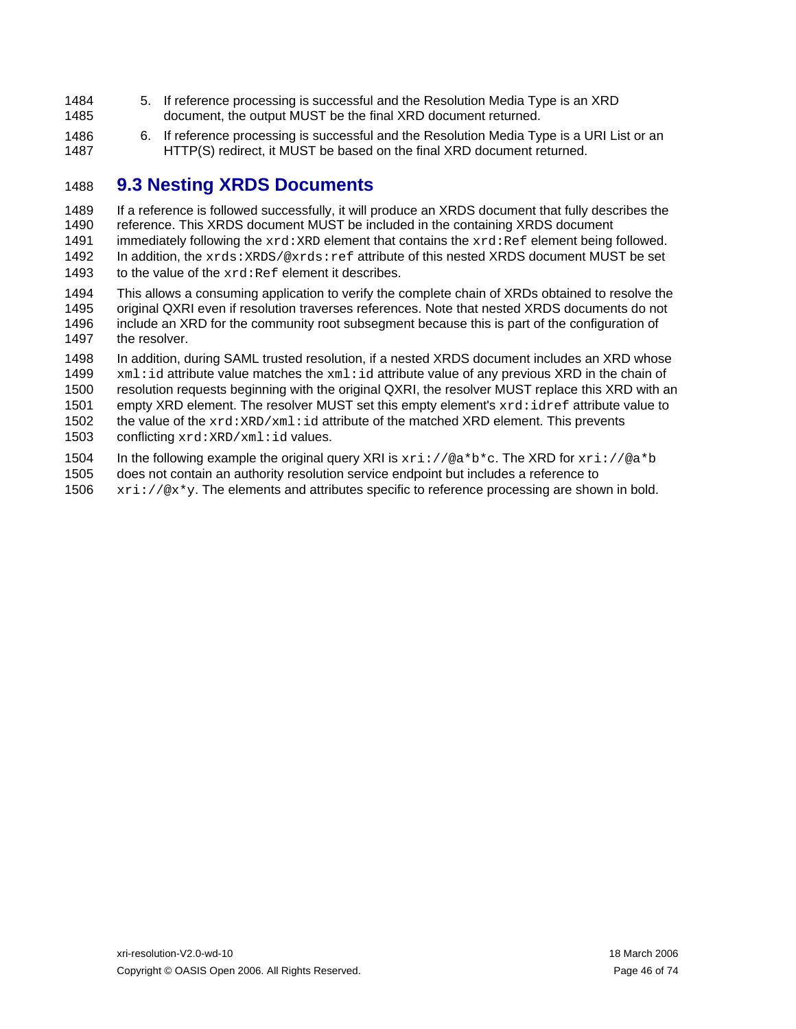- 1484 1485 5. If reference processing is successful and the Resolution Media Type is an XRD document, the output MUST be the final XRD document returned.
- 1486 1487 6. If reference processing is successful and the Resolution Media Type is a URI List or an HTTP(S) redirect, it MUST be based on the final XRD document returned.

#### <span id="page-45-0"></span>1488 **9.3 Nesting XRDS Documents**

1489 1490 1491 1492 1493 If a reference is followed successfully, it will produce an XRDS document that fully describes the reference. This XRDS document MUST be included in the containing XRDS document immediately following the  $xrd:XRD$  element that contains the  $xrd:Ref$  element being followed. In addition, the xrds: XRDS/@xrds: ref attribute of this nested XRDS document MUST be set to the value of the  $xrd$ : $Ref$  element it describes.

1494 1495 1496 1497 This allows a consuming application to verify the complete chain of XRDs obtained to resolve the original QXRI even if resolution traverses references. Note that nested XRDS documents do not include an XRD for the community root subsegment because this is part of the configuration of the resolver.

1498 1499 1500 In addition, during SAML trusted resolution, if a nested XRDS document includes an XRD whose xml:id attribute value matches the xml:id attribute value of any previous XRD in the chain of resolution requests beginning with the original QXRI, the resolver MUST replace this XRD with an

1501 empty XRD element. The resolver MUST set this empty element's  $xrd \text{:} idref$  attribute value to

1502 1503 the value of the  $xrd:XRD/xm1:id$  attribute of the matched XRD element. This prevents conflicting xrd:XRD/xml:id values.

1504 In the following example the original query XRI is  $xri://@a*b*c$ . The XRD for  $xri://@a*b$ 

1505 does not contain an authority resolution service endpoint but includes a reference to

1506  $xri://@x*y.$  The elements and attributes specific to reference processing are shown in bold.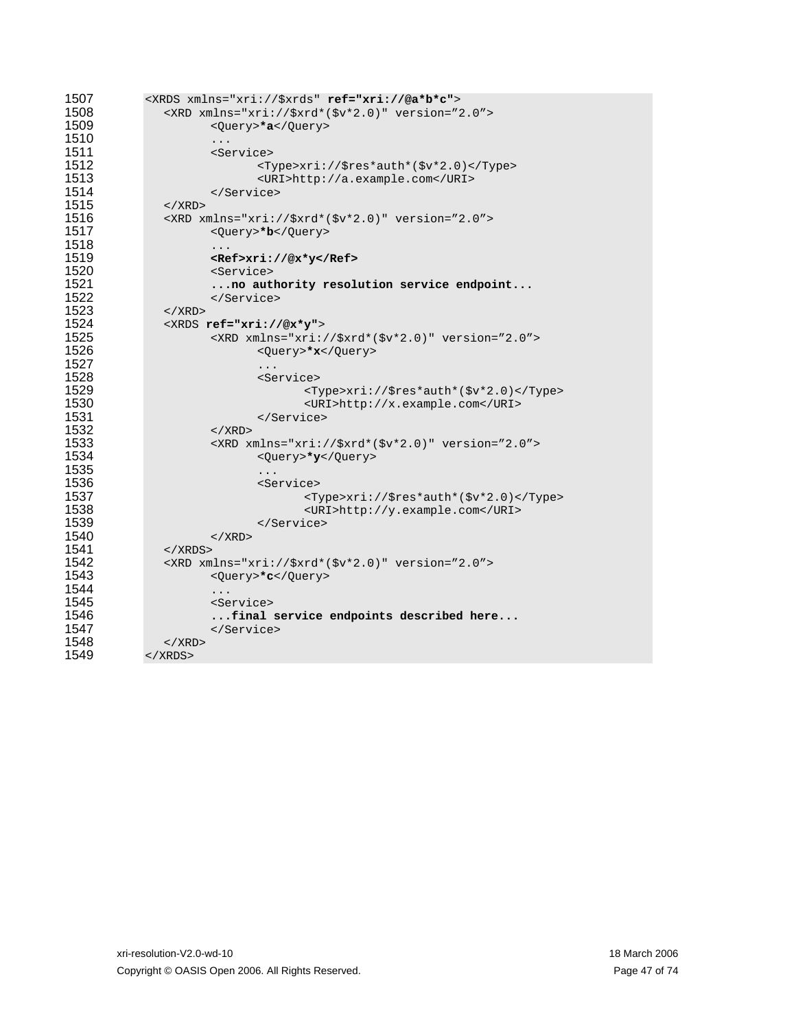| 1507 | <xrds ref="xri://@a*b*c" xmlns="xri://\$xrds"></xrds>   |
|------|---------------------------------------------------------|
| 1508 | <xrd version="2.0" xmlns="xri://\$xrd*(\$v*2.0)"></xrd> |
| 1509 | <query>*a</query>                                       |
| 1510 | .                                                       |
| 1511 | <service></service>                                     |
| 1512 | <type>xri://\$res*auth*(\$v*2.0)</type>                 |
| 1513 | <uri>http://a.example.com</uri>                         |
| 1514 |                                                         |
| 1515 | $\langle$ / XRD $\rangle$                               |
| 1516 | <xrd version="2.0" xmlns="xri://\$xrd*(\$v*2.0)"></xrd> |
| 1517 | <query>*b</query>                                       |
| 1518 | .                                                       |
| 1519 | <ref>xri://@x*y</ref>                                   |
| 1520 | <service></service>                                     |
| 1521 | no authority resolution service endpoint                |
| 1522 |                                                         |
| 1523 | $\langle$ / XRD $\rangle$                               |
| 1524 | <xrds ref="xri://@x*y"></xrds>                          |
| 1525 | <xrd version="2.0" xmlns="xri://\$xrd*(\$v*2.0)"></xrd> |
| 1526 | <query>*x</query>                                       |
| 1527 | .                                                       |
| 1528 | <service></service>                                     |
| 1529 | $<$ Type>xri://\$res*auth*(\$v*2.0)                     |
| 1530 | <uri>http://x.example.com</uri>                         |
| 1531 |                                                         |
| 1532 | $\langle$ / XRD >                                       |
| 1533 | <xrd version="2.0" xmlns="xri://\$xrd*(\$v*2.0)"></xrd> |
| 1534 | <query>*y</query>                                       |
| 1535 | .                                                       |
| 1536 | <service></service>                                     |
| 1537 | <type>xri://\$res*auth*(\$v*2.0)</type>                 |
| 1538 | <uri>http://y.example.com</uri>                         |
| 1539 |                                                         |
| 1540 | $\langle$ / XRD >                                       |
| 1541 | $\langle$ / XRDS $>$                                    |
| 1542 | <xrd version="2.0" xmlns="xri://\$xrd*(\$v*2.0)"></xrd> |
| 1543 | <query>*c</query>                                       |
| 1544 | .                                                       |
| 1545 | <service></service>                                     |
| 1546 | final service endpoints described here                  |
| 1547 |                                                         |
| 1548 | $\langle$ / XRD $\rangle$                               |
| 1549 |                                                         |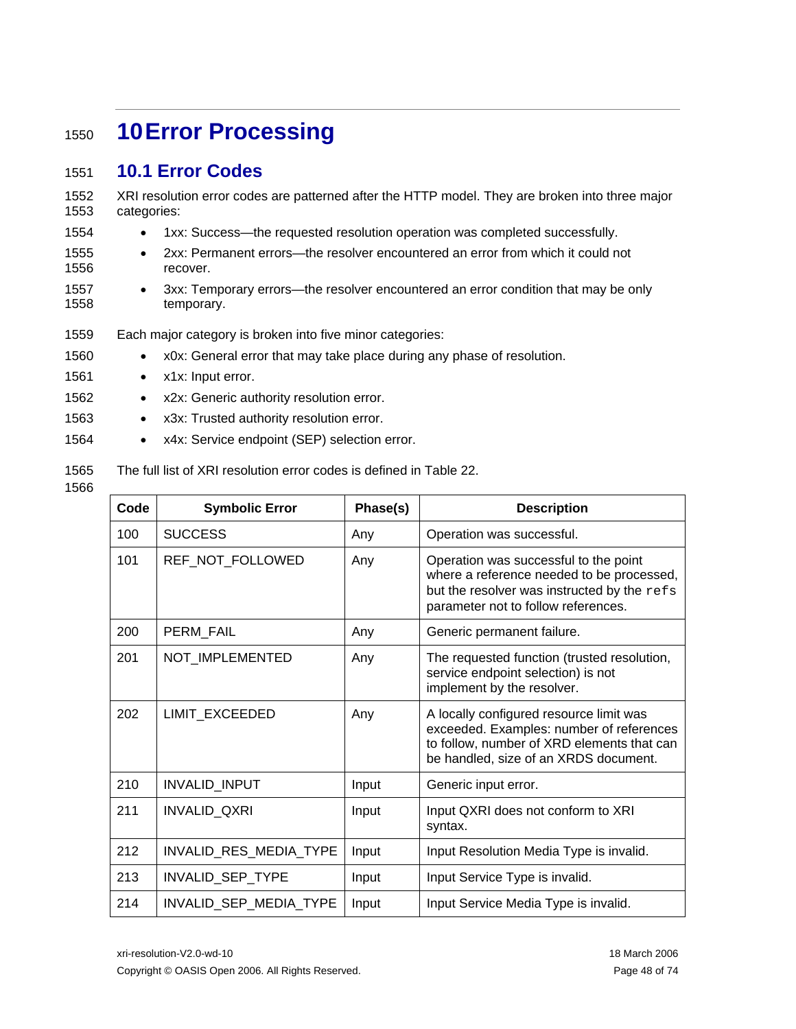# <span id="page-47-1"></span><sup>1550</sup>**10 Error Processing**

#### <span id="page-47-0"></span>1551 **10.1 Error Codes**

1552 1553 XRI resolution error codes are patterned after the HTTP model. They are broken into three major categories:

- 1554 • 1xx: Success—the requested resolution operation was completed successfully.
- 1555 1556 • 2xx: Permanent errors—the resolver encountered an error from which it could not recover.
- 1557 1558 • 3xx: Temporary errors—the resolver encountered an error condition that may be only temporary.
- 1559 Each major category is broken into five minor categories:
- 1560 • x0x: General error that may take place during any phase of resolution.
- 1561 • x1x: Input error.
- 1562 • x2x: Generic authority resolution error.
- 1563 • x3x: Trusted authority resolution error.
- 1564 • x4x: Service endpoint (SEP) selection error.

#### 1565 The full list of XRI resolution error codes is defined in [Table 22.](#page-48-0)

### 1566

| Code | <b>Symbolic Error</b>  | Phase(s) | <b>Description</b>                                                                                                                                                         |
|------|------------------------|----------|----------------------------------------------------------------------------------------------------------------------------------------------------------------------------|
| 100  | <b>SUCCESS</b>         | Any      | Operation was successful.                                                                                                                                                  |
| 101  | REF_NOT_FOLLOWED       | Any      | Operation was successful to the point<br>where a reference needed to be processed,<br>but the resolver was instructed by the refs<br>parameter not to follow references.   |
| 200  | PERM_FAIL              | Any      | Generic permanent failure.                                                                                                                                                 |
| 201  | NOT IMPLEMENTED        | Any      | The requested function (trusted resolution,<br>service endpoint selection) is not<br>implement by the resolver.                                                            |
| 202  | LIMIT_EXCEEDED         | Any      | A locally configured resource limit was<br>exceeded. Examples: number of references<br>to follow, number of XRD elements that can<br>be handled, size of an XRDS document. |
| 210  | INVALID_INPUT          | Input    | Generic input error.                                                                                                                                                       |
| 211  | INVALID_QXRI           | Input    | Input QXRI does not conform to XRI<br>syntax.                                                                                                                              |
| 212  | INVALID_RES_MEDIA_TYPE | Input    | Input Resolution Media Type is invalid.                                                                                                                                    |
| 213  | INVALID_SEP_TYPE       | Input    | Input Service Type is invalid.                                                                                                                                             |
| 214  | INVALID_SEP_MEDIA_TYPE | Input    | Input Service Media Type is invalid.                                                                                                                                       |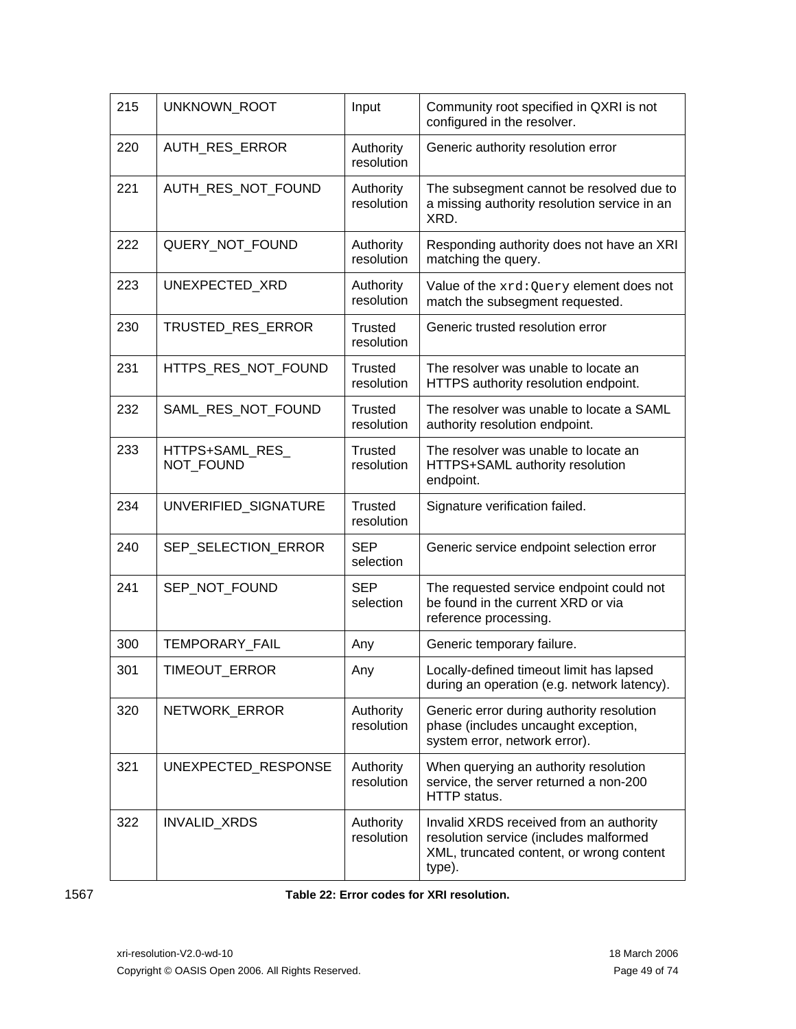| 215 | UNKNOWN_ROOT                 | Input                        | Community root specified in QXRI is not<br>configured in the resolver.                                                                  |
|-----|------------------------------|------------------------------|-----------------------------------------------------------------------------------------------------------------------------------------|
| 220 | AUTH_RES_ERROR               | Authority<br>resolution      | Generic authority resolution error                                                                                                      |
| 221 | AUTH RES NOT FOUND           | Authority<br>resolution      | The subsegment cannot be resolved due to<br>a missing authority resolution service in an<br>XRD.                                        |
| 222 | QUERY NOT FOUND              | Authority<br>resolution      | Responding authority does not have an XRI<br>matching the query.                                                                        |
| 223 | UNEXPECTED_XRD               | Authority<br>resolution      | Value of the xrd: Query element does not<br>match the subsegment requested.                                                             |
| 230 | TRUSTED_RES_ERROR            | <b>Trusted</b><br>resolution | Generic trusted resolution error                                                                                                        |
| 231 | HTTPS RES NOT FOUND          | <b>Trusted</b><br>resolution | The resolver was unable to locate an<br>HTTPS authority resolution endpoint.                                                            |
| 232 | SAML_RES_NOT_FOUND           | <b>Trusted</b><br>resolution | The resolver was unable to locate a SAML<br>authority resolution endpoint.                                                              |
| 233 | HTTPS+SAML_RES_<br>NOT FOUND | <b>Trusted</b><br>resolution | The resolver was unable to locate an<br>HTTPS+SAML authority resolution<br>endpoint.                                                    |
| 234 | UNVERIFIED_SIGNATURE         | <b>Trusted</b><br>resolution | Signature verification failed.                                                                                                          |
| 240 | SEP_SELECTION_ERROR          | <b>SEP</b><br>selection      | Generic service endpoint selection error                                                                                                |
| 241 | SEP_NOT_FOUND                | <b>SEP</b><br>selection      | The requested service endpoint could not<br>be found in the current XRD or via<br>reference processing.                                 |
| 300 | TEMPORARY_FAIL               | Any                          | Generic temporary failure.                                                                                                              |
| 301 | TIMEOUT ERROR                | Any                          | Locally-defined timeout limit has lapsed<br>during an operation (e.g. network latency).                                                 |
| 320 | NETWORK_ERROR                | Authority<br>resolution      | Generic error during authority resolution<br>phase (includes uncaught exception,<br>system error, network error).                       |
| 321 | UNEXPECTED_RESPONSE          | Authority<br>resolution      | When querying an authority resolution<br>service, the server returned a non-200<br>HTTP status.                                         |
| 322 | INVALID_XRDS                 | Authority<br>resolution      | Invalid XRDS received from an authority<br>resolution service (includes malformed<br>XML, truncated content, or wrong content<br>type). |

<span id="page-48-0"></span>1567 **Table 22: Error codes for XRI resolution.**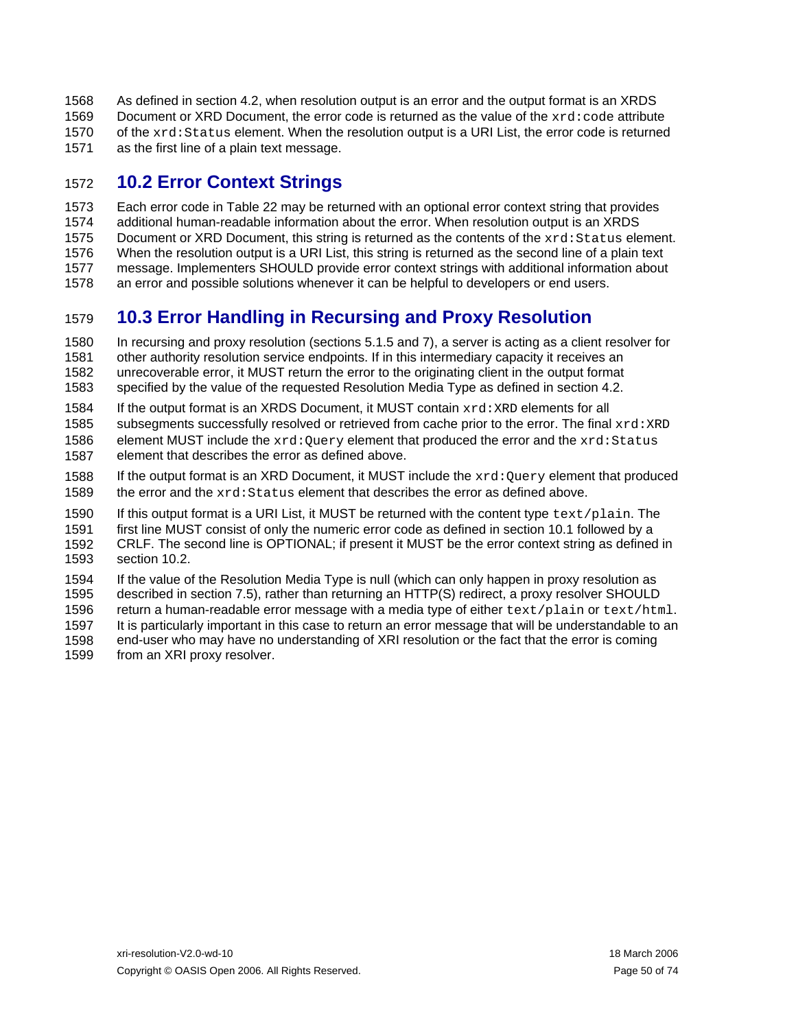As defined in section [4.2,](#page-20-0) when resolution output is an error and the output format is an XRDS Document or XRD Document, the error code is returned as the value of the xrd: code attribute 1568 1569 1570 1571 of the xrd: Status element. When the resolution output is a URI List, the error code is returned as the first line of a plain text message.

#### <span id="page-49-0"></span>1572 **10.2 Error Context Strings**

1573 1574 1575 1576 1577 1578 Each error code in [Table 22](#page-48-0) may be returned with an optional error context string that provides additional human-readable information about the error. When resolution output is an XRDS Document or XRD Document, this string is returned as the contents of the xrd: Status element. When the resolution output is a URI List, this string is returned as the second line of a plain text message. Implementers SHOULD provide error context strings with additional information about an error and possible solutions whenever it can be helpful to developers or end users.

#### 1579 **10.3 Error Handling in Recursing and Proxy Resolution**

1580 1581 1582 1583 In recursing and proxy resolution (sections [5.1.5](#page-26-0) and [7\)](#page-34-1), a server is acting as a client resolver for other authority resolution service endpoints. If in this intermediary capacity it receives an unrecoverable error, it MUST return the error to the originating client in the output format specified by the value of the requested Resolution Media Type as defined in section [4.2](#page-20-0).

- 1584 If the output format is an XRDS Document, it MUST contain  $xrd : XRD$  elements for all
- 1585 1586 1587 subsegments successfully resolved or retrieved from cache prior to the error. The final xrd: XRD element MUST include the  $xrd:Query$  element that produced the error and the  $xrd:Status$ element that describes the error as defined above.
- 1588 1589 If the output format is an XRD Document, it MUST include the  $xrd:Query$  element that produced the error and the xrd:Status element that describes the error as defined above.
- 1590 1591 1592 If this output format is a URI List, it MUST be returned with the content type  $textexp[pair]$ first line MUST consist of only the numeric error code as defined in section [10.1](#page-47-0) followed by a CRLF. The second line is OPTIONAL; if present it MUST be the error context string as defined in
- 1593 section [10.2.](#page-49-0)
- 1594 1595 1596 1597 1598 1599 If the value of the Resolution Media Type is null (which can only happen in proxy resolution as described in section [7.5](#page-37-1)), rather than returning an HTTP(S) redirect, a proxy resolver SHOULD return a human-readable error message with a media type of either text/plain or text/html. It is particularly important in this case to return an error message that will be understandable to an end-user who may have no understanding of XRI resolution or the fact that the error is coming from an XRI proxy resolver.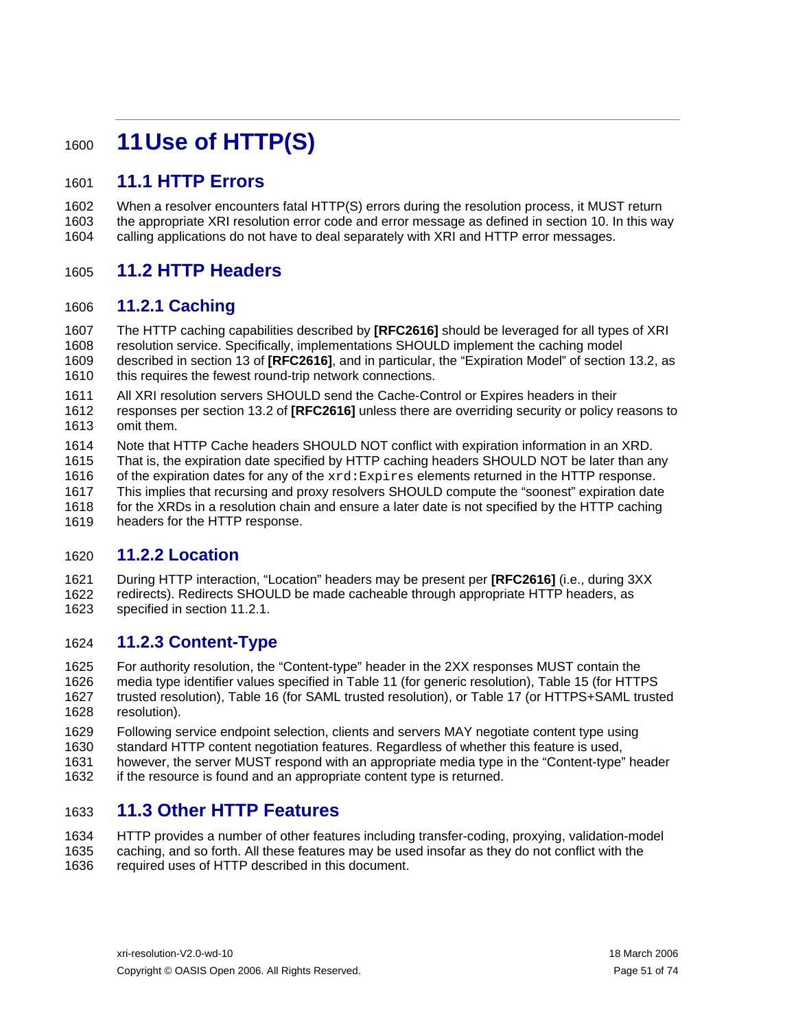# <sup>1600</sup>**11 Use of HTTP(S)**

#### 1601 **11.1 HTTP Errors**

1602 1603 1604 When a resolver encounters fatal HTTP(S) errors during the resolution process, it MUST return the appropriate XRI resolution error code and error message as defined in section [10.](#page-47-1) In this way calling applications do not have to deal separately with XRI and HTTP error messages.

#### 1605 **11.2 HTTP Headers**

#### <span id="page-50-0"></span>1606 **11.2.1 Caching**

1607 1608 1609 1610 The HTTP caching capabilities described by **[\[RFC2616\]](#page-57-0)** should be leveraged for all types of XRI resolution service. Specifically, implementations SHOULD implement the caching model described in section 13 of **[\[RFC2616\]](#page-57-0)**, and in particular, the "Expiration Model" of section 13.2, as this requires the fewest round-trip network connections.

1611 1612 1613 All XRI resolution servers SHOULD send the Cache-Control or Expires headers in their responses per section 13.2 of **[\[RFC2616\]](#page-57-0)** unless there are overriding security or policy reasons to omit them.

1614 Note that HTTP Cache headers SHOULD NOT conflict with expiration information in an XRD.

1615 That is, the expiration date specified by HTTP caching headers SHOULD NOT be later than any

1616 of the expiration dates for any of the  $xrd:Expires$  elements returned in the HTTP response.

1617 1618 This implies that recursing and proxy resolvers SHOULD compute the "soonest" expiration date

1619 for the XRDs in a resolution chain and ensure a later date is not specified by the HTTP caching headers for the HTTP response.

#### 1620 **11.2.2 Location**

1621 1622 1623 During HTTP interaction, "Location" headers may be present per **[\[RFC2616\]](#page-57-0)** (i.e., during 3XX redirects). Redirects SHOULD be made cacheable through appropriate HTTP headers, as specified in section [11.2.1](#page-50-0).

#### 1624 **11.2.3 Content-Type**

1625 1626 1627 1628 For authority resolution, the "Content-type" header in the 2XX responses MUST contain the media type identifier values specified in [Table 11](#page-22-1) (for generic resolution), [Table 15](#page-29-0) (for HTTPS trusted resolution), [Table 16](#page-30-0) (for SAML trusted resolution), or [Table 17](#page-33-0) (or HTTPS+SAML trusted resolution).

1629 1630 1631 Following service endpoint selection, clients and servers MAY negotiate content type using standard HTTP content negotiation features. Regardless of whether this feature is used, however, the server MUST respond with an appropriate media type in the "Content-type" header

1632 if the resource is found and an appropriate content type is returned.

#### 1633 **11.3 Other HTTP Features**

1634 1635 1636 HTTP provides a number of other features including transfer-coding, proxying, validation-model caching, and so forth. All these features may be used insofar as they do not conflict with the required uses of HTTP described in this document.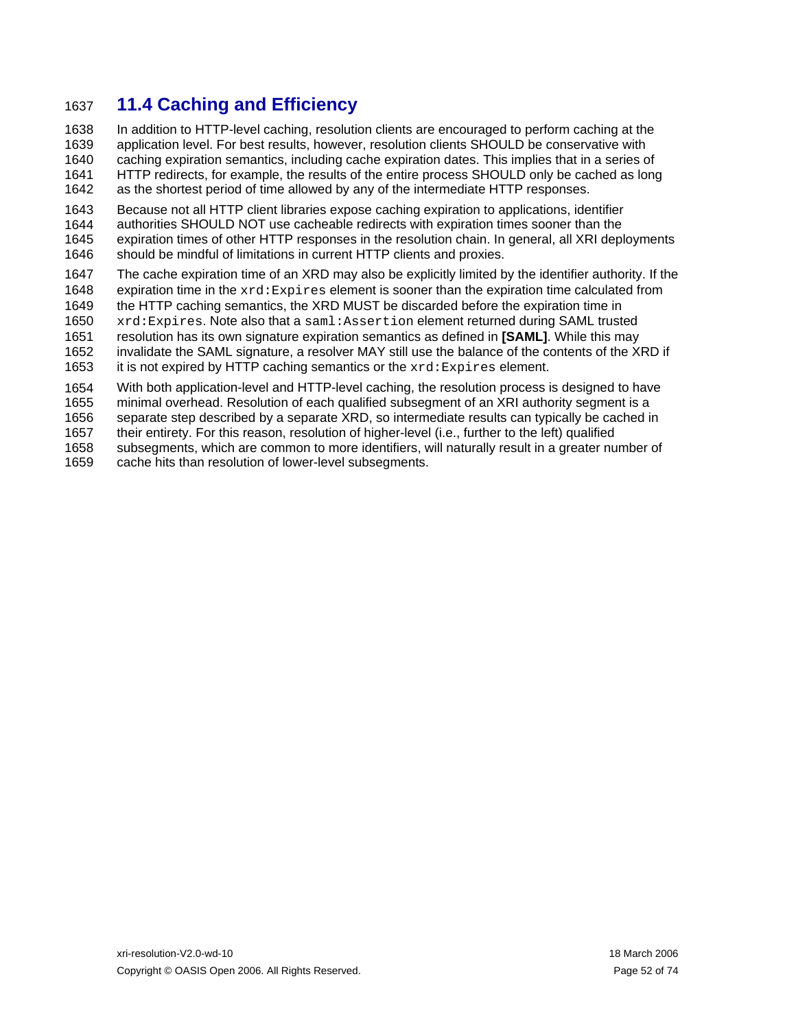## 1637 **11.4 Caching and Efficiency**

1638 1639 1640 1641 In addition to HTTP-level caching, resolution clients are encouraged to perform caching at the application level. For best results, however, resolution clients SHOULD be conservative with caching expiration semantics, including cache expiration dates. This implies that in a series of HTTP redirects, for example, the results of the entire process SHOULD only be cached as long

1642 as the shortest period of time allowed by any of the intermediate HTTP responses.

1643 1644 1645 1646 Because not all HTTP client libraries expose caching expiration to applications, identifier authorities SHOULD NOT use cacheable redirects with expiration times sooner than the expiration times of other HTTP responses in the resolution chain. In general, all XRI deployments should be mindful of limitations in current HTTP clients and proxies.

1647 1648 The cache expiration time of an XRD may also be explicitly limited by the identifier authority. If the expiration time in the  $xrd:Expires$  element is sooner than the expiration time calculated from

1649 the HTTP caching semantics, the XRD MUST be discarded before the expiration time in

1650 xrd:Expires. Note also that a saml:Assertion element returned during SAML trusted

1651 resolution has its own signature expiration semantics as defined in **[\[SAML\]](#page-57-2)**. While this may

1652 1653 invalidate the SAML signature, a resolver MAY still use the balance of the contents of the XRD if it is not expired by HTTP caching semantics or the xrd:Expires element.

1654 With both application-level and HTTP-level caching, the resolution process is designed to have

1655 minimal overhead. Resolution of each qualified subsegment of an XRI authority segment is a

1656 1657 separate step described by a separate XRD, so intermediate results can typically be cached in their entirety. For this reason, resolution of higher-level (i.e., further to the left) qualified

1658 subsegments, which are common to more identifiers, will naturally result in a greater number of

1659 cache hits than resolution of lower-level subsegments.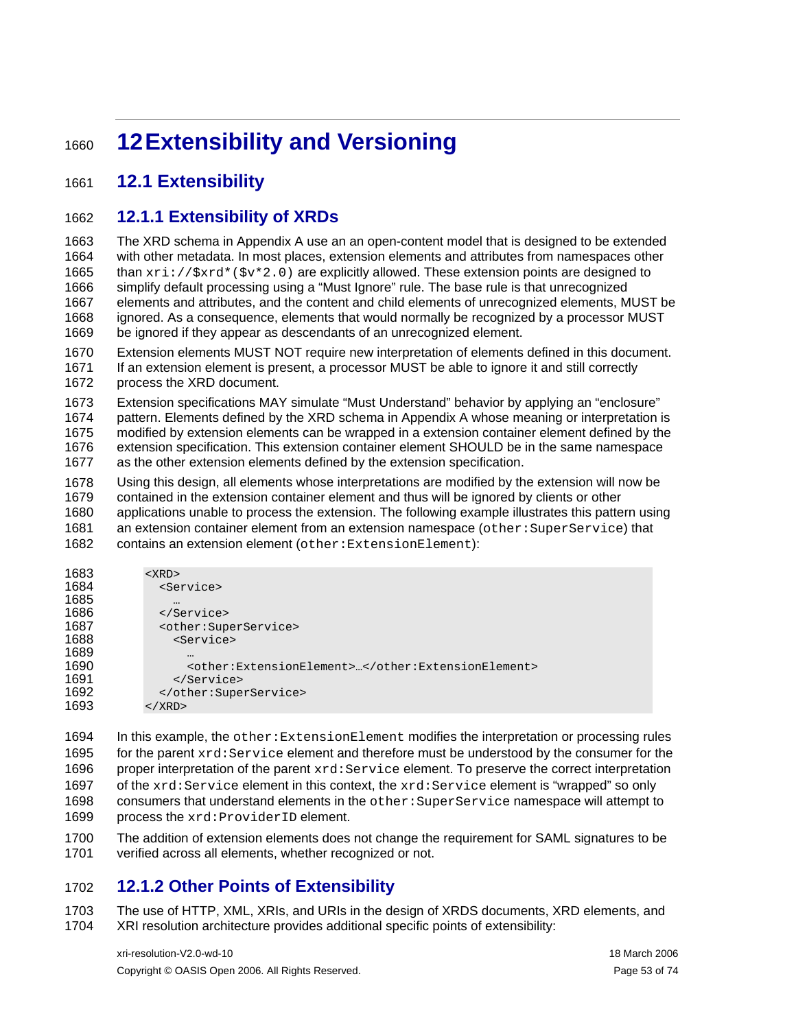# <sup>1660</sup>**12 Extensibility and Versioning**

#### 1661 **12.1 Extensibility**

#### 1662 **12.1.1 Extensibility of XRDs**

1663 1664 1665 1666 1667 1668 1669 The XRD schema in Appendix A use an an open-content model that is designed to be extended with other metadata. In most places, extension elements and attributes from namespaces other than  $xri://$xrd*($v*2.0)$  are explicitly allowed. These extension points are designed to simplify default processing using a "Must Ignore" rule. The base rule is that unrecognized elements and attributes, and the content and child elements of unrecognized elements, MUST be ignored. As a consequence, elements that would normally be recognized by a processor MUST be ignored if they appear as descendants of an unrecognized element.

1670 1671 1672 Extension elements MUST NOT require new interpretation of elements defined in this document. If an extension element is present, a processor MUST be able to ignore it and still correctly process the XRD document.

1673 1674 1675 1676 1677 Extension specifications MAY simulate "Must Understand" behavior by applying an "enclosure" pattern. Elements defined by the XRD schema in Appendix A whose meaning or interpretation is modified by extension elements can be wrapped in a extension container element defined by the extension specification. This extension container element SHOULD be in the same namespace as the other extension elements defined by the extension specification.

1678 1679 1680 1681 1682 Using this design, all elements whose interpretations are modified by the extension will now be contained in the extension container element and thus will be ignored by clients or other applications unable to process the extension. The following example illustrates this pattern using an extension container element from an extension namespace (other: SuperService) that contains an extension element (other:ExtensionElement):

| 1683 | $<$ $XRD$ >                                       |
|------|---------------------------------------------------|
| 1684 | <service></service>                               |
| 1685 | $\cdots$                                          |
| 1686 |                                                   |
| 1687 | <other:superservice></other:superservice>         |
| 1688 | <service></service>                               |
| 1689 | $\ddotsc$                                         |
| 1690 | <other:extensionelement></other:extensionelement> |
| 1691 |                                                   |
| 1692 |                                                   |
| 1693 | $\langle$ / XRD $\rangle$                         |

1694 1695 1696 1697 1698 1699 In this example, the other:ExtensionElement modifies the interpretation or processing rules for the parent  $xrd:Service$  element and therefore must be understood by the consumer for the proper interpretation of the parent  $xrd:Service$  element. To preserve the correct interpretation of the xrd:Service element in this context, the xrd:Service element is "wrapped" so only consumers that understand elements in the other:SuperService namespace will attempt to process the xrd:ProviderID element.

1700 1701 The addition of extension elements does not change the requirement for SAML signatures to be verified across all elements, whether recognized or not.

#### 1702 **12.1.2 Other Points of Extensibility**

1703 1704 The use of HTTP, XML, XRIs, and URIs in the design of XRDS documents, XRD elements, and XRI resolution architecture provides additional specific points of extensibility: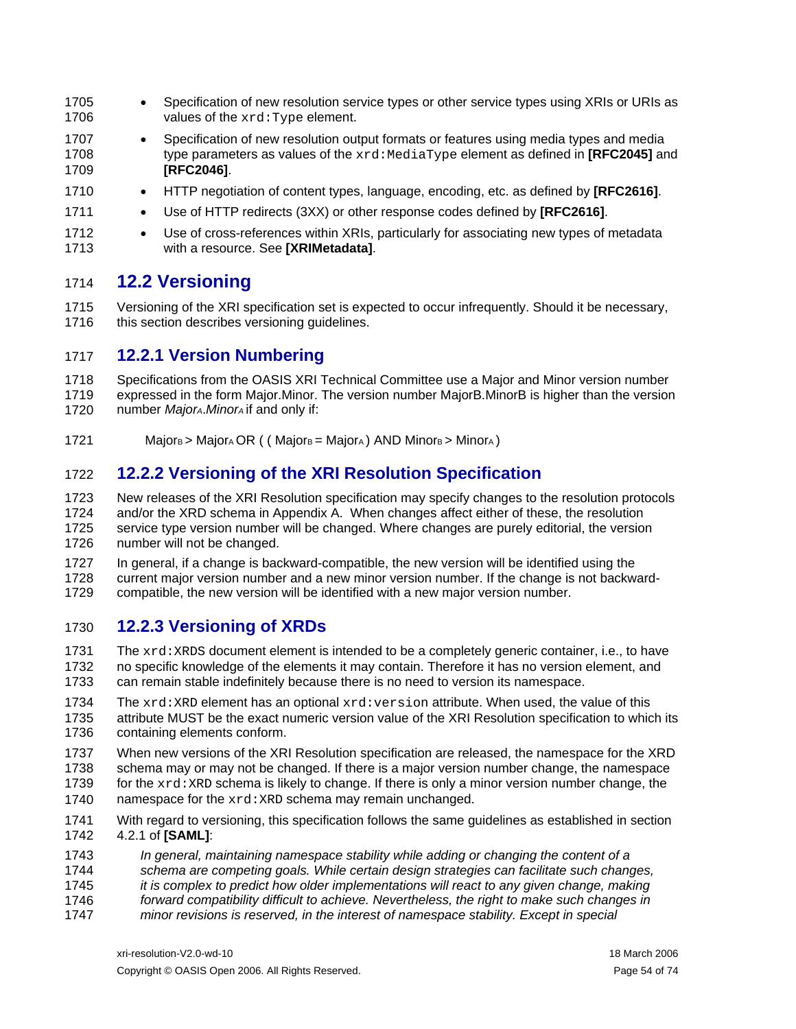- Specification of new resolution service types or other service types using XRIs or URIs as values of the xrd:Type element. 1705 1706
- 1707 1708 1709 • Specification of new resolution output formats or features using media types and media type parameters as values of the  $xrd$ :MediaType element as defined in **[\[RFC2045\]](#page-57-3)** and **[\[RFC2046\]](#page-57-4)**.
- 1710 • HTTP negotiation of content types, language, encoding, etc. as defined by **[\[RFC2616\]](#page-57-0)**.
- 1711 • Use of HTTP redirects (3XX) or other response codes defined by **[\[RFC2616\]](#page-57-0)**.
- 1712 1713 • Use of cross-references within XRIs, particularly for associating new types of metadata with a resource. See **[\[XRIMetadata\]](#page-58-1)**.

#### 1714 **12.2 Versioning**

1715 1716 Versioning of the XRI specification set is expected to occur infrequently. Should it be necessary, this section describes versioning guidelines.

#### 1717 **12.2.1 Version Numbering**

1718 1719 1720 Specifications from the OASIS XRI Technical Committee use a Major and Minor version number expressed in the form Major.Minor. The version number MajorB.MinorB is higher than the version number *MajorA*.*MinorA* if and only if:

1721  $Majors > Major_A OR$  ( (  $Major_B = Major_A$  ) AND Minorg > Minora )

#### 1722 **12.2.2 Versioning of the XRI Resolution Specification**

1723 1724 1725 1726 New releases of the XRI Resolution specification may specify changes to the resolution protocols and/or the XRD schema in Appendix A. When changes affect either of these, the resolution service type version number will be changed. Where changes are purely editorial, the version number will not be changed.

1727 1728 1729 In general, if a change is backward-compatible, the new version will be identified using the current major version number and a new minor version number. If the change is not backwardcompatible, the new version will be identified with a new major version number.

#### 1730 **12.2.3 Versioning of XRDs**

1731 1732 1733 The  $xrd:XRDS$  document element is intended to be a completely generic container, i.e., to have no specific knowledge of the elements it may contain. Therefore it has no version element, and can remain stable indefinitely because there is no need to version its namespace.

- 1734 1735 1736 The  $xrd:XRD$  element has an optional  $xrd:version$  attribute. When used, the value of this attribute MUST be the exact numeric version value of the XRI Resolution specification to which its containing elements conform.
- 1737 1738 1739 1740 When new versions of the XRI Resolution specification are released, the namespace for the XRD schema may or may not be changed. If there is a major version number change, the namespace for the  $xrd:XRD$  schema is likely to change. If there is only a minor version number change, the namespace for the xrd: XRD schema may remain unchanged.
- 1741 1742 With regard to versioning, this specification follows the same guidelines as established in section 4.2.1 of **[\[SAML\]](#page-57-2)**:
- 1743 *In general, maintaining namespace stability while adding or changing the content of a*
- 1744 *schema are competing goals. While certain design strategies can facilitate such changes,*
- 1745 *it is complex to predict how older implementations will react to any given change, making*
- 1746 *forward compatibility difficult to achieve. Nevertheless, the right to make such changes in*
- 1747 *minor revisions is reserved, in the interest of namespace stability. Except in special*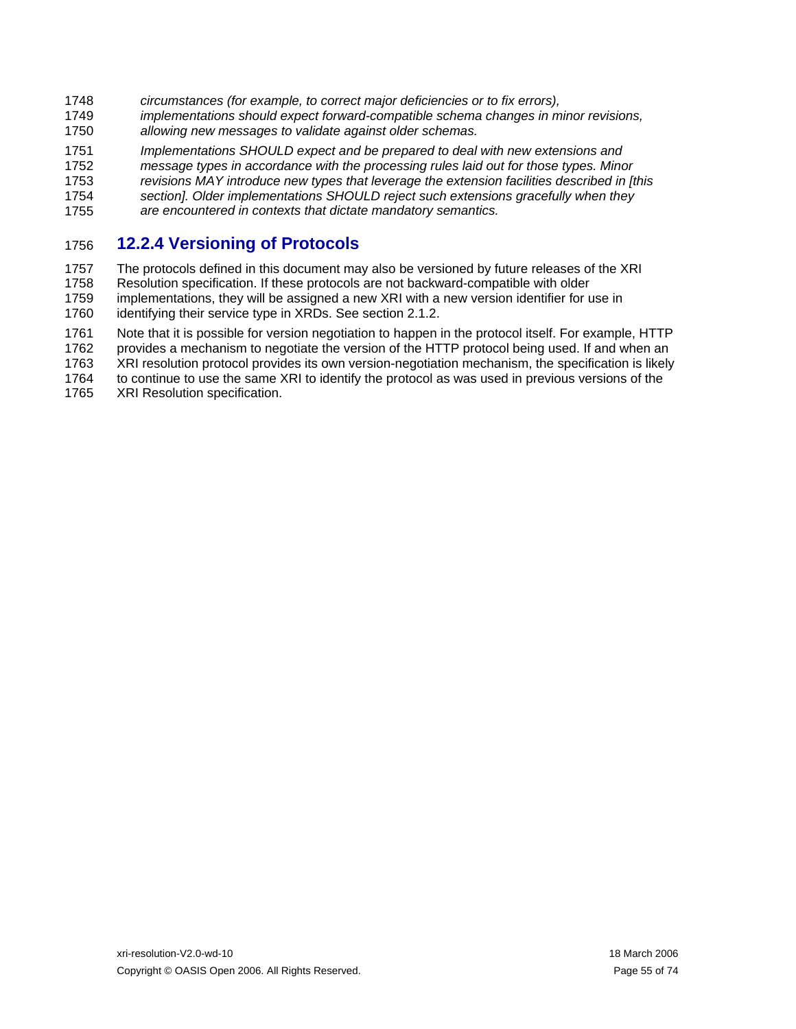- 1748 *circumstances (for example, to correct major deficiencies or to fix errors),*
- 1749 1750 *implementations should expect forward-compatible schema changes in minor revisions, allowing new messages to validate against older schemas.*
- 1751 1752 1753 1754 *Implementations SHOULD expect and be prepared to deal with new extensions and message types in accordance with the processing rules laid out for those types. Minor revisions MAY introduce new types that leverage the extension facilities described in [this section]. Older implementations SHOULD reject such extensions gracefully when they*
- 1755 *are encountered in contexts that dictate mandatory semantics.*

#### 1756 **12.2.4 Versioning of Protocols**

1757 1758 1759 The protocols defined in this document may also be versioned by future releases of the XRI Resolution specification. If these protocols are not backward-compatible with older implementations, they will be assigned a new XRI with a new version identifier for use in

1760 identifying their service type in XRDs. See section [2.1.2.](#page-8-0)

1761 1762 Note that it is possible for version negotiation to happen in the protocol itself. For example, HTTP provides a mechanism to negotiate the version of the HTTP protocol being used. If and when an

1763 XRI resolution protocol provides its own version-negotiation mechanism, the specification is likely

1764 to continue to use the same XRI to identify the protocol as was used in previous versions of the

1765 XRI Resolution specification.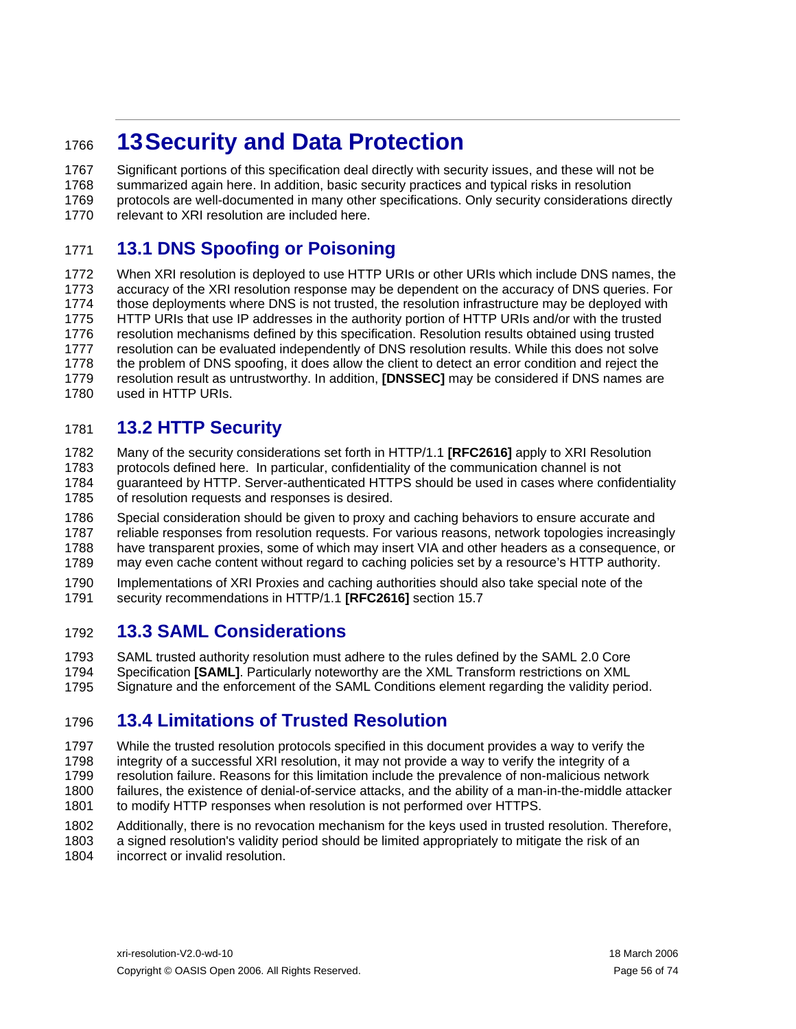# <sup>1766</sup>**13 Security and Data Protection**

1767 1768 1769 1770 Significant portions of this specification deal directly with security issues, and these will not be summarized again here. In addition, basic security practices and typical risks in resolution protocols are well-documented in many other specifications. Only security considerations directly relevant to XRI resolution are included here.

#### 1771 **13.1 DNS Spoofing or Poisoning**

1772 1773 1774 1775 1776 1777 1778 1779 1780 When XRI resolution is deployed to use HTTP URIs or other URIs which include DNS names, the accuracy of the XRI resolution response may be dependent on the accuracy of DNS queries. For those deployments where DNS is not trusted, the resolution infrastructure may be deployed with HTTP URIs that use IP addresses in the authority portion of HTTP URIs and/or with the trusted resolution mechanisms defined by this specification. Resolution results obtained using trusted resolution can be evaluated independently of DNS resolution results. While this does not solve the problem of DNS spoofing, it does allow the client to detect an error condition and reject the resolution result as untrustworthy. In addition, **[\[DNSSEC\]](#page-57-5)** may be considered if DNS names are used in HTTP URIs.

#### 1781 **13.2 HTTP Security**

1782 1783 1784 1785 Many of the security considerations set forth in HTTP/1.1 **[\[RFC2616\]](#page-57-0)** apply to XRI Resolution protocols defined here. In particular, confidentiality of the communication channel is not guaranteed by HTTP. Server-authenticated HTTPS should be used in cases where confidentiality of resolution requests and responses is desired.

1786 1787 1788 1789 Special consideration should be given to proxy and caching behaviors to ensure accurate and reliable responses from resolution requests. For various reasons, network topologies increasingly have transparent proxies, some of which may insert VIA and other headers as a consequence, or may even cache content without regard to caching policies set by a resource's HTTP authority.

1790 1791 Implementations of XRI Proxies and caching authorities should also take special note of the security recommendations in HTTP/1.1 **[\[RFC2616\]](#page-57-0)** section 15.7

#### 1792 **13.3 SAML Considerations**

1793 1794 SAML trusted authority resolution must adhere to the rules defined by the SAML 2.0 Core Specification **[\[SAML\]](#page-57-2)**. Particularly noteworthy are the XML Transform restrictions on XML

1795 Signature and the enforcement of the SAML Conditions element regarding the validity period.

#### 1796 **13.4 Limitations of Trusted Resolution**

1797 1798 1799 1800 1801 While the trusted resolution protocols specified in this document provides a way to verify the integrity of a successful XRI resolution, it may not provide a way to verify the integrity of a resolution failure. Reasons for this limitation include the prevalence of non-malicious network failures, the existence of denial-of-service attacks, and the ability of a man-in-the-middle attacker to modify HTTP responses when resolution is not performed over HTTPS.

1802 1803 1804 Additionally, there is no revocation mechanism for the keys used in trusted resolution. Therefore, a signed resolution's validity period should be limited appropriately to mitigate the risk of an incorrect or invalid resolution.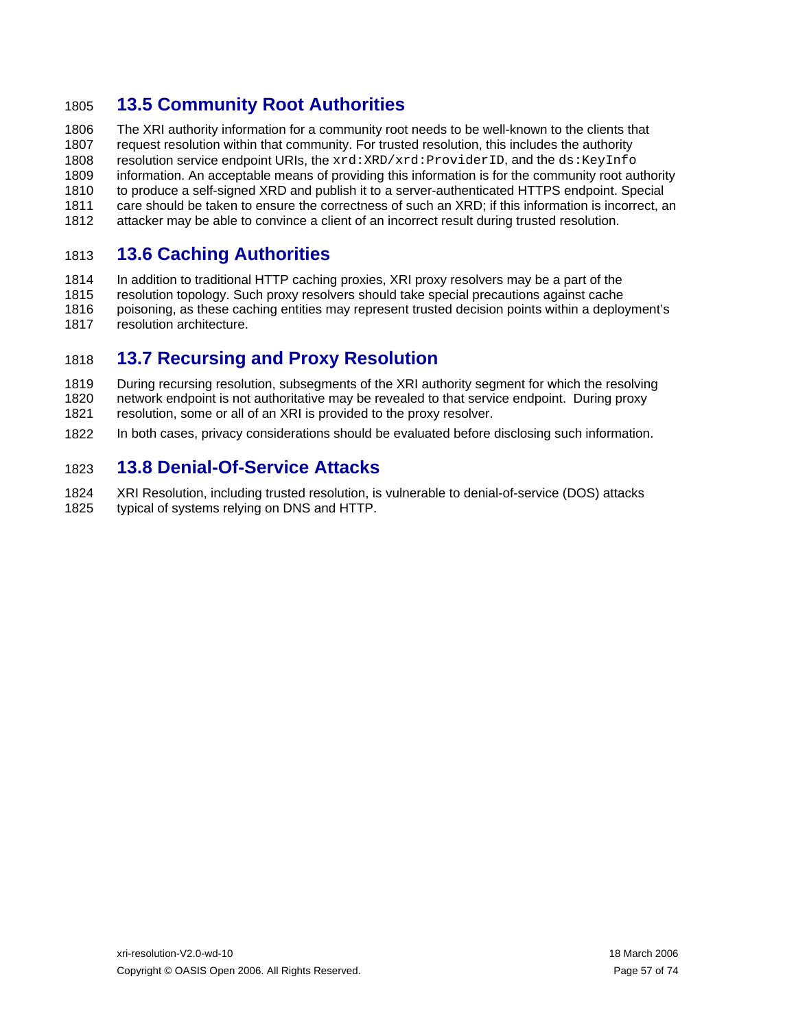## 1805 **13.5 Community Root Authorities**

1806 1807 1808 1809 1810 1811 1812 The XRI authority information for a community root needs to be well-known to the clients that request resolution within that community. For trusted resolution, this includes the authority resolution service endpoint URIs, the xrd:XRD/xrd:ProviderID, and the ds:KeyInfo information. An acceptable means of providing this information is for the community root authority to produce a self-signed XRD and publish it to a server-authenticated HTTPS endpoint. Special care should be taken to ensure the correctness of such an XRD; if this information is incorrect, an attacker may be able to convince a client of an incorrect result during trusted resolution.

#### 1813 **13.6 Caching Authorities**

1814 1815 1816 1817 In addition to traditional HTTP caching proxies, XRI proxy resolvers may be a part of the resolution topology. Such proxy resolvers should take special precautions against cache poisoning, as these caching entities may represent trusted decision points within a deployment's resolution architecture.

#### 1818 **13.7 Recursing and Proxy Resolution**

1819 1820 1821 During recursing resolution, subsegments of the XRI authority segment for which the resolving network endpoint is not authoritative may be revealed to that service endpoint. During proxy resolution, some or all of an XRI is provided to the proxy resolver.

1822 In both cases, privacy considerations should be evaluated before disclosing such information.

#### 1823 **13.8 Denial-Of-Service Attacks**

1824 1825 XRI Resolution, including trusted resolution, is vulnerable to denial-of-service (DOS) attacks typical of systems relying on DNS and HTTP.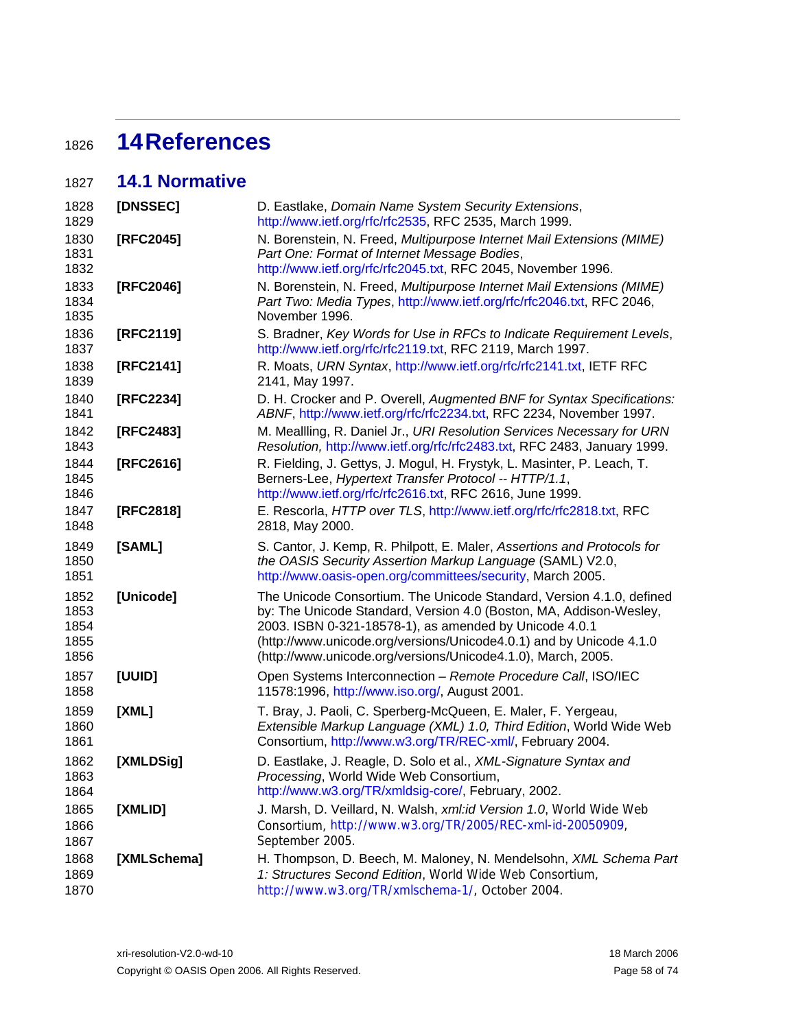# <sup>1826</sup>**14 References**

#### 1827 **14.1 Normative**

<span id="page-57-5"></span><span id="page-57-4"></span><span id="page-57-3"></span><span id="page-57-2"></span><span id="page-57-1"></span><span id="page-57-0"></span>

| 1828<br>1829                         | [DNSSEC]    | D. Eastlake, Domain Name System Security Extensions,<br>http://www.ietf.org/rfc/rfc2535, RFC 2535, March 1999.                                                                                                                                                                                                                              |  |  |
|--------------------------------------|-------------|---------------------------------------------------------------------------------------------------------------------------------------------------------------------------------------------------------------------------------------------------------------------------------------------------------------------------------------------|--|--|
| 1830<br>1831<br>1832                 | [RFC2045]   | N. Borenstein, N. Freed, Multipurpose Internet Mail Extensions (MIME)<br>Part One: Format of Internet Message Bodies,<br>http://www.ietf.org/rfc/rfc2045.txt, RFC 2045, November 1996.                                                                                                                                                      |  |  |
| 1833<br>1834<br>1835                 | [RFC2046]   | N. Borenstein, N. Freed, Multipurpose Internet Mail Extensions (MIME)<br>Part Two: Media Types, http://www.ietf.org/rfc/rfc2046.txt, RFC 2046,<br>November 1996.                                                                                                                                                                            |  |  |
| 1836<br>1837                         | [RFC2119]   | S. Bradner, Key Words for Use in RFCs to Indicate Requirement Levels,<br>http://www.ietf.org/rfc/rfc2119.txt, RFC 2119, March 1997.                                                                                                                                                                                                         |  |  |
| 1838<br>1839                         | [RFC2141]   | R. Moats, URN Syntax, http://www.ietf.org/rfc/rfc2141.txt, IETF RFC<br>2141, May 1997.                                                                                                                                                                                                                                                      |  |  |
| 1840<br>1841                         | [RFC2234]   | D. H. Crocker and P. Overell, Augmented BNF for Syntax Specifications:<br>ABNF, http://www.ietf.org/rfc/rfc2234.txt, RFC 2234, November 1997.                                                                                                                                                                                               |  |  |
| 1842<br>1843                         | [RFC2483]   | M. Meallling, R. Daniel Jr., URI Resolution Services Necessary for URN<br>Resolution, http://www.ietf.org/rfc/rfc2483.txt, RFC 2483, January 1999.                                                                                                                                                                                          |  |  |
| 1844<br>1845<br>1846                 | [RFC2616]   | R. Fielding, J. Gettys, J. Mogul, H. Frystyk, L. Masinter, P. Leach, T.<br>Berners-Lee, Hypertext Transfer Protocol -- HTTP/1.1,<br>http://www.ietf.org/rfc/rfc2616.txt, RFC 2616, June 1999.                                                                                                                                               |  |  |
| 1847<br>1848                         | [RFC2818]   | E. Rescorla, HTTP over TLS, http://www.ietf.org/rfc/rfc2818.txt, RFC<br>2818, May 2000.                                                                                                                                                                                                                                                     |  |  |
| 1849<br>1850<br>1851                 | [SAML]      | S. Cantor, J. Kemp, R. Philpott, E. Maler, Assertions and Protocols for<br>the OASIS Security Assertion Markup Language (SAML) V2.0,<br>http://www.oasis-open.org/committees/security, March 2005.                                                                                                                                          |  |  |
| 1852<br>1853<br>1854<br>1855<br>1856 | [Unicode]   | The Unicode Consortium. The Unicode Standard, Version 4.1.0, defined<br>by: The Unicode Standard, Version 4.0 (Boston, MA, Addison-Wesley,<br>2003. ISBN 0-321-18578-1), as amended by Unicode 4.0.1<br>(http://www.unicode.org/versions/Unicode4.0.1) and by Unicode 4.1.0<br>(http://www.unicode.org/versions/Unicode4.1.0), March, 2005. |  |  |
| 1857<br>1858                         | [UUID]      | Open Systems Interconnection - Remote Procedure Call, ISO/IEC<br>11578:1996, http://www.iso.org/, August 2001.                                                                                                                                                                                                                              |  |  |
| 1859<br>1860<br>1861                 | [XML]       | T. Bray, J. Paoli, C. Sperberg-McQueen, E. Maler, F. Yergeau,<br>Extensible Markup Language (XML) 1.0, Third Edition, World Wide Web<br>Consortium, http://www.w3.org/TR/REC-xml/, February 2004.                                                                                                                                           |  |  |
| 1862<br>1863<br>1864                 | [XMLDSig]   | D. Eastlake, J. Reagle, D. Solo et al., XML-Signature Syntax and<br>Processing, World Wide Web Consortium,<br>http://www.w3.org/TR/xmldsig-core/, February, 2002.                                                                                                                                                                           |  |  |
| 1865<br>1866<br>1867                 | [XMLID]     | J. Marsh, D. Veillard, N. Walsh, xml:id Version 1.0, World Wide Web<br>Consortium, http://www.w3.org/TR/2005/REC-xml-id-20050909,<br>September 2005.                                                                                                                                                                                        |  |  |
| 1868<br>1869<br>1870                 | [XMLSchema] | H. Thompson, D. Beech, M. Maloney, N. Mendelsohn, XML Schema Part<br>1: Structures Second Edition, World Wide Web Consortium,<br>http://www.w3.org/TR/xmlschema-1/, October 2004.                                                                                                                                                           |  |  |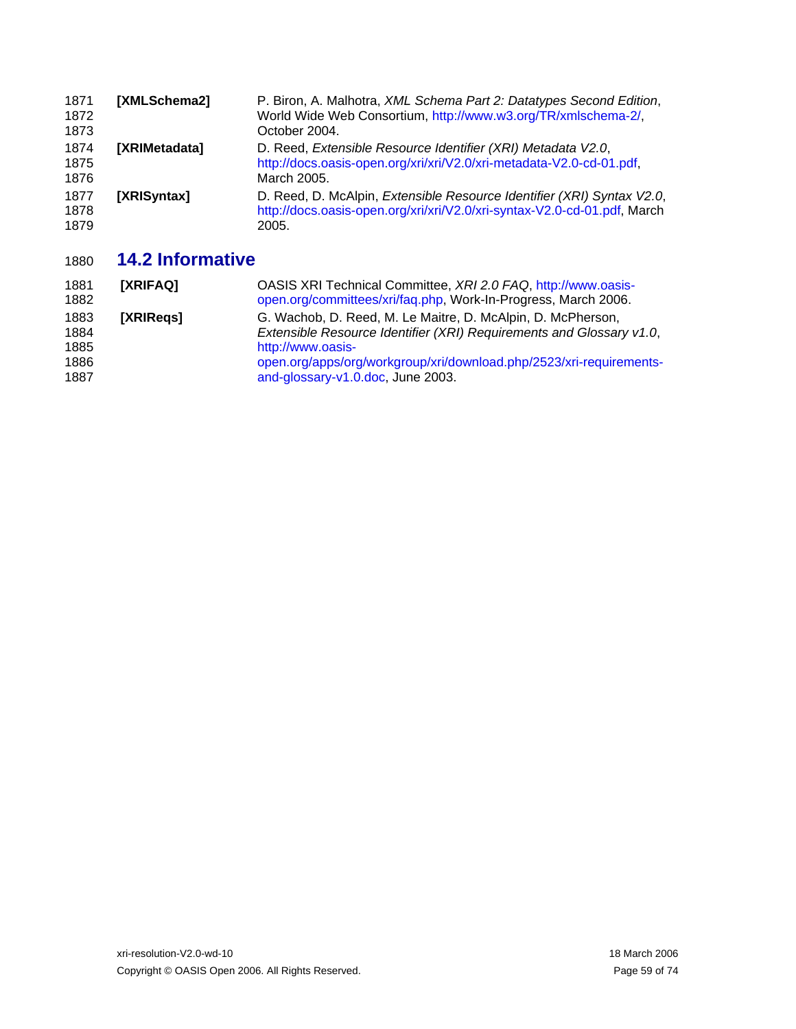<span id="page-58-1"></span>

| 1871<br>1872<br>1873 | [XMLSchema2]         | P. Biron, A. Malhotra, XML Schema Part 2: Datatypes Second Edition,<br>World Wide Web Consortium, http://www.w3.org/TR/xmlschema-2/,<br>October 2004.       |
|----------------------|----------------------|-------------------------------------------------------------------------------------------------------------------------------------------------------------|
| 1874<br>1875<br>1876 | <b>IXRIMetadatal</b> | D. Reed, Extensible Resource Identifier (XRI) Metadata V2.0,<br>http://docs.oasis-open.org/xri/xri/V2.0/xri-metadata-V2.0-cd-01.pdf,<br>March 2005.         |
| 1877<br>1878<br>1879 | [XRISyntax]          | D. Reed, D. McAlpin, Extensible Resource Identifier (XRI) Syntax V2.0,<br>http://docs.oasis-open.org/xri/xri/V2.0/xri-syntax-V2.0-cd-01.pdf, March<br>2005. |

#### <span id="page-58-0"></span>1880 **14.2 Informative**

| 1881<br>1882                         | [XRIFAQ]  | OASIS XRI Technical Committee, XRI 2.0 FAQ, http://www.oasis-<br>open.org/committees/xri/faq.php, Work-In-Progress, March 2006.                                                                                                                                      |
|--------------------------------------|-----------|----------------------------------------------------------------------------------------------------------------------------------------------------------------------------------------------------------------------------------------------------------------------|
| 1883<br>1884<br>1885<br>1886<br>1887 | [XRIRegs] | G. Wachob, D. Reed, M. Le Maitre, D. McAlpin, D. McPherson,<br>Extensible Resource Identifier (XRI) Requirements and Glossary v1.0,<br>http://www.oasis-<br>open.org/apps/org/workgroup/xri/download.php/2523/xri-requirements-<br>and-glossary-v1.0.doc, June 2003. |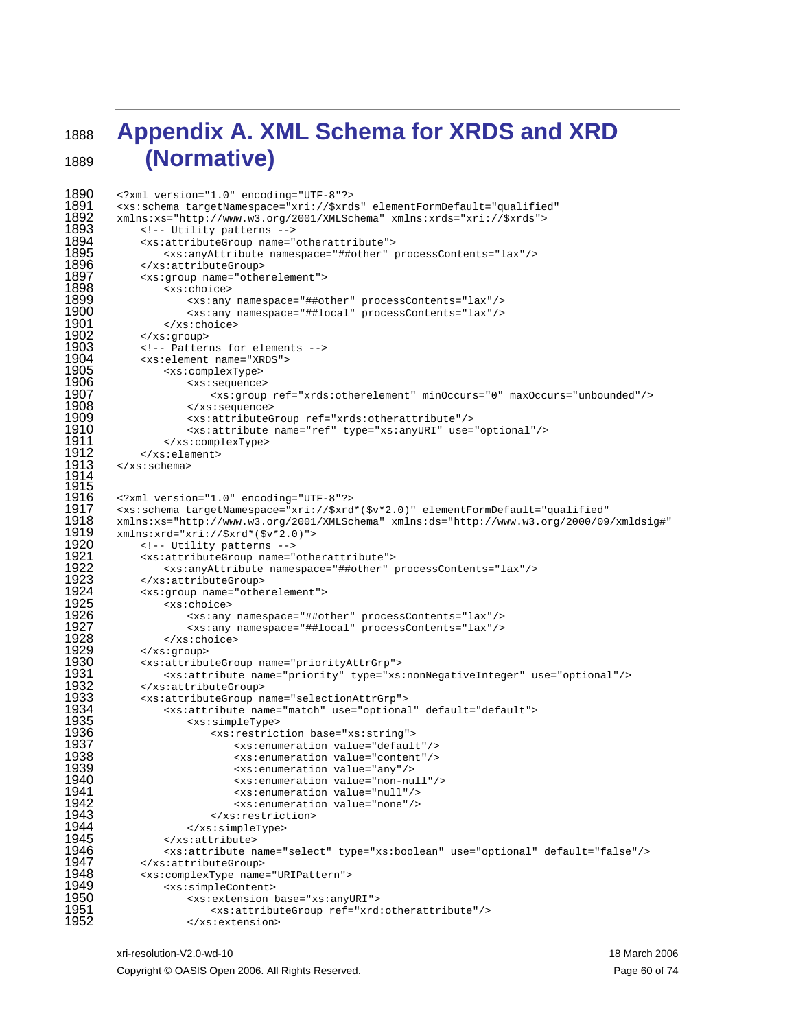1889

## <sup>1888</sup>**Appendix A. XML Schema for XRDS and XRD (Normative)**

```
1890 
1891 
1892 
1893 
1894 
1895 
1896 
1897 
1898 
1899 
1900 
1901 
1902 
1903 
1904 
1905 
1906 
1907 
1908 
1909 
1910 
1911 
1912 
1913 
1914 
1915 
1916 
1917 
1918 
1919 
1920 
1921 
1922 
1923 
1924 
1925 
1926 
1927 
1928 
1929 
1930 
1931 
1932 
1933 
1934 
1935 
1936 
1937 
1938 
1939 
1940 
1941 
1942 
1943 
1944 
1945 
1946 
1947 
1948 
1949 
1950 
1951 
1952 
         <?xml version="1.0" encoding="UTF-8"?> 
         <xs:schema targetNamespace="xri://$xrds" elementFormDefault="qualified" 
         xmlns:xs="http://www.w3.org/2001/XMLSchema" xmlns:xrds="xri://$xrds"> 
             <!-- Utility patterns --> 
              <xs:attributeGroup name="otherattribute"> 
                  <xs:anyAttribute namespace="##other" processContents="lax"/> 
             </xs:attributeGroup> 
              <xs:group name="otherelement"> 
                 <xs:choice> 
                      <xs:any namespace="##other" processContents="lax"/> 
                      <xs:any namespace="##local" processContents="lax"/> 
                 </xs:choice> 
             </xs:group> 
             <!-- Patterns for elements --> 
              <xs:element name="XRDS"> 
                 <xs:complexType> 
                      <xs:sequence> 
                         <xs:group ref="xrds:otherelement" minOccurs="0" maxOccurs="unbounded"/> 
                      </xs:sequence> 
                      <xs:attributeGroup ref="xrds:otherattribute"/> 
                      <xs:attribute name="ref" type="xs:anyURI" use="optional"/> 
                  </xs:complexType> 
              </xs:element> 
         </xs:schema> 
         <?xml version="1.0" encoding="UTF-8"?> 
         <xs:schema targetNamespace="xri://$xrd*($v*2.0)" elementFormDefault="qualified" 
        xmlns:xs="http://www.w3.org/2001/XMLSchema" xmlns:ds="http://www.w3.org/2000/09/xmldsig#" 
         xmlns:xrd="xri://$xrd*($v*2.0)"> 
             <!-- Utility patterns --> 
              <xs:attributeGroup name="otherattribute"> 
                 <xs:anyAttribute namespace="##other" processContents="lax"/> 
             </xs:attributeGroup> 
              <xs:group name="otherelement"> 
                 <xs:choice> 
                      <xs:any namespace="##other" processContents="lax"/> 
                      <xs:any namespace="##local" processContents="lax"/> 
                 </xs:choice> 
              </xs:group> 
              <xs:attributeGroup name="priorityAttrGrp"> 
                 <xs:attribute name="priority" type="xs:nonNegativeInteger" use="optional"/> 
             </xs:attributeGroup> 
              <xs:attributeGroup name="selectionAttrGrp"> 
                 <xs:attribute name="match" use="optional" default="default"> 
                      <xs:simpleType> 
                          <xs:restriction base="xs:string"> 
                              <xs:enumeration value="default"/> 
                              <xs:enumeration value="content"/> 
                              <xs:enumeration value="any"/> 
                              <xs:enumeration value="non-null"/> 
                              <xs:enumeration value="null"/> 
                              <xs:enumeration value="none"/> 
                          </xs:restriction> 
                      </xs:simpleType> 
                 </xs:attribute> 
                 <xs:attribute name="select" type="xs:boolean" use="optional" default="false"/> 
              </xs:attributeGroup> 
              <xs:complexType name="URIPattern"> 
                 <xs:simpleContent> 
                      <xs:extension base="xs:anyURI"> 
                          <xs:attributeGroup ref="xrd:otherattribute"/> 
                      </xs:extension>
```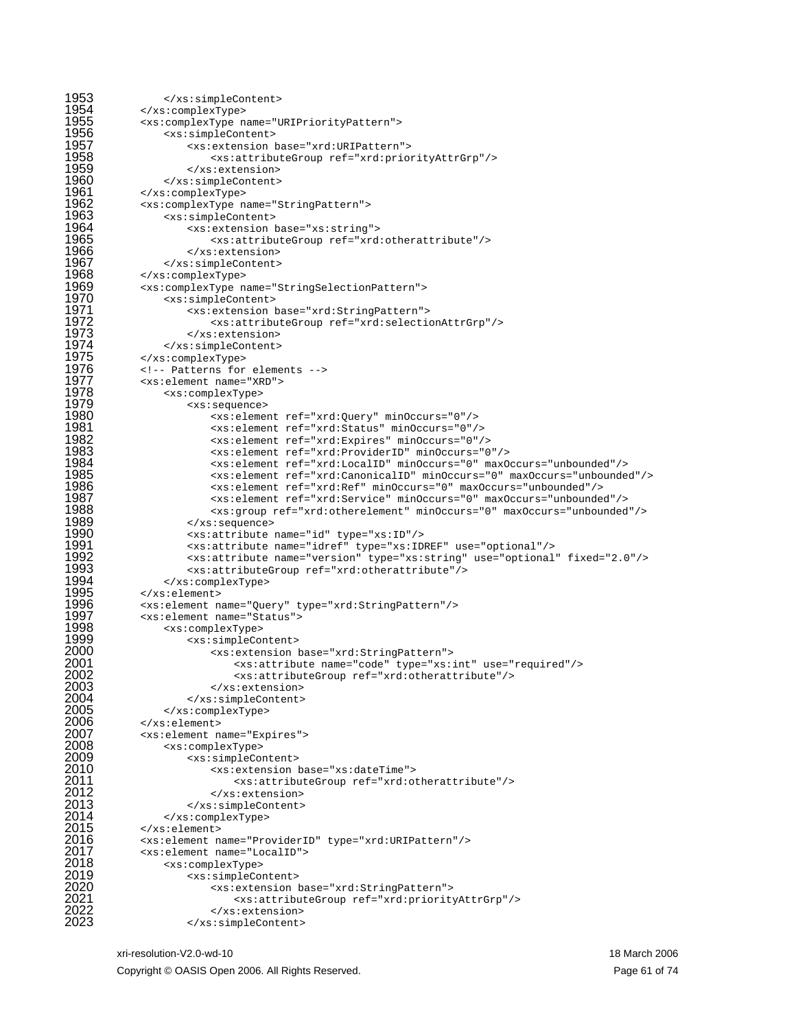```
1953 
1954 
1955 
1956 
1957 
1958 
1959 
1960 
1961 
1962 
1963 
1964 
1965 
1966 
1967 
1968 
1969 
1970 
1971 
1972 
1973 
1974 
1975 
1976 
1977 
1978 
1979 
1980 
1981 
1982 
1983 
1984 
1985 
1986 
1987 
1988 
1989 
1990 
1991 
1992 
1993 
1994 
1995 
1996 
1997 
1998 
1999 
2000 
2001 
2002 
2003 
2004 
2005 
2006 
2007 
2008 
2009 
2010 
2011 
2012 
2013 
2014 
2015 
2016 
2017 
2018 
2019 
2020 
2021 
2022 
2023 
                  </xs:simpleContent> 
              </xs:complexType> 
              <xs:complexType name="URIPriorityPattern"> 
                 <xs:simpleContent> 
                      <xs:extension base="xrd:URIPattern"> 
                          <xs:attributeGroup ref="xrd:priorityAttrGrp"/> 
                      </xs:extension> 
                  </xs:simpleContent> 
              </xs:complexType> 
              <xs:complexType name="StringPattern"> 
                  <xs:simpleContent> 
                      <xs:extension base="xs:string"> 
                          <xs:attributeGroup ref="xrd:otherattribute"/> 
                      </xs:extension> 
                  </xs:simpleContent> 
              </xs:complexType> 
              <xs:complexType name="StringSelectionPattern"> 
                  <xs:simpleContent> 
                      <xs:extension base="xrd:StringPattern"> 
                          <xs:attributeGroup ref="xrd:selectionAttrGrp"/> 
                      </xs:extension> 
                  </xs:simpleContent> 
              </xs:complexType> 
              <!-- Patterns for elements --> 
              <xs:element name="XRD"> 
                  <xs:complexType> 
                      <xs:sequence> 
                          <xs:element ref="xrd:Query" minOccurs="0"/> 
                          <xs:element ref="xrd:Status" minOccurs="0"/> 
                          <xs:element ref="xrd:Expires" minOccurs="0"/> 
                          <xs:element ref="xrd:ProviderID" minOccurs="0"/> 
                          <xs:element ref="xrd:LocalID" minOccurs="0" maxOccurs="unbounded"/> 
                          <xs:element ref="xrd:CanonicalID" minOccurs="0" maxOccurs="unbounded"/> 
                          <xs:element ref="xrd:Ref" minOccurs="0" maxOccurs="unbounded"/> 
                          <xs:element ref="xrd:Service" minOccurs="0" maxOccurs="unbounded"/> 
                          <xs:group ref="xrd:otherelement" minOccurs="0" maxOccurs="unbounded"/> 
                      </xs:sequence> 
                      <xs:attribute name="id" type="xs:ID"/> 
                      <xs:attribute name="idref" type="xs:IDREF" use="optional"/> 
                      <xs:attribute name="version" type="xs:string" use="optional" fixed="2.0"/> 
                      <xs:attributeGroup ref="xrd:otherattribute"/> 
                  </xs:complexType> 
              </xs:element> 
              <xs:element name="Query" type="xrd:StringPattern"/> 
              <xs:element name="Status"> 
                  <xs:complexType> 
                      <xs:simpleContent> 
                          <xs:extension base="xrd:StringPattern"> 
                              <xs:attribute name="code" type="xs:int" use="required"/> 
                              <xs:attributeGroup ref="xrd:otherattribute"/> 
                          </xs:extension> 
                      </xs:simpleContent> 
                  </xs:complexType> 
              </xs:element> 
              <xs:element name="Expires"> 
                  <xs:complexType> 
                      <xs:simpleContent> 
                          <xs:extension base="xs:dateTime"> 
                              <xs:attributeGroup ref="xrd:otherattribute"/> 
                          </xs:extension> 
                      </xs:simpleContent> 
                  </xs:complexType> 
              </xs:element> 
              <xs:element name="ProviderID" type="xrd:URIPattern"/> 
              <xs:element name="LocalID"> 
                  <xs:complexType> 
                      <xs:simpleContent> 
                          <xs:extension base="xrd:StringPattern"> 
                              <xs:attributeGroup ref="xrd:priorityAttrGrp"/> 
                          </xs:extension> 
                      </xs:simpleContent>
```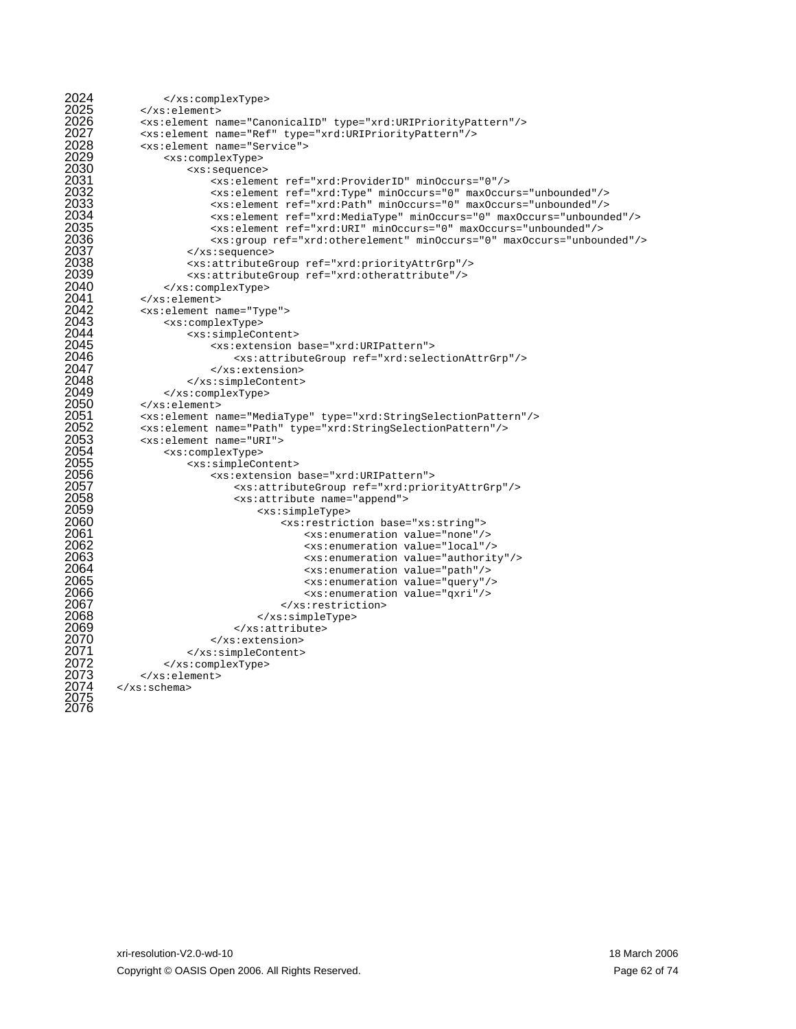```
2024 
2025 
2026 
2027 
2028 
2029 
2030 
2031 
2032 
2033 
2034 
2035 
2036 
2037 
2038 
2039 
2040 
2041 
2042 
2043 
2044 
2045 
2046 
2047 
2048 
2049 
2050 
2051 
2052 
2053 
2054 
2055 
2056 
2057 
2058 
2059 
2060 
2061 
2062 
2063 
2064 
2065 
2066 
2067 
2068 
2069 
2070 
2071 
2072 
2073 
2074 
2075 
2076 
                  </xs:complexType> 
              </xs:element> 
              <xs:element name="CanonicalID" type="xrd:URIPriorityPattern"/> 
              <xs:element name="Ref" type="xrd:URIPriorityPattern"/> 
              <xs:element name="Service"> 
                  <xs:complexType> 
                      <xs:sequence> 
                          <xs:element ref="xrd:ProviderID" minOccurs="0"/> 
                          <xs:element ref="xrd:Type" minOccurs="0" maxOccurs="unbounded"/> 
                          <xs:element ref="xrd:Path" minOccurs="0" maxOccurs="unbounded"/> 
                          <xs:element ref="xrd:MediaType" minOccurs="0" maxOccurs="unbounded"/> 
                          <xs:element ref="xrd:URI" minOccurs="0" maxOccurs="unbounded"/> 
                          <xs:group ref="xrd:otherelement" minOccurs="0" maxOccurs="unbounded"/> 
                      </xs:sequence> 
                      <xs:attributeGroup ref="xrd:priorityAttrGrp"/> 
                      <xs:attributeGroup ref="xrd:otherattribute"/> 
                 </xs:complexType> 
             </xs:element> 
              <xs:element name="Type"> 
                 <xs:complexType> 
                      <xs:simpleContent> 
                          <xs:extension base="xrd:URIPattern"> 
                              <xs:attributeGroup ref="xrd:selectionAttrGrp"/> 
                          </xs:extension> 
                      </xs:simpleContent> 
                  </xs:complexType> 
              </xs:element> 
              <xs:element name="MediaType" type="xrd:StringSelectionPattern"/> 
              <xs:element name="Path" type="xrd:StringSelectionPattern"/> 
              <xs:element name="URI"> 
                 <xs:complexType> 
                      <xs:simpleContent> 
                          <xs:extension base="xrd:URIPattern"> 
                              <xs:attributeGroup ref="xrd:priorityAttrGrp"/> 
                              <xs:attribute name="append"> 
                                  <xs:simpleType> 
                                      <xs:restriction base="xs:string"> 
                                           <xs:enumeration value="none"/> 
                                           <xs:enumeration value="local"/> 
                                          <xs:enumeration value="authority"/> 
                                          <xs:enumeration value="path"/> 
                                           <xs:enumeration value="query"/> 
                                          <xs:enumeration value="qxri"/> 
                                       </xs:restriction> 
                                  </xs:simpleType> 
                              </xs:attribute> 
                          </xs:extension> 
                      </xs:simpleContent> 
                  </xs:complexType> 
              </xs:element> 
         </xs:schema>
```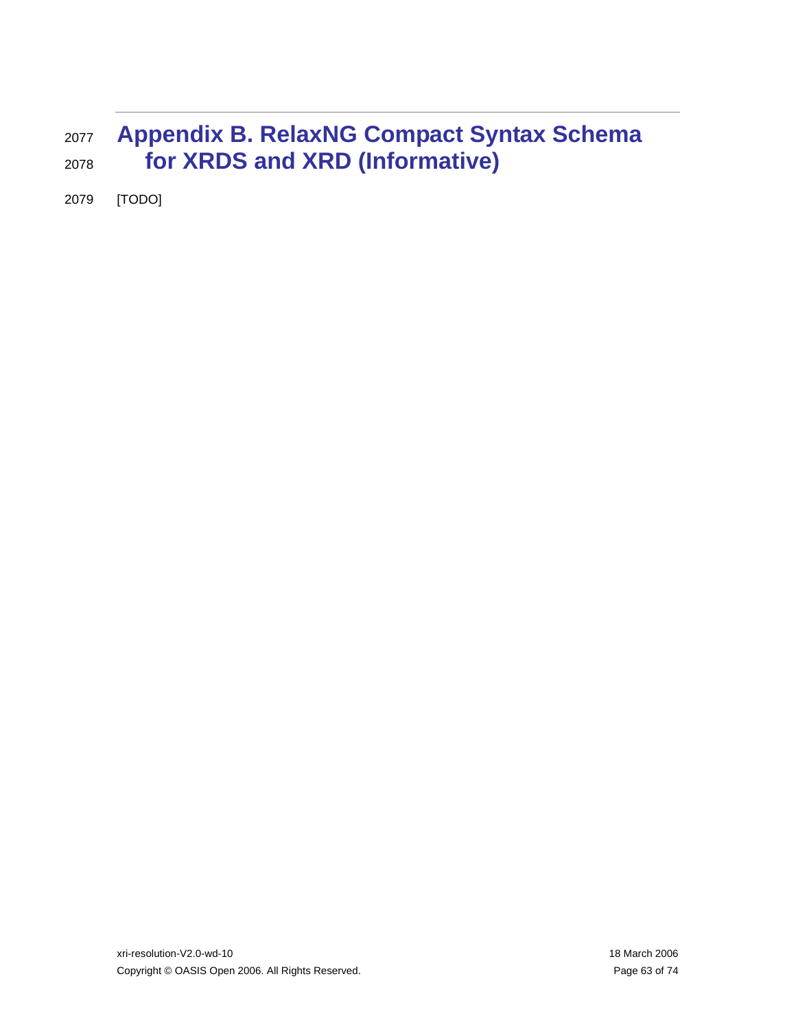### <sup>2077</sup>**Appendix B. RelaxNG Compact Syntax Schema**  2078 **for XRDS and XRD (Informative)**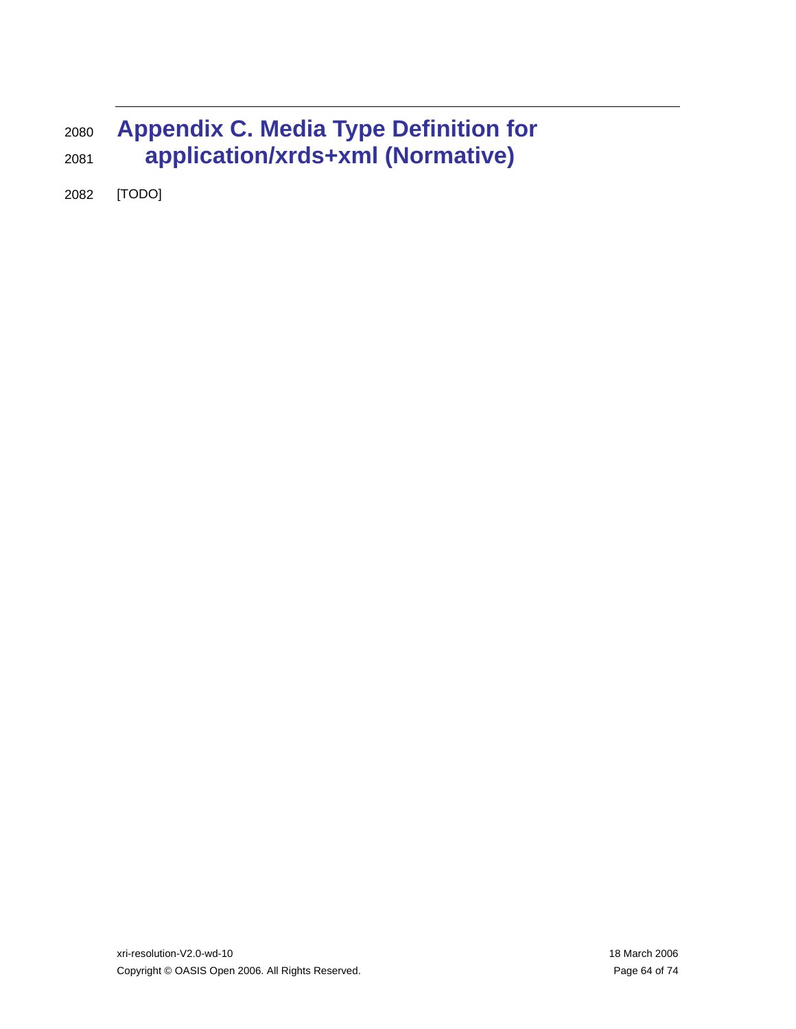## <sup>2080</sup>**Appendix C. Media Type Definition for**  2081 **application/xrds+xml (Normative)**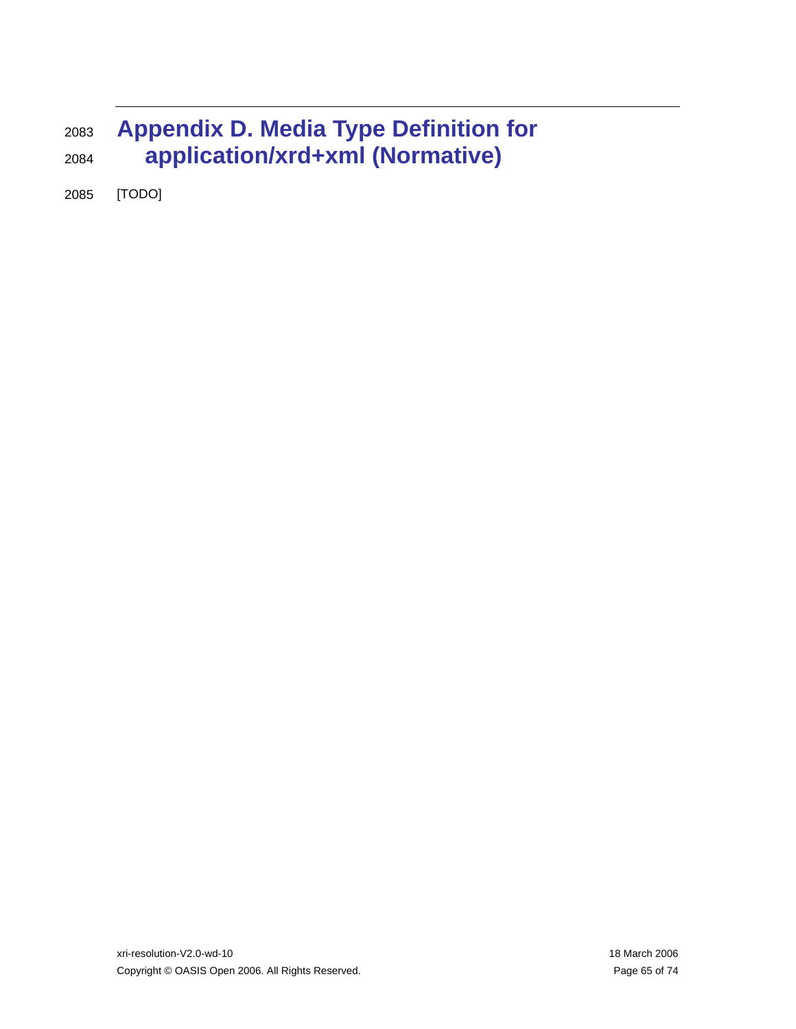## <sup>2083</sup>**Appendix D. Media Type Definition for**  2084 **application/xrd+xml (Normative)**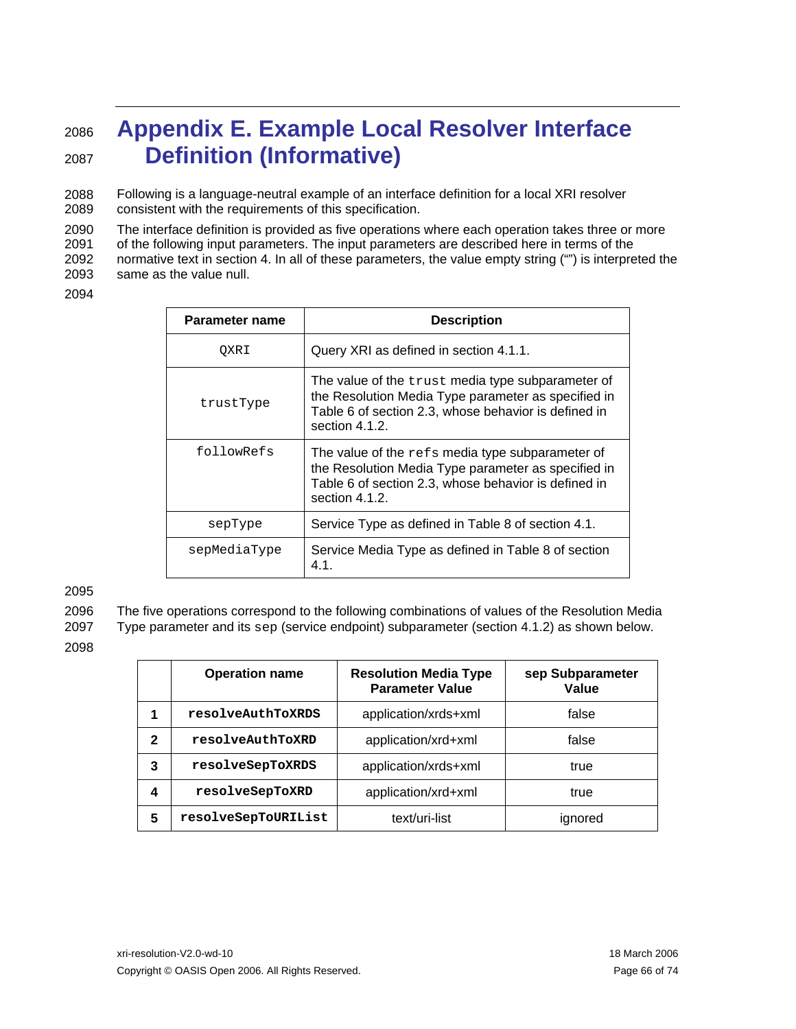### <sup>2086</sup>**Appendix E. Example Local Resolver Interface**  2087 **Definition (Informative)**

2088 2089 Following is a language-neutral example of an interface definition for a local XRI resolver consistent with the requirements of this specification.

2090 2091 2092 2093 The interface definition is provided as five operations where each operation takes three or more of the following input parameters. The input parameters are described here in terms of the normative text in section [4](#page-17-2). In all of these parameters, the value empty string ("") is interpreted the same as the value null.

2094

| Parameter name | <b>Description</b>                                                                                                                                                                         |  |
|----------------|--------------------------------------------------------------------------------------------------------------------------------------------------------------------------------------------|--|
| OXRI           | Query XRI as defined in section 4.1.1.                                                                                                                                                     |  |
| trustType      | The value of the trust media type subparameter of<br>the Resolution Media Type parameter as specified in<br>Table 6 of section 2.3, whose behavior is defined in<br>section 4.1.2.         |  |
| followRefs     | The value of the $\text{refs}$ media type subparameter of<br>the Resolution Media Type parameter as specified in<br>Table 6 of section 2.3, whose behavior is defined in<br>section 4.1.2. |  |
| sepType        | Service Type as defined in Table 8 of section 4.1.                                                                                                                                         |  |
| sepMediaType   | Service Media Type as defined in Table 8 of section<br>4.1.                                                                                                                                |  |

2095

2096 The five operations correspond to the following combinations of values of the Resolution Media

2097 Type parameter and its sep (service endpoint) subparameter (section [4.1.2](#page-18-0)) as shown below.

2098

|   | <b>Operation name</b> | <b>Resolution Media Type</b><br><b>Parameter Value</b> | sep Subparameter<br>Value |
|---|-----------------------|--------------------------------------------------------|---------------------------|
|   | resolveAuthToXRDS     | application/xrds+xml                                   | false                     |
| 2 | resolveAuthToXRD      | application/xrd+xml                                    | false                     |
| 3 | resolveSepToXRDS      | application/xrds+xml                                   | true                      |
| 4 | resolveSepToXRD       | application/xrd+xml                                    | true                      |
| 5 | resolveSepToURIList   | text/uri-list                                          | ignored                   |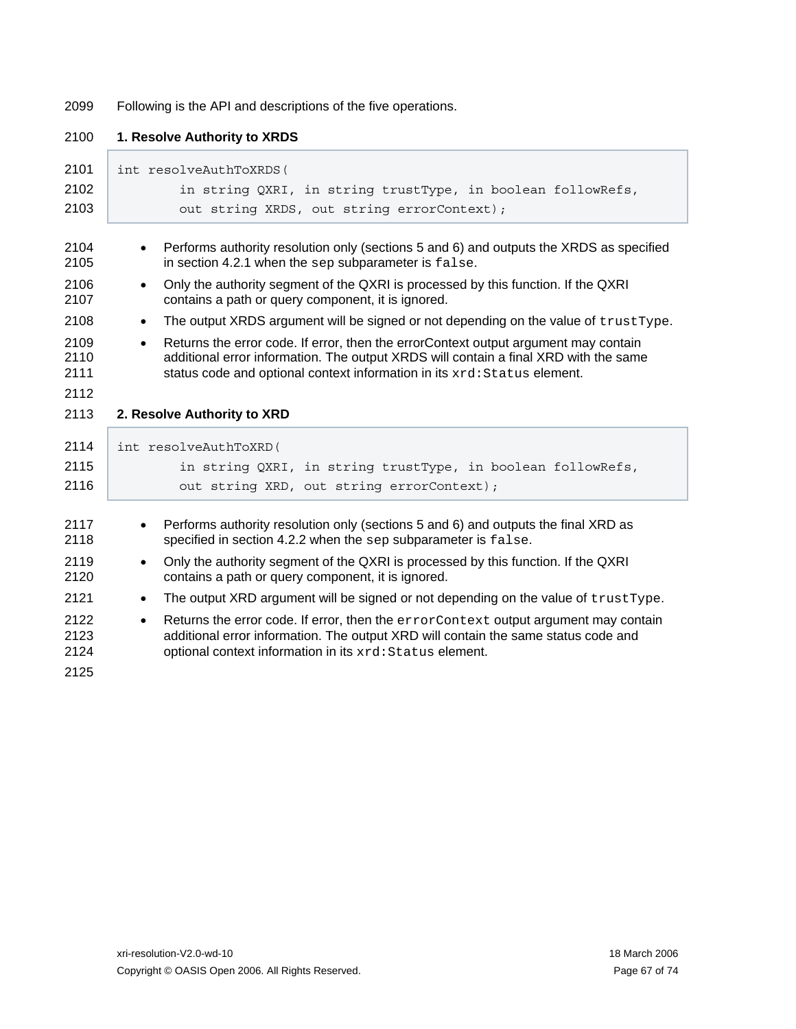2099 Following is the API and descriptions of the five operations.

| 2100                         | 1. Resolve Authority to XRDS                                                                                                                                                                                                                                         |
|------------------------------|----------------------------------------------------------------------------------------------------------------------------------------------------------------------------------------------------------------------------------------------------------------------|
| 2101                         | int resolveAuthToXRDS (                                                                                                                                                                                                                                              |
| 2102                         | in string QXRI, in string trustType, in boolean followRefs,                                                                                                                                                                                                          |
| 2103                         | out string XRDS, out string errorContext);                                                                                                                                                                                                                           |
| 2104<br>2105                 | Performs authority resolution only (sections 5 and 6) and outputs the XRDS as specified<br>in section 4.2.1 when the sep subparameter is false.                                                                                                                      |
| 2106<br>2107                 | Only the authority segment of the QXRI is processed by this function. If the QXRI<br>$\bullet$<br>contains a path or query component, it is ignored.                                                                                                                 |
| 2108                         | The output XRDS argument will be signed or not depending on the value of trustType.                                                                                                                                                                                  |
| 2109<br>2110<br>2111         | Returns the error code. If error, then the errorContext output argument may contain<br>$\bullet$<br>additional error information. The output XRDS will contain a final XRD with the same<br>status code and optional context information in its xrd: Status element. |
| 2112                         |                                                                                                                                                                                                                                                                      |
| 2113                         | 2. Resolve Authority to XRD                                                                                                                                                                                                                                          |
| 2114                         | int resolveAuthToXRD(                                                                                                                                                                                                                                                |
| 2115                         | in string QXRI, in string trustType, in boolean followRefs,                                                                                                                                                                                                          |
| 2116                         | out string XRD, out string errorContext);                                                                                                                                                                                                                            |
| 2117<br>2118                 | Performs authority resolution only (sections 5 and 6) and outputs the final XRD as<br>specified in section 4.2.2 when the sep subparameter is false.                                                                                                                 |
| 2119<br>2120                 | Only the authority segment of the QXRI is processed by this function. If the QXRI<br>$\bullet$<br>contains a path or query component, it is ignored.                                                                                                                 |
| 2121                         | The output XRD argument will be signed or not depending on the value of trustType.<br>$\bullet$                                                                                                                                                                      |
| 2122<br>2123<br>2124<br>2125 | Returns the error code. If error, then the errorContext output argument may contain<br>$\bullet$<br>additional error information. The output XRD will contain the same status code and<br>optional context information in its xrd: Status element.                   |
|                              |                                                                                                                                                                                                                                                                      |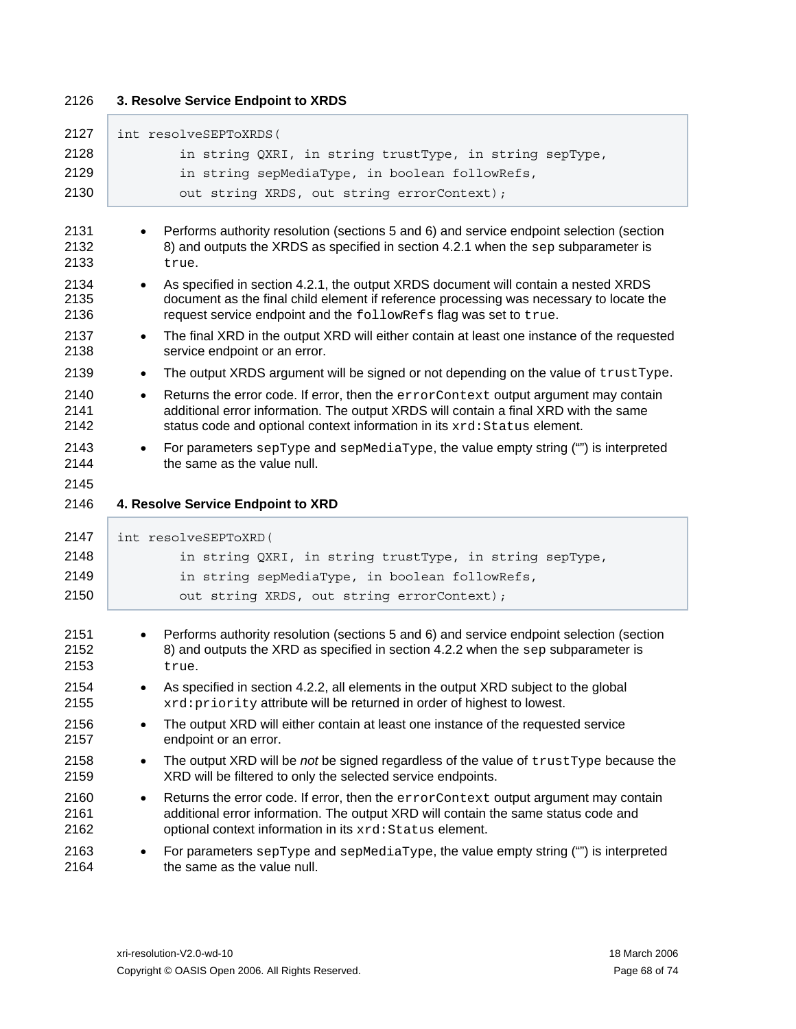Г

### 2126 **3. Resolve Service Endpoint to XRDS**

| 2127                                                                                                                 | int resolveSEPToXRDS(                                                                                                                                                                                                                                                                                                                                                                                                                                                                                                                                                                                                                                                                                                                                                                                                                                                                                                                                                                                                                                                                                    |
|----------------------------------------------------------------------------------------------------------------------|----------------------------------------------------------------------------------------------------------------------------------------------------------------------------------------------------------------------------------------------------------------------------------------------------------------------------------------------------------------------------------------------------------------------------------------------------------------------------------------------------------------------------------------------------------------------------------------------------------------------------------------------------------------------------------------------------------------------------------------------------------------------------------------------------------------------------------------------------------------------------------------------------------------------------------------------------------------------------------------------------------------------------------------------------------------------------------------------------------|
| 2128                                                                                                                 | in string QXRI, in string trustType, in string sepType,                                                                                                                                                                                                                                                                                                                                                                                                                                                                                                                                                                                                                                                                                                                                                                                                                                                                                                                                                                                                                                                  |
| 2129                                                                                                                 | in string sepMediaType, in boolean followRefs,                                                                                                                                                                                                                                                                                                                                                                                                                                                                                                                                                                                                                                                                                                                                                                                                                                                                                                                                                                                                                                                           |
| 2130                                                                                                                 | out string XRDS, out string errorContext);                                                                                                                                                                                                                                                                                                                                                                                                                                                                                                                                                                                                                                                                                                                                                                                                                                                                                                                                                                                                                                                               |
| 2131<br>2132<br>2133<br>2134<br>2135<br>2136<br>2137<br>2138<br>2139<br>2140<br>2141<br>2142<br>2143<br>2144<br>2145 | Performs authority resolution (sections 5 and 6) and service endpoint selection (section<br>8) and outputs the XRDS as specified in section 4.2.1 when the sep subparameter is<br>true.<br>As specified in section 4.2.1, the output XRDS document will contain a nested XRDS<br>$\bullet$<br>document as the final child element if reference processing was necessary to locate the<br>request service endpoint and the followRefs flag was set to true.<br>The final XRD in the output XRD will either contain at least one instance of the requested<br>$\bullet$<br>service endpoint or an error.<br>The output XRDS argument will be signed or not depending on the value of trustType.<br>$\bullet$<br>Returns the error code. If error, then the errorContext output argument may contain<br>$\bullet$<br>additional error information. The output XRDS will contain a final XRD with the same<br>status code and optional context information in its xrd: Status element.<br>For parameters sepType and sepMediaType, the value empty string ("") is interpreted<br>the same as the value null. |
| 2146                                                                                                                 | 4. Resolve Service Endpoint to XRD                                                                                                                                                                                                                                                                                                                                                                                                                                                                                                                                                                                                                                                                                                                                                                                                                                                                                                                                                                                                                                                                       |
|                                                                                                                      |                                                                                                                                                                                                                                                                                                                                                                                                                                                                                                                                                                                                                                                                                                                                                                                                                                                                                                                                                                                                                                                                                                          |
| 2147                                                                                                                 | int resolveSEPToXRD(                                                                                                                                                                                                                                                                                                                                                                                                                                                                                                                                                                                                                                                                                                                                                                                                                                                                                                                                                                                                                                                                                     |
| 2148                                                                                                                 | in string QXRI, in string trustType, in string sepType,                                                                                                                                                                                                                                                                                                                                                                                                                                                                                                                                                                                                                                                                                                                                                                                                                                                                                                                                                                                                                                                  |
| 2149                                                                                                                 | in string sepMediaType, in boolean followRefs,                                                                                                                                                                                                                                                                                                                                                                                                                                                                                                                                                                                                                                                                                                                                                                                                                                                                                                                                                                                                                                                           |
| 2150                                                                                                                 | out string XRDS, out string errorContext);                                                                                                                                                                                                                                                                                                                                                                                                                                                                                                                                                                                                                                                                                                                                                                                                                                                                                                                                                                                                                                                               |
| 2151<br>2152<br>2153                                                                                                 | Performs authority resolution (sections 5 and 6) and service endpoint selection (section<br>8) and outputs the XRD as specified in section 4.2.2 when the $sep$ subparameter is<br>true.                                                                                                                                                                                                                                                                                                                                                                                                                                                                                                                                                                                                                                                                                                                                                                                                                                                                                                                 |
| 2154<br>2155                                                                                                         | As specified in section 4.2.2, all elements in the output XRD subject to the global<br>$\bullet$<br>xrd: priority attribute will be returned in order of highest to lowest.                                                                                                                                                                                                                                                                                                                                                                                                                                                                                                                                                                                                                                                                                                                                                                                                                                                                                                                              |
| 2156<br>2157                                                                                                         | The output XRD will either contain at least one instance of the requested service<br>endpoint or an error.                                                                                                                                                                                                                                                                                                                                                                                                                                                                                                                                                                                                                                                                                                                                                                                                                                                                                                                                                                                               |
|                                                                                                                      |                                                                                                                                                                                                                                                                                                                                                                                                                                                                                                                                                                                                                                                                                                                                                                                                                                                                                                                                                                                                                                                                                                          |
|                                                                                                                      | The output XRD will be not be signed regardless of the value of trustType because the<br>$\bullet$<br>XRD will be filtered to only the selected service endpoints.                                                                                                                                                                                                                                                                                                                                                                                                                                                                                                                                                                                                                                                                                                                                                                                                                                                                                                                                       |
| 2158<br>2159<br>2160<br>2161<br>2162                                                                                 | Returns the error code. If error, then the errorContext output argument may contain<br>$\bullet$<br>additional error information. The output XRD will contain the same status code and<br>optional context information in its xrd: Status element.                                                                                                                                                                                                                                                                                                                                                                                                                                                                                                                                                                                                                                                                                                                                                                                                                                                       |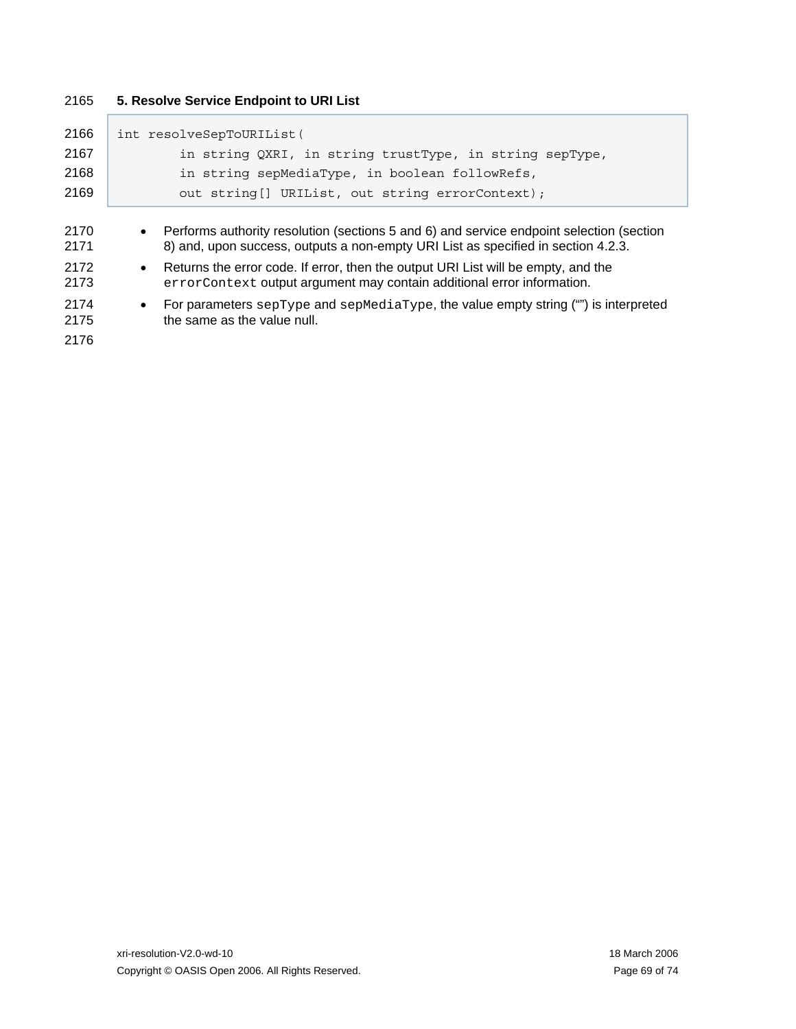### 2165 **5. Resolve Service Endpoint to URI List**

| 2166                                                 | int resolveSepToURIList(                                                                                                                                                                                                                                                                                                                                                                                                                                                                       |
|------------------------------------------------------|------------------------------------------------------------------------------------------------------------------------------------------------------------------------------------------------------------------------------------------------------------------------------------------------------------------------------------------------------------------------------------------------------------------------------------------------------------------------------------------------|
| 2167                                                 | in string QXRI, in string trustType, in string sepType,                                                                                                                                                                                                                                                                                                                                                                                                                                        |
| 2168                                                 | in string sepMediaType, in boolean followRefs,                                                                                                                                                                                                                                                                                                                                                                                                                                                 |
| 2169                                                 | out string [] URIList, out string errorContext);                                                                                                                                                                                                                                                                                                                                                                                                                                               |
| 2170<br>2171<br>2172<br>2173<br>2174<br>2175<br>2176 | • Performs authority resolution (sections 5 and 6) and service endpoint selection (section<br>8) and, upon success, outputs a non-empty URI List as specified in section 4.2.3.<br>Returns the error code. If error, then the output URI List will be empty, and the<br>$\bullet$<br>errorContext output argument may contain additional error information.<br>For parameters septype and sepMediatype, the value empty string ("") is interpreted<br>$\bullet$<br>the same as the value null. |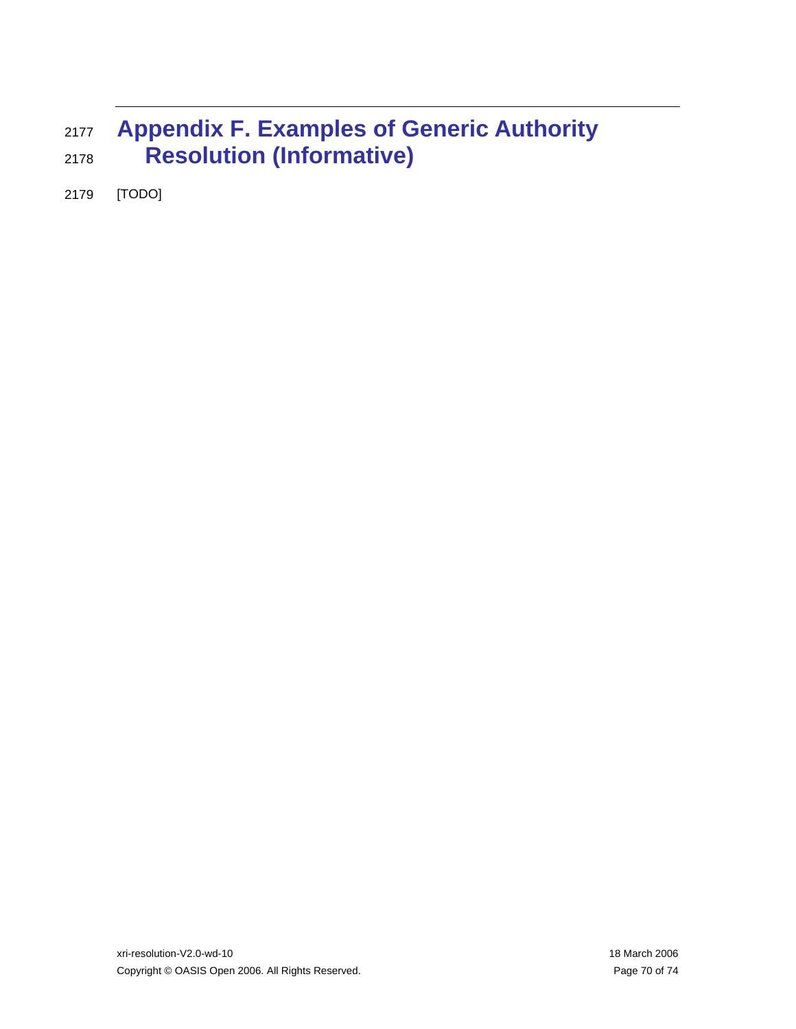## <sup>2177</sup>**Appendix F. Examples of Generic Authority**  2178 **Resolution (Informative)**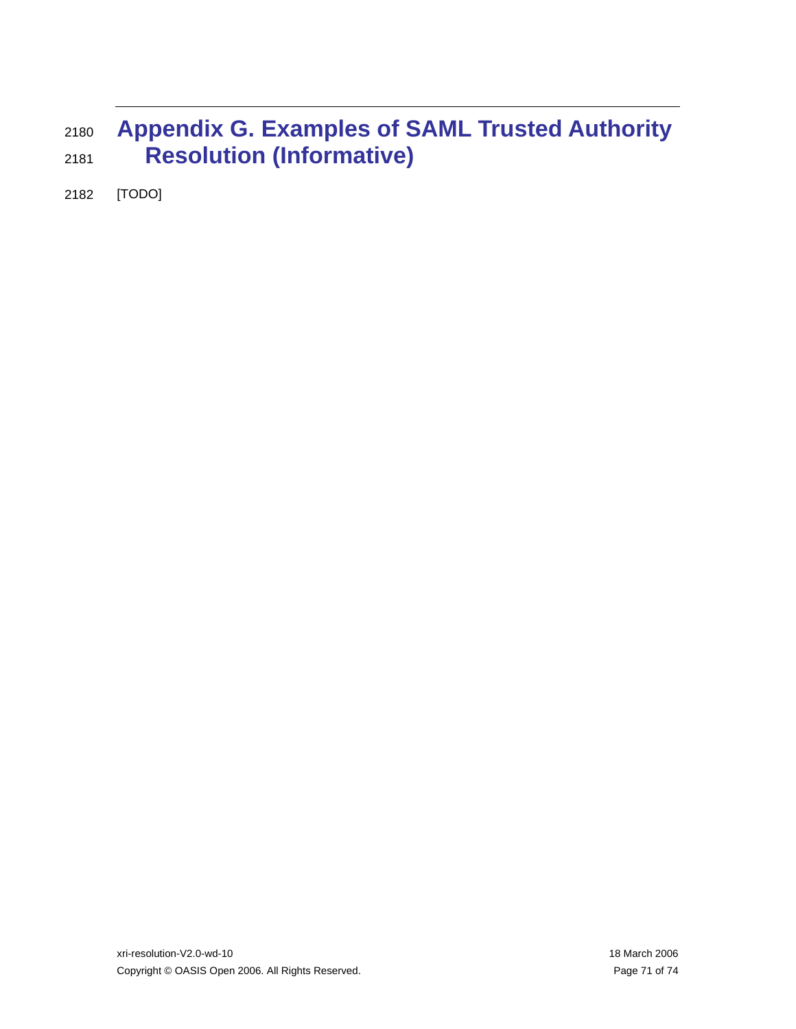## <sup>2180</sup>**Appendix G. Examples of SAML Trusted Authority**  2181 **Resolution (Informative)**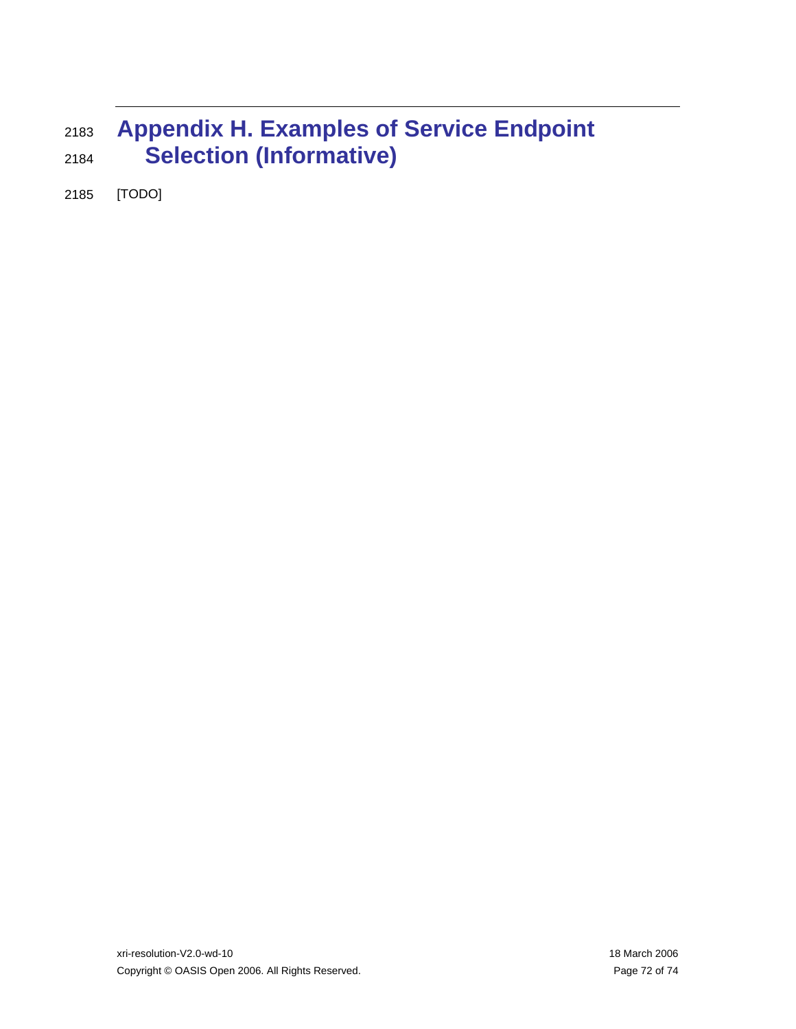## <sup>2183</sup>**Appendix H. Examples of Service Endpoint**  2184 **Selection (Informative)**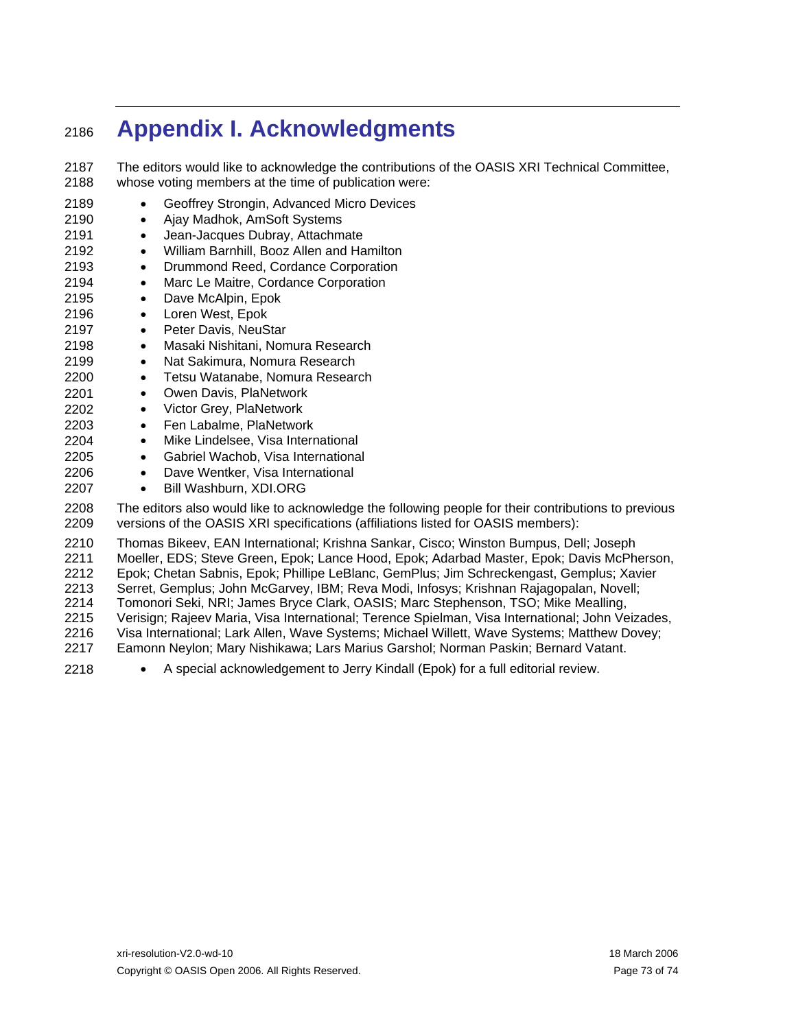## <sup>2186</sup>**Appendix I. Acknowledgments**

- 2187 2188 2189 The editors would like to acknowledge the contributions of the OASIS XRI Technical Committee, whose voting members at the time of publication were: • Geoffrey Strongin, Advanced Micro Devices
- 2190 • Ajay Madhok, AmSoft Systems
- 2191 • Jean-Jacques Dubray, Attachmate
- 2192 • William Barnhill, Booz Allen and Hamilton
- 2193 • Drummond Reed, Cordance Corporation
- 2194 • Marc Le Maitre, Cordance Corporation
- 2195 • Dave McAlpin, Epok
- 2196 • Loren West, Epok
- 2197 • Peter Davis, NeuStar
- 2198 • Masaki Nishitani, Nomura Research
- 2199 • Nat Sakimura, Nomura Research
- 2200 • Tetsu Watanabe, Nomura Research
- 2201 • Owen Davis, PlaNetwork
- 2202 • Victor Grey, PlaNetwork
- 2203 • Fen Labalme, PlaNetwork
- 2204 • Mike Lindelsee, Visa International
- 2205 • Gabriel Wachob, Visa International
- 2206 • Dave Wentker, Visa International
- 2207 • Bill Washburn, XDI.ORG

2208 2209 The editors also would like to acknowledge the following people for their contributions to previous versions of the OASIS XRI specifications (affiliations listed for OASIS members):

2210 2211 2212 2213 2214 2215 2216 2217 Thomas Bikeev, EAN International; Krishna Sankar, Cisco; Winston Bumpus, Dell; Joseph Moeller, EDS; Steve Green, Epok; Lance Hood, Epok; Adarbad Master, Epok; Davis McPherson, Epok; Chetan Sabnis, Epok; Phillipe LeBlanc, GemPlus; Jim Schreckengast, Gemplus; Xavier Serret, Gemplus; John McGarvey, IBM; Reva Modi, Infosys; Krishnan Rajagopalan, Novell; Tomonori Seki, NRI; James Bryce Clark, OASIS; Marc Stephenson, TSO; Mike Mealling, Verisign; Rajeev Maria, Visa International; Terence Spielman, Visa International; John Veizades, Visa International; Lark Allen, Wave Systems; Michael Willett, Wave Systems; Matthew Dovey; Eamonn Neylon; Mary Nishikawa; Lars Marius Garshol; Norman Paskin; Bernard Vatant.

2218 • A special acknowledgement to Jerry Kindall (Epok) for a full editorial review.